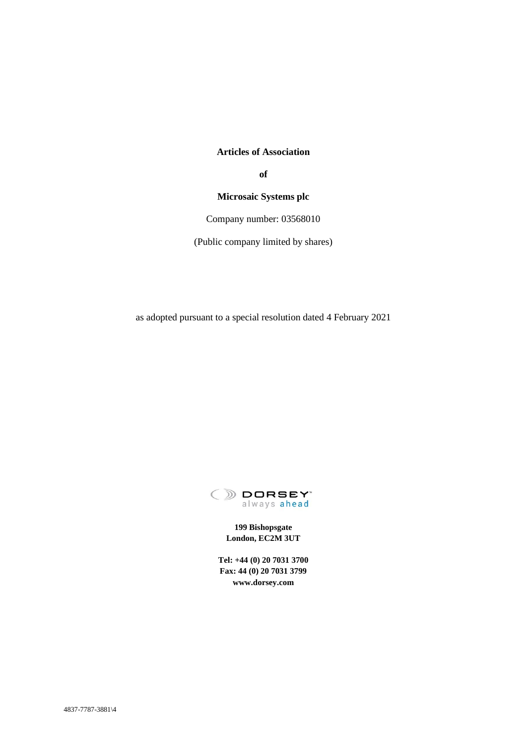## **Articles of Association**

**of**

## **Microsaic Systems plc**

Company number: 03568010

(Public company limited by shares)

as adopted pursuant to a special resolution dated 4 February 2021



**199 Bishopsgate London, EC2M 3UT**

**Tel: +44 (0) 20 7031 3700 Fax: 44 (0) 20 7031 3799 www.dorsey.com**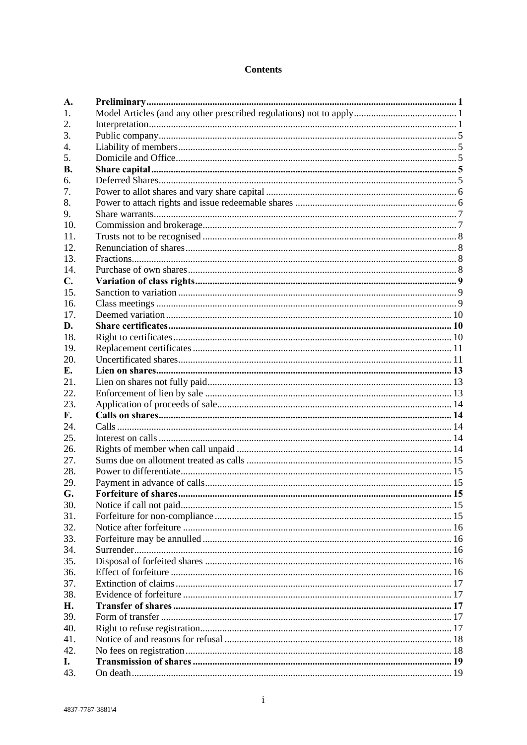## **Contents**

| A.             |  |
|----------------|--|
| 1.             |  |
| 2.             |  |
| 3.             |  |
| 4.             |  |
| 5.             |  |
| <b>B.</b>      |  |
| б.             |  |
| 7.             |  |
| 8.             |  |
| 9.             |  |
| 10.            |  |
| 11.            |  |
| 12.            |  |
| 13.            |  |
| 14.            |  |
| $\mathbf{C}$ . |  |
| 15.            |  |
| 16.            |  |
| 17.            |  |
| D.             |  |
| 18.            |  |
| 19.            |  |
| 20.            |  |
| E.             |  |
| 21.            |  |
| 22.            |  |
| 23.            |  |
| F.             |  |
| 24.            |  |
| 25.            |  |
|                |  |
| 26.            |  |
| 27.            |  |
| 28.            |  |
| 29.            |  |
| G.             |  |
| 30.            |  |
| 31.            |  |
| 32.            |  |
| 33.            |  |
| 34.            |  |
| 35.            |  |
| 36.            |  |
| 37.            |  |
| 38.            |  |
| Н.             |  |
| 39.            |  |
| 40.            |  |
| 41.            |  |
| 42.            |  |
| I.             |  |
| 43.            |  |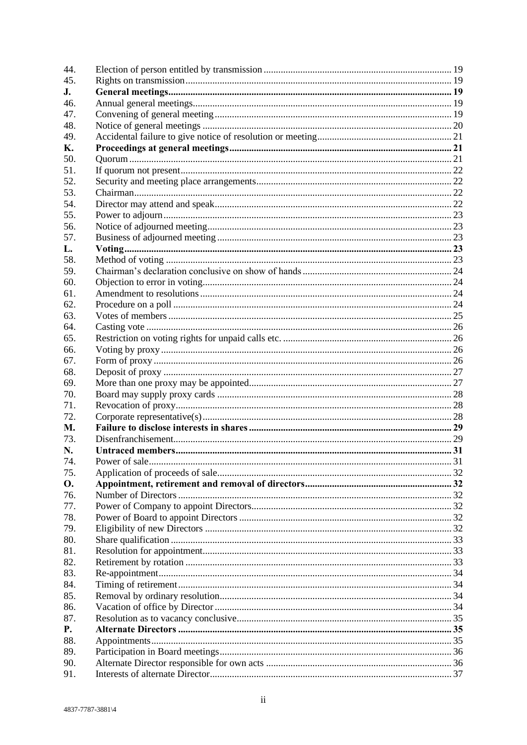| 44. |                            |  |
|-----|----------------------------|--|
| 45. |                            |  |
| J.  |                            |  |
| 46. |                            |  |
| 47. |                            |  |
| 48. |                            |  |
| 49. |                            |  |
| К.  |                            |  |
| 50. |                            |  |
| 51. |                            |  |
| 52. |                            |  |
| 53. |                            |  |
| 54. |                            |  |
| 55. |                            |  |
| 56. |                            |  |
| 57. |                            |  |
| L.  | $\frac{\text{Voting}}{23}$ |  |
| 58. |                            |  |
| 59. |                            |  |
| 60. |                            |  |
| 61. |                            |  |
| 62. |                            |  |
| 63. |                            |  |
|     |                            |  |
| 64. |                            |  |
| 65. |                            |  |
| 66. |                            |  |
| 67. |                            |  |
| 68. |                            |  |
| 69. |                            |  |
| 70. |                            |  |
| 71. |                            |  |
| 72. |                            |  |
| М.  |                            |  |
| 73. |                            |  |
| N.  |                            |  |
| 74. |                            |  |
| 75. |                            |  |
| О.  |                            |  |
| 76. |                            |  |
| 77. |                            |  |
| 78. |                            |  |
| 79. |                            |  |
| 80. |                            |  |
| 81. |                            |  |
| 82. |                            |  |
| 83. |                            |  |
| 84. |                            |  |
| 85. |                            |  |
| 86. |                            |  |
| 87. |                            |  |
| P.  |                            |  |
| 88. |                            |  |
| 89. |                            |  |
| 90. |                            |  |
| 91. |                            |  |
|     |                            |  |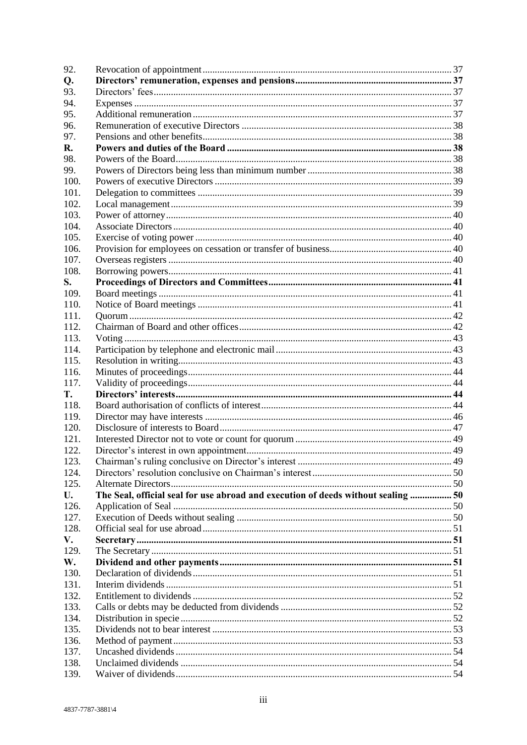| 92.  |                                                                                   |  |
|------|-----------------------------------------------------------------------------------|--|
| Q.   |                                                                                   |  |
| 93.  |                                                                                   |  |
| 94.  |                                                                                   |  |
| 95.  |                                                                                   |  |
| 96.  |                                                                                   |  |
| 97.  |                                                                                   |  |
| R.   |                                                                                   |  |
| 98.  |                                                                                   |  |
| 99.  |                                                                                   |  |
| 100. |                                                                                   |  |
| 101. |                                                                                   |  |
| 102. |                                                                                   |  |
| 103. |                                                                                   |  |
| 104. |                                                                                   |  |
| 105. |                                                                                   |  |
| 106. |                                                                                   |  |
| 107. |                                                                                   |  |
| 108. |                                                                                   |  |
| S.   |                                                                                   |  |
| 109. |                                                                                   |  |
| 110. |                                                                                   |  |
| 111. |                                                                                   |  |
| 112. |                                                                                   |  |
| 113. |                                                                                   |  |
| 114. |                                                                                   |  |
| 115. |                                                                                   |  |
| 116. |                                                                                   |  |
| 117. |                                                                                   |  |
| T.   |                                                                                   |  |
| 118. |                                                                                   |  |
| 119. |                                                                                   |  |
| 120. |                                                                                   |  |
| 121. |                                                                                   |  |
| 122. |                                                                                   |  |
| 123. |                                                                                   |  |
| 124. |                                                                                   |  |
| 125. |                                                                                   |  |
| U.   | The Seal, official seal for use abroad and execution of deeds without sealing  50 |  |
| 126. |                                                                                   |  |
| 127. |                                                                                   |  |
| 128. |                                                                                   |  |
| V.   |                                                                                   |  |
| 129. |                                                                                   |  |
| W.   |                                                                                   |  |
| 130. |                                                                                   |  |
| 131. |                                                                                   |  |
| 132. |                                                                                   |  |
| 133. |                                                                                   |  |
| 134. |                                                                                   |  |
| 135. |                                                                                   |  |
| 136. |                                                                                   |  |
| 137. |                                                                                   |  |
| 138. |                                                                                   |  |
| 139. |                                                                                   |  |
|      |                                                                                   |  |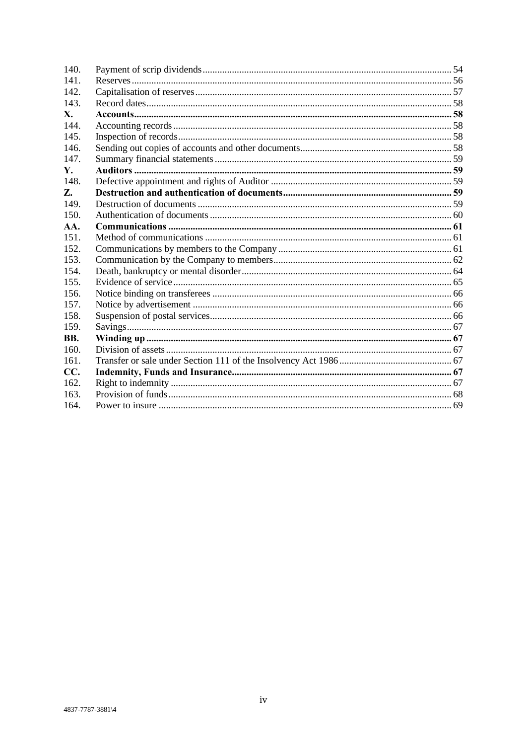| 140. |  |
|------|--|
| 141. |  |
| 142. |  |
| 143. |  |
| X.   |  |
| 144. |  |
| 145. |  |
| 146. |  |
| 147. |  |
| Υ.   |  |
| 148. |  |
| Z.   |  |
| 149. |  |
| 150. |  |
| AA.  |  |
| 151. |  |
| 152. |  |
| 153. |  |
| 154. |  |
| 155. |  |
| 156. |  |
| 157. |  |
| 158. |  |
| 159. |  |
| BB.  |  |
| 160. |  |
| 161. |  |
| CC.  |  |
| 162. |  |
| 163. |  |
| 164. |  |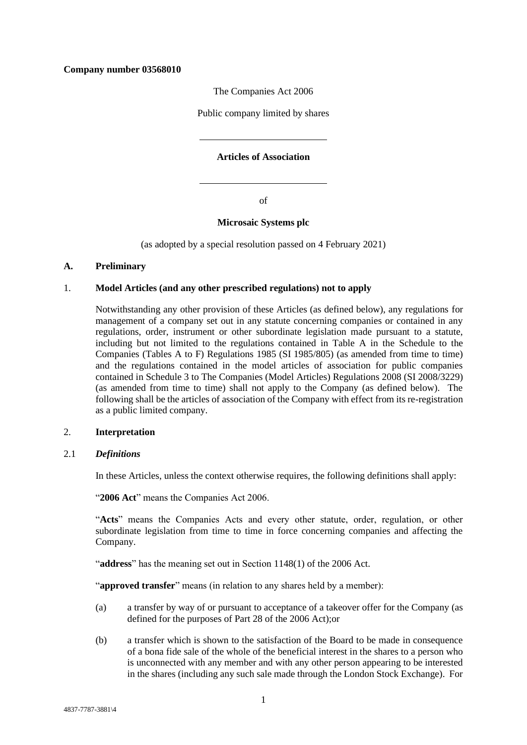## **Company number 03568010**

The Companies Act 2006

Public company limited by shares

## **Articles of Association**

of

## **Microsaic Systems plc**

(as adopted by a special resolution passed on 4 February 2021)

### <span id="page-5-0"></span>**A. Preliminary**

### <span id="page-5-1"></span>1. **Model Articles (and any other prescribed regulations) not to apply**

Notwithstanding any other provision of these Articles (as defined below), any regulations for management of a company set out in any statute concerning companies or contained in any regulations, order, instrument or other subordinate legislation made pursuant to a statute, including but not limited to the regulations contained in Table A in the Schedule to the Companies (Tables A to F) Regulations 1985 (SI 1985/805) (as amended from time to time) and the regulations contained in the model articles of association for public companies contained in Schedule 3 to The Companies (Model Articles) Regulations 2008 (SI 2008/3229) (as amended from time to time) shall not apply to the Company (as defined below). The following shall be the articles of association of the Company with effect from its re-registration as a public limited company.

#### <span id="page-5-2"></span>2. **Interpretation**

#### <span id="page-5-3"></span>2.1 *Definitions*

In these Articles, unless the context otherwise requires, the following definitions shall apply:

"**2006 Act**" means the Companies Act 2006.

"Acts" means the Companies Acts and every other statute, order, regulation, or other subordinate legislation from time to time in force concerning companies and affecting the Company.

"**address**" has the meaning set out in Section 1148(1) of the 2006 Act.

"**approved transfer**" means (in relation to any shares held by a member):

- (a) a transfer by way of or pursuant to acceptance of a takeover offer for the Company (as defined for the purposes of Part 28 of the 2006 Act);or
- (b) a transfer which is shown to the satisfaction of the Board to be made in consequence of a bona fide sale of the whole of the beneficial interest in the shares to a person who is unconnected with any member and with any other person appearing to be interested in the shares (including any such sale made through the London Stock Exchange). For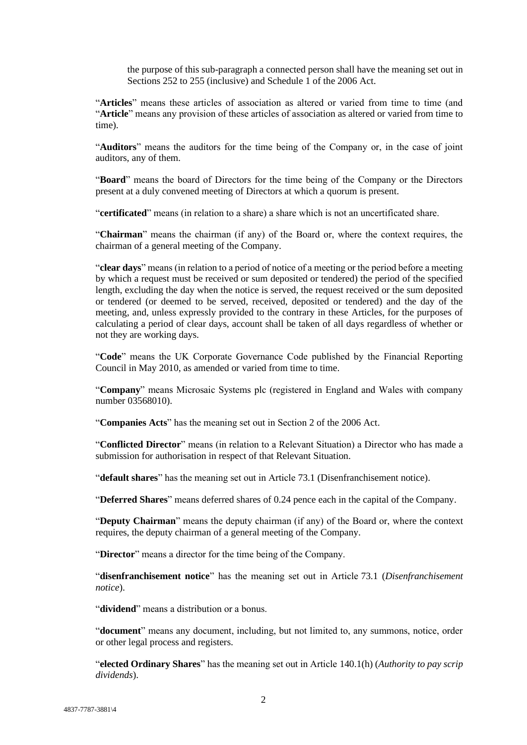the purpose of this sub-paragraph a connected person shall have the meaning set out in Sections 252 to 255 (inclusive) and Schedule 1 of the 2006 Act.

"**Articles**" means these articles of association as altered or varied from time to time (and "**Article**" means any provision of these articles of association as altered or varied from time to time).

"**Auditors**" means the auditors for the time being of the Company or, in the case of joint auditors, any of them.

"**Board**" means the board of Directors for the time being of the Company or the Directors present at a duly convened meeting of Directors at which a quorum is present.

"**certificated**" means (in relation to a share) a share which is not an uncertificated share.

"**Chairman**" means the chairman (if any) of the Board or, where the context requires, the chairman of a general meeting of the Company.

"**clear days**" means (in relation to a period of notice of a meeting or the period before a meeting by which a request must be received or sum deposited or tendered) the period of the specified length, excluding the day when the notice is served, the request received or the sum deposited or tendered (or deemed to be served, received, deposited or tendered) and the day of the meeting, and, unless expressly provided to the contrary in these Articles, for the purposes of calculating a period of clear days, account shall be taken of all days regardless of whether or not they are working days.

"**Code**" means the UK Corporate Governance Code published by the Financial Reporting Council in May 2010, as amended or varied from time to time.

"**Company**" means Microsaic Systems plc (registered in England and Wales with company number 03568010).

"**Companies Acts**" has the meaning set out in Section 2 of the 2006 Act.

"**Conflicted Director**" means (in relation to a Relevant Situation) a Director who has made a submission for authorisation in respect of that Relevant Situation.

"**default shares**" has the meaning set out in Article [73.1](#page-33-2) (Disenfranchisement notice).

"**Deferred Shares**" means deferred shares of 0.24 pence each in the capital of the Company.

"**Deputy Chairman**" means the deputy chairman (if any) of the Board or, where the context requires, the deputy chairman of a general meeting of the Company.

"**Director**" means a director for the time being of the Company.

"**disenfranchisement notice**" has the meaning set out in Article [73.1](#page-33-2) (*Disenfranchisement notice*).

"**dividend**" means a distribution or a bonus.

"**document**" means any document, including, but not limited to, any summons, notice, order or other legal process and registers.

"**elected Ordinary Shares**" has the meaning set out in Article [140.1\(h\)](#page-59-0) (*Authority to pay scrip dividends*).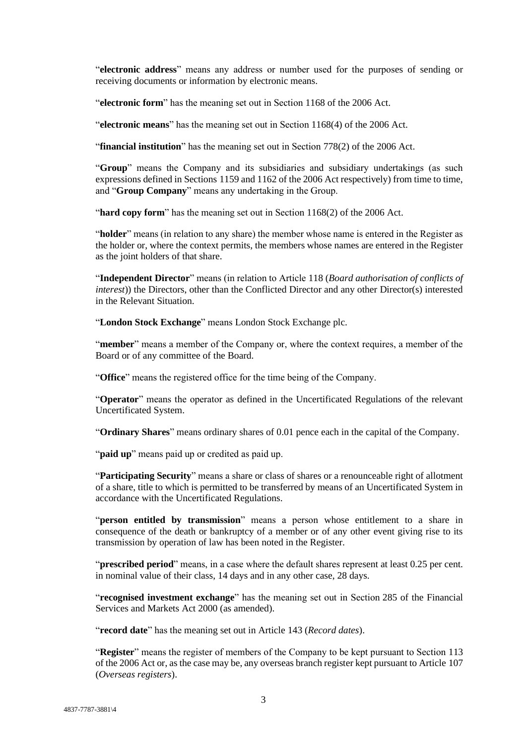"**electronic address**" means any address or number used for the purposes of sending or receiving documents or information by electronic means.

"**electronic form**" has the meaning set out in Section 1168 of the 2006 Act.

"**electronic means**" has the meaning set out in Section 1168(4) of the 2006 Act.

"**financial institution**" has the meaning set out in Section 778(2) of the 2006 Act.

"**Group**" means the Company and its subsidiaries and subsidiary undertakings (as such expressions defined in Sections 1159 and 1162 of the 2006 Act respectively) from time to time, and "**Group Company**" means any undertaking in the Group.

"**hard copy form**" has the meaning set out in Section 1168(2) of the 2006 Act.

"**holder**" means (in relation to any share) the member whose name is entered in the Register as the holder or, where the context permits, the members whose names are entered in the Register as the joint holders of that share.

"**Independent Director**" means (in relation to Article [118](#page-48-3) (*Board authorisation of conflicts of interest*)) the Directors, other than the Conflicted Director and any other Director(s) interested in the Relevant Situation.

"**London Stock Exchange**" means London Stock Exchange plc.

"**member**" means a member of the Company or, where the context requires, a member of the Board or of any committee of the Board.

"**Office**" means the registered office for the time being of the Company.

"**Operator**" means the operator as defined in the Uncertificated Regulations of the relevant Uncertificated System.

"**Ordinary Shares**" means ordinary shares of 0.01 pence each in the capital of the Company.

"**paid up**" means paid up or credited as paid up.

"**Participating Security**" means a share or class of shares or a renounceable right of allotment of a share, title to which is permitted to be transferred by means of an Uncertificated System in accordance with the Uncertificated Regulations.

"**person entitled by transmission**" means a person whose entitlement to a share in consequence of the death or bankruptcy of a member or of any other event giving rise to its transmission by operation of law has been noted in the Register.

"**prescribed period**" means, in a case where the default shares represent at least 0.25 per cent. in nominal value of their class, 14 days and in any other case, 28 days.

"**recognised investment exchange**" has the meaning set out in Section 285 of the Financial Services and Markets Act 2000 (as amended).

"**record date**" has the meaning set out in Article [143](#page-62-0) (*Record dates*).

"**Register**" means the register of members of the Company to be kept pursuant to Section 113 of the 2006 Act or, as the case may be, any overseas branch register kept pursuant to Article [107](#page-44-4) (*Overseas registers*).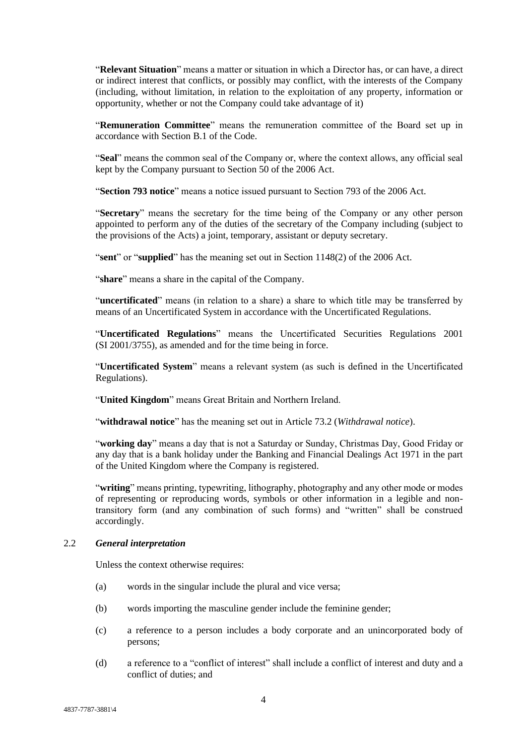"**Relevant Situation**" means a matter or situation in which a Director has, or can have, a direct or indirect interest that conflicts, or possibly may conflict, with the interests of the Company (including, without limitation, in relation to the exploitation of any property, information or opportunity, whether or not the Company could take advantage of it)

"**Remuneration Committee**" means the remuneration committee of the Board set up in accordance with Section B.1 of the Code.

"**Seal**" means the common seal of the Company or, where the context allows, any official seal kept by the Company pursuant to Section 50 of the 2006 Act.

"**Section 793 notice**" means a notice issued pursuant to Section 793 of the 2006 Act.

"**Secretary**" means the secretary for the time being of the Company or any other person appointed to perform any of the duties of the secretary of the Company including (subject to the provisions of the Acts) a joint, temporary, assistant or deputy secretary.

"**sent**" or "**supplied**" has the meaning set out in Section 1148(2) of the 2006 Act.

"**share**" means a share in the capital of the Company.

"**uncertificated**" means (in relation to a share) a share to which title may be transferred by means of an Uncertificated System in accordance with the Uncertificated Regulations.

"**Uncertificated Regulations**" means the Uncertificated Securities Regulations 2001 (SI 2001/3755), as amended and for the time being in force.

"**Uncertificated System**" means a relevant system (as such is defined in the Uncertificated Regulations).

"**United Kingdom**" means Great Britain and Northern Ireland.

"**withdrawal notice**" has the meaning set out in Article [73.2](#page-33-3) (*Withdrawal notice*).

"**working day**" means a day that is not a Saturday or Sunday, Christmas Day, Good Friday or any day that is a bank holiday under the Banking and Financial Dealings Act 1971 in the part of the United Kingdom where the Company is registered.

"**writing**" means printing, typewriting, lithography, photography and any other mode or modes of representing or reproducing words, symbols or other information in a legible and nontransitory form (and any combination of such forms) and "written" shall be construed accordingly.

#### 2.2 *General interpretation*

Unless the context otherwise requires:

- (a) words in the singular include the plural and vice versa;
- (b) words importing the masculine gender include the feminine gender;
- (c) a reference to a person includes a body corporate and an unincorporated body of persons;
- (d) a reference to a "conflict of interest" shall include a conflict of interest and duty and a conflict of duties; and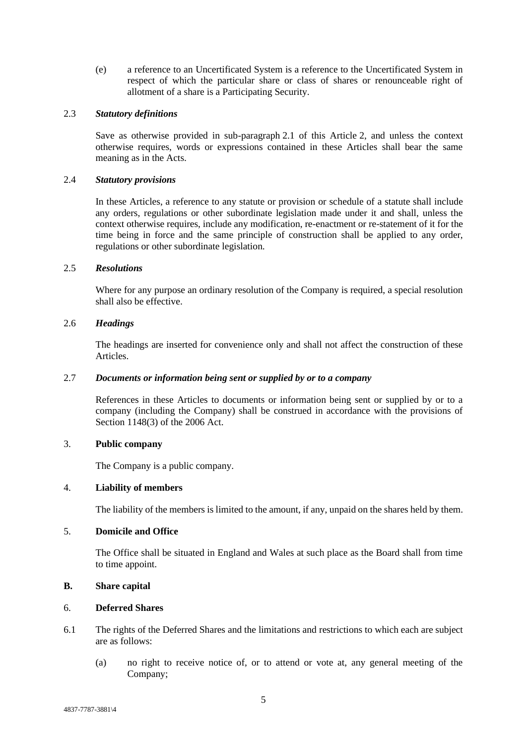(e) a reference to an Uncertificated System is a reference to the Uncertificated System in respect of which the particular share or class of shares or renounceable right of allotment of a share is a Participating Security.

# 2.3 *Statutory definitions*

Save as otherwise provided in sub-paragraph [2.1](#page-5-3) of this Article [2,](#page-5-2) and unless the context otherwise requires, words or expressions contained in these Articles shall bear the same meaning as in the Acts.

#### 2.4 *Statutory provisions*

In these Articles, a reference to any statute or provision or schedule of a statute shall include any orders, regulations or other subordinate legislation made under it and shall, unless the context otherwise requires, include any modification, re-enactment or re-statement of it for the time being in force and the same principle of construction shall be applied to any order, regulations or other subordinate legislation.

#### 2.5 *Resolutions*

Where for any purpose an ordinary resolution of the Company is required, a special resolution shall also be effective.

#### 2.6 *Headings*

The headings are inserted for convenience only and shall not affect the construction of these Articles.

### 2.7 *Documents or information being sent or supplied by or to a company*

References in these Articles to documents or information being sent or supplied by or to a company (including the Company) shall be construed in accordance with the provisions of Section 1148(3) of the 2006 Act.

## <span id="page-9-0"></span>3. **Public company**

The Company is a public company.

## <span id="page-9-1"></span>4. **Liability of members**

The liability of the members is limited to the amount, if any, unpaid on the shares held by them.

## <span id="page-9-2"></span>5. **Domicile and Office**

The Office shall be situated in England and Wales at such place as the Board shall from time to time appoint.

## <span id="page-9-3"></span>**B. Share capital**

### <span id="page-9-4"></span>6. **Deferred Shares**

- 6.1 The rights of the Deferred Shares and the limitations and restrictions to which each are subject are as follows:
	- (a) no right to receive notice of, or to attend or vote at, any general meeting of the Company;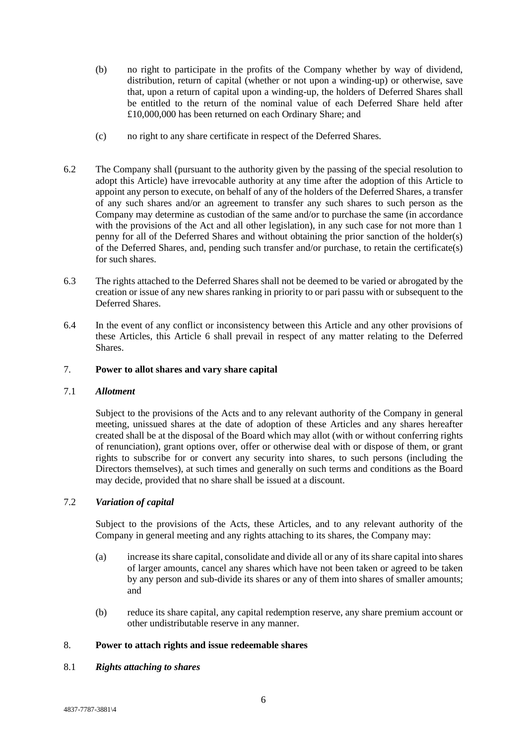- (b) no right to participate in the profits of the Company whether by way of dividend, distribution, return of capital (whether or not upon a winding-up) or otherwise, save that, upon a return of capital upon a winding-up, the holders of Deferred Shares shall be entitled to the return of the nominal value of each Deferred Share held after £10,000,000 has been returned on each Ordinary Share; and
- (c) no right to any share certificate in respect of the Deferred Shares.
- 6.2 The Company shall (pursuant to the authority given by the passing of the special resolution to adopt this Article) have irrevocable authority at any time after the adoption of this Article to appoint any person to execute, on behalf of any of the holders of the Deferred Shares, a transfer of any such shares and/or an agreement to transfer any such shares to such person as the Company may determine as custodian of the same and/or to purchase the same (in accordance with the provisions of the Act and all other legislation), in any such case for not more than 1 penny for all of the Deferred Shares and without obtaining the prior sanction of the holder(s) of the Deferred Shares, and, pending such transfer and/or purchase, to retain the certificate(s) for such shares.
- 6.3 The rights attached to the Deferred Shares shall not be deemed to be varied or abrogated by the creation or issue of any new shares ranking in priority to or pari passu with or subsequent to the Deferred Shares.
- 6.4 In the event of any conflict or inconsistency between this Article and any other provisions of these Articles, this Article [6](#page-9-4) shall prevail in respect of any matter relating to the Deferred Shares.

## <span id="page-10-0"></span>7. **Power to allot shares and vary share capital**

## 7.1 *Allotment*

Subject to the provisions of the Acts and to any relevant authority of the Company in general meeting, unissued shares at the date of adoption of these Articles and any shares hereafter created shall be at the disposal of the Board which may allot (with or without conferring rights of renunciation), grant options over, offer or otherwise deal with or dispose of them, or grant rights to subscribe for or convert any security into shares, to such persons (including the Directors themselves), at such times and generally on such terms and conditions as the Board may decide, provided that no share shall be issued at a discount.

## 7.2 *Variation of capital*

Subject to the provisions of the Acts, these Articles, and to any relevant authority of the Company in general meeting and any rights attaching to its shares, the Company may:

- (a) increase its share capital, consolidate and divide all or any of its share capital into shares of larger amounts, cancel any shares which have not been taken or agreed to be taken by any person and sub-divide its shares or any of them into shares of smaller amounts; and
- (b) reduce its share capital, any capital redemption reserve, any share premium account or other undistributable reserve in any manner.

## <span id="page-10-1"></span>8. **Power to attach rights and issue redeemable shares**

## 8.1 *Rights attaching to shares*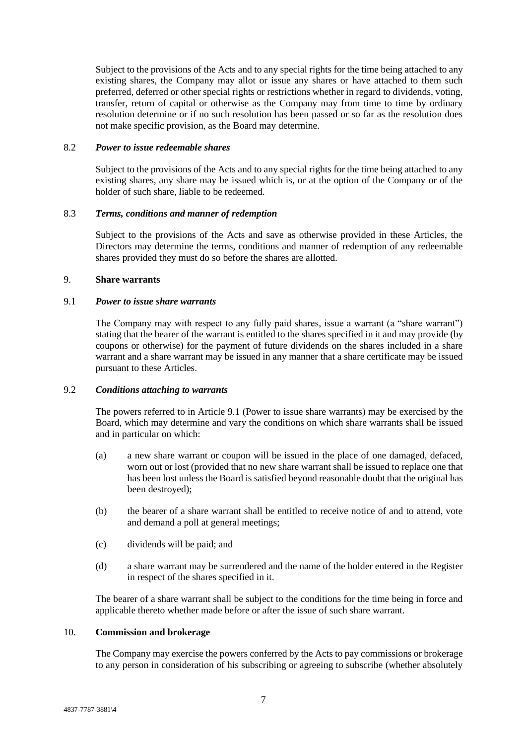Subject to the provisions of the Acts and to any special rights for the time being attached to any existing shares, the Company may allot or issue any shares or have attached to them such preferred, deferred or other special rights or restrictions whether in regard to dividends, voting, transfer, return of capital or otherwise as the Company may from time to time by ordinary resolution determine or if no such resolution has been passed or so far as the resolution does not make specific provision, as the Board may determine.

## 8.2 *Power to issue redeemable shares*

Subject to the provisions of the Acts and to any special rights for the time being attached to any existing shares, any share may be issued which is, or at the option of the Company or of the holder of such share, liable to be redeemed.

## 8.3 *Terms, conditions and manner of redemption*

Subject to the provisions of the Acts and save as otherwise provided in these Articles, the Directors may determine the terms, conditions and manner of redemption of any redeemable shares provided they must do so before the shares are allotted.

## <span id="page-11-0"></span>9. **Share warrants**

#### <span id="page-11-2"></span>9.1 *Power to issue share warrants*

The Company may with respect to any fully paid shares, issue a warrant (a "share warrant") stating that the bearer of the warrant is entitled to the shares specified in it and may provide (by coupons or otherwise) for the payment of future dividends on the shares included in a share warrant and a share warrant may be issued in any manner that a share certificate may be issued pursuant to these Articles.

## 9.2 *Conditions attaching to warrants*

The powers referred to in Article [9.1](#page-11-2) (Power to issue share warrants) may be exercised by the Board, which may determine and vary the conditions on which share warrants shall be issued and in particular on which:

- (a) a new share warrant or coupon will be issued in the place of one damaged, defaced, worn out or lost (provided that no new share warrant shall be issued to replace one that has been lost unless the Board is satisfied beyond reasonable doubt that the original has been destroyed);
- (b) the bearer of a share warrant shall be entitled to receive notice of and to attend, vote and demand a poll at general meetings;
- (c) dividends will be paid; and
- (d) a share warrant may be surrendered and the name of the holder entered in the Register in respect of the shares specified in it.

The bearer of a share warrant shall be subject to the conditions for the time being in force and applicable thereto whether made before or after the issue of such share warrant.

## <span id="page-11-1"></span>10. **Commission and brokerage**

The Company may exercise the powers conferred by the Acts to pay commissions or brokerage to any person in consideration of his subscribing or agreeing to subscribe (whether absolutely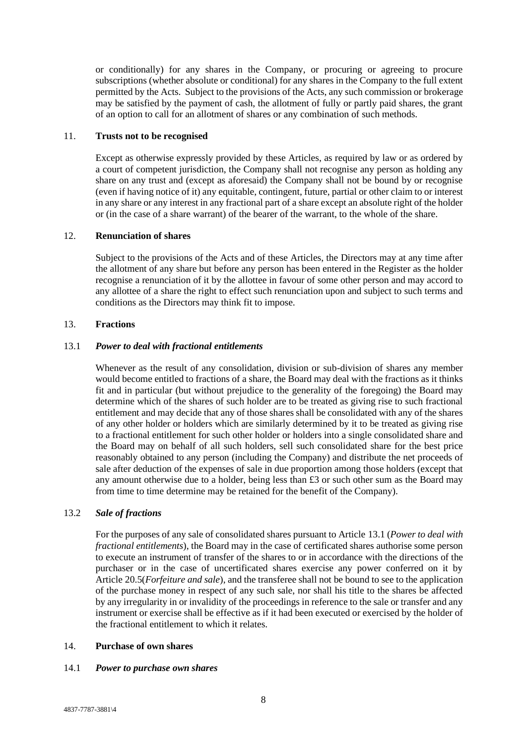or conditionally) for any shares in the Company, or procuring or agreeing to procure subscriptions (whether absolute or conditional) for any shares in the Company to the full extent permitted by the Acts. Subject to the provisions of the Acts, any such commission or brokerage may be satisfied by the payment of cash, the allotment of fully or partly paid shares, the grant of an option to call for an allotment of shares or any combination of such methods.

#### <span id="page-12-0"></span>11. **Trusts not to be recognised**

Except as otherwise expressly provided by these Articles, as required by law or as ordered by a court of competent jurisdiction, the Company shall not recognise any person as holding any share on any trust and (except as aforesaid) the Company shall not be bound by or recognise (even if having notice of it) any equitable, contingent, future, partial or other claim to or interest in any share or any interest in any fractional part of a share except an absolute right of the holder or (in the case of a share warrant) of the bearer of the warrant, to the whole of the share.

#### <span id="page-12-1"></span>12. **Renunciation of shares**

Subject to the provisions of the Acts and of these Articles, the Directors may at any time after the allotment of any share but before any person has been entered in the Register as the holder recognise a renunciation of it by the allottee in favour of some other person and may accord to any allottee of a share the right to effect such renunciation upon and subject to such terms and conditions as the Directors may think fit to impose.

#### <span id="page-12-2"></span>13. **Fractions**

### <span id="page-12-4"></span>13.1 *Power to deal with fractional entitlements*

Whenever as the result of any consolidation, division or sub-division of shares any member would become entitled to fractions of a share, the Board may deal with the fractions as it thinks fit and in particular (but without prejudice to the generality of the foregoing) the Board may determine which of the shares of such holder are to be treated as giving rise to such fractional entitlement and may decide that any of those shares shall be consolidated with any of the shares of any other holder or holders which are similarly determined by it to be treated as giving rise to a fractional entitlement for such other holder or holders into a single consolidated share and the Board may on behalf of all such holders, sell such consolidated share for the best price reasonably obtained to any person (including the Company) and distribute the net proceeds of sale after deduction of the expenses of sale in due proportion among those holders (except that any amount otherwise due to a holder, being less than £3 or such other sum as the Board may from time to time determine may be retained for the benefit of the Company).

## 13.2 *Sale of fractions*

For the purposes of any sale of consolidated shares pursuant to Article [13.1](#page-12-4) (*Power to deal with fractional entitlements*), the Board may in the case of certificated shares authorise some person to execute an instrument of transfer of the shares to or in accordance with the directions of the purchaser or in the case of uncertificated shares exercise any power conferred on it by Article [20.5\(](#page-16-0)*Forfeiture and sale*), and the transferee shall not be bound to see to the application of the purchase money in respect of any such sale, nor shall his title to the shares be affected by any irregularity in or invalidity of the proceedings in reference to the sale or transfer and any instrument or exercise shall be effective as if it had been executed or exercised by the holder of the fractional entitlement to which it relates.

## <span id="page-12-3"></span>14. **Purchase of own shares**

#### <span id="page-12-5"></span>14.1 *Power to purchase own shares*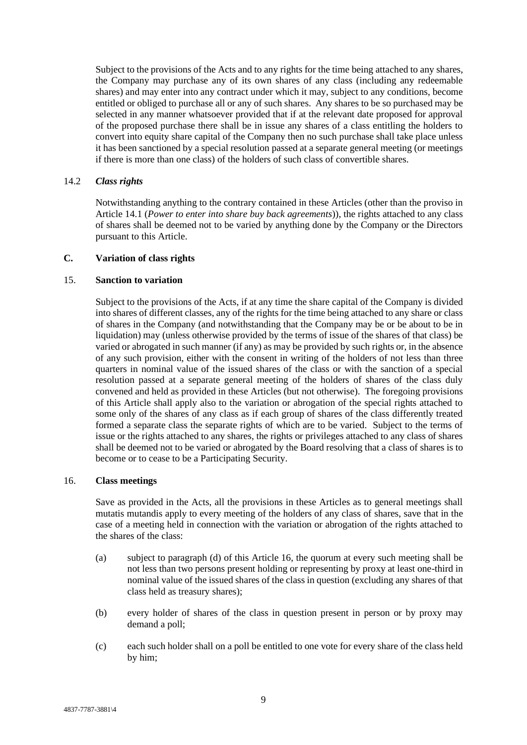Subject to the provisions of the Acts and to any rights for the time being attached to any shares, the Company may purchase any of its own shares of any class (including any redeemable shares) and may enter into any contract under which it may, subject to any conditions, become entitled or obliged to purchase all or any of such shares. Any shares to be so purchased may be selected in any manner whatsoever provided that if at the relevant date proposed for approval of the proposed purchase there shall be in issue any shares of a class entitling the holders to convert into equity share capital of the Company then no such purchase shall take place unless it has been sanctioned by a special resolution passed at a separate general meeting (or meetings if there is more than one class) of the holders of such class of convertible shares.

#### 14.2 *Class rights*

Notwithstanding anything to the contrary contained in these Articles (other than the proviso in Article [14.1](#page-12-5) (*Power to enter into share buy back agreements*)), the rights attached to any class of shares shall be deemed not to be varied by anything done by the Company or the Directors pursuant to this Article.

## <span id="page-13-0"></span>**C. Variation of class rights**

#### <span id="page-13-1"></span>15. **Sanction to variation**

Subject to the provisions of the Acts, if at any time the share capital of the Company is divided into shares of different classes, any of the rights for the time being attached to any share or class of shares in the Company (and notwithstanding that the Company may be or be about to be in liquidation) may (unless otherwise provided by the terms of issue of the shares of that class) be varied or abrogated in such manner (if any) as may be provided by such rights or, in the absence of any such provision, either with the consent in writing of the holders of not less than three quarters in nominal value of the issued shares of the class or with the sanction of a special resolution passed at a separate general meeting of the holders of shares of the class duly convened and held as provided in these Articles (but not otherwise). The foregoing provisions of this Article shall apply also to the variation or abrogation of the special rights attached to some only of the shares of any class as if each group of shares of the class differently treated formed a separate class the separate rights of which are to be varied. Subject to the terms of issue or the rights attached to any shares, the rights or privileges attached to any class of shares shall be deemed not to be varied or abrogated by the Board resolving that a class of shares is to become or to cease to be a Participating Security.

### <span id="page-13-2"></span>16. **Class meetings**

Save as provided in the Acts, all the provisions in these Articles as to general meetings shall mutatis mutandis apply to every meeting of the holders of any class of shares, save that in the case of a meeting held in connection with the variation or abrogation of the rights attached to the shares of the class:

- (a) subject to paragraph [\(d\)](#page-14-3) of this Article [16,](#page-13-2) the quorum at every such meeting shall be not less than two persons present holding or representing by proxy at least one-third in nominal value of the issued shares of the class in question (excluding any shares of that class held as treasury shares);
- (b) every holder of shares of the class in question present in person or by proxy may demand a poll;
- (c) each such holder shall on a poll be entitled to one vote for every share of the class held by him;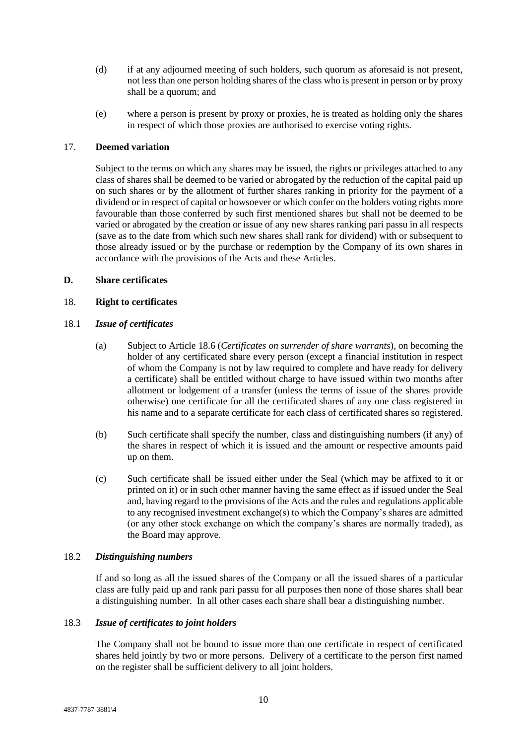- <span id="page-14-3"></span>(d) if at any adjourned meeting of such holders, such quorum as aforesaid is not present, not less than one person holding shares of the class who is present in person or by proxy shall be a quorum; and
- (e) where a person is present by proxy or proxies, he is treated as holding only the shares in respect of which those proxies are authorised to exercise voting rights.

## <span id="page-14-0"></span>17. **Deemed variation**

Subject to the terms on which any shares may be issued, the rights or privileges attached to any class of shares shall be deemed to be varied or abrogated by the reduction of the capital paid up on such shares or by the allotment of further shares ranking in priority for the payment of a dividend or in respect of capital or howsoever or which confer on the holders voting rights more favourable than those conferred by such first mentioned shares but shall not be deemed to be varied or abrogated by the creation or issue of any new shares ranking pari passu in all respects (save as to the date from which such new shares shall rank for dividend) with or subsequent to those already issued or by the purchase or redemption by the Company of its own shares in accordance with the provisions of the Acts and these Articles.

## <span id="page-14-1"></span>**D. Share certificates**

## <span id="page-14-2"></span>18. **Right to certificates**

## 18.1 *Issue of certificates*

- (a) Subject to Article [18.6](#page-15-2) (*Certificates on surrender of share warrants*), on becoming the holder of any certificated share every person (except a financial institution in respect of whom the Company is not by law required to complete and have ready for delivery a certificate) shall be entitled without charge to have issued within two months after allotment or lodgement of a transfer (unless the terms of issue of the shares provide otherwise) one certificate for all the certificated shares of any one class registered in his name and to a separate certificate for each class of certificated shares so registered.
- (b) Such certificate shall specify the number, class and distinguishing numbers (if any) of the shares in respect of which it is issued and the amount or respective amounts paid up on them.
- (c) Such certificate shall be issued either under the Seal (which may be affixed to it or printed on it) or in such other manner having the same effect as if issued under the Seal and, having regard to the provisions of the Acts and the rules and regulations applicable to any recognised investment exchange(s) to which the Company's shares are admitted (or any other stock exchange on which the company's shares are normally traded), as the Board may approve.

## 18.2 *Distinguishing numbers*

If and so long as all the issued shares of the Company or all the issued shares of a particular class are fully paid up and rank pari passu for all purposes then none of those shares shall bear a distinguishing number. In all other cases each share shall bear a distinguishing number.

## 18.3 *Issue of certificates to joint holders*

The Company shall not be bound to issue more than one certificate in respect of certificated shares held jointly by two or more persons. Delivery of a certificate to the person first named on the register shall be sufficient delivery to all joint holders.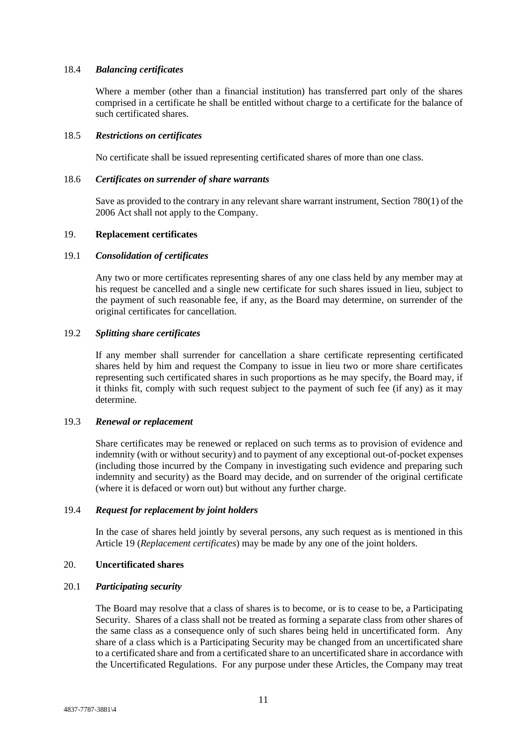## 18.4 *Balancing certificates*

Where a member (other than a financial institution) has transferred part only of the shares comprised in a certificate he shall be entitled without charge to a certificate for the balance of such certificated shares.

## 18.5 *Restrictions on certificates*

No certificate shall be issued representing certificated shares of more than one class.

#### <span id="page-15-2"></span>18.6 *Certificates on surrender of share warrants*

Save as provided to the contrary in any relevant share warrant instrument, Section 780(1) of the 2006 Act shall not apply to the Company.

## <span id="page-15-0"></span>19. **Replacement certificates**

### 19.1 *Consolidation of certificates*

Any two or more certificates representing shares of any one class held by any member may at his request be cancelled and a single new certificate for such shares issued in lieu, subject to the payment of such reasonable fee, if any, as the Board may determine, on surrender of the original certificates for cancellation.

## 19.2 *Splitting share certificates*

If any member shall surrender for cancellation a share certificate representing certificated shares held by him and request the Company to issue in lieu two or more share certificates representing such certificated shares in such proportions as he may specify, the Board may, if it thinks fit, comply with such request subject to the payment of such fee (if any) as it may determine.

#### 19.3 *Renewal or replacement*

Share certificates may be renewed or replaced on such terms as to provision of evidence and indemnity (with or without security) and to payment of any exceptional out-of-pocket expenses (including those incurred by the Company in investigating such evidence and preparing such indemnity and security) as the Board may decide, and on surrender of the original certificate (where it is defaced or worn out) but without any further charge.

## 19.4 *Request for replacement by joint holders*

In the case of shares held jointly by several persons, any such request as is mentioned in this Article [19](#page-15-0) (*Replacement certificates*) may be made by any one of the joint holders.

## <span id="page-15-1"></span>20. **Uncertificated shares**

## 20.1 *Participating security*

The Board may resolve that a class of shares is to become, or is to cease to be, a Participating Security. Shares of a class shall not be treated as forming a separate class from other shares of the same class as a consequence only of such shares being held in uncertificated form. Any share of a class which is a Participating Security may be changed from an uncertificated share to a certificated share and from a certificated share to an uncertificated share in accordance with the Uncertificated Regulations. For any purpose under these Articles, the Company may treat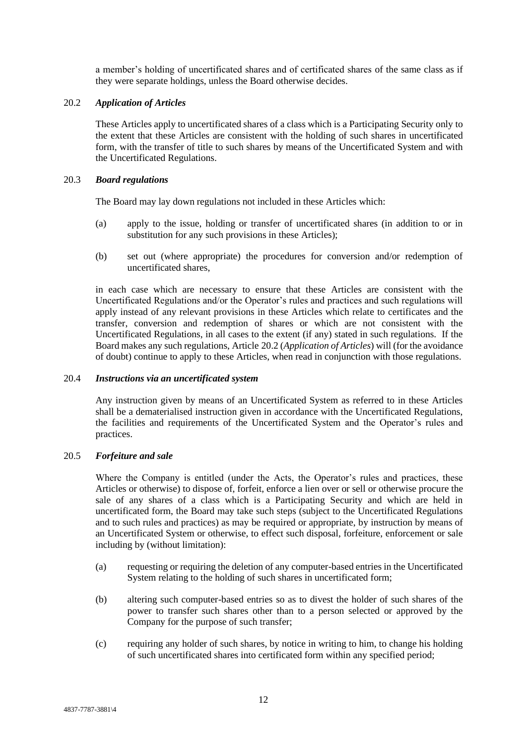a member's holding of uncertificated shares and of certificated shares of the same class as if they were separate holdings, unless the Board otherwise decides.

## <span id="page-16-1"></span>20.2 *Application of Articles*

These Articles apply to uncertificated shares of a class which is a Participating Security only to the extent that these Articles are consistent with the holding of such shares in uncertificated form, with the transfer of title to such shares by means of the Uncertificated System and with the Uncertificated Regulations.

## 20.3 *Board regulations*

The Board may lay down regulations not included in these Articles which:

- (a) apply to the issue, holding or transfer of uncertificated shares (in addition to or in substitution for any such provisions in these Articles);
- (b) set out (where appropriate) the procedures for conversion and/or redemption of uncertificated shares,

in each case which are necessary to ensure that these Articles are consistent with the Uncertificated Regulations and/or the Operator's rules and practices and such regulations will apply instead of any relevant provisions in these Articles which relate to certificates and the transfer, conversion and redemption of shares or which are not consistent with the Uncertificated Regulations, in all cases to the extent (if any) stated in such regulations. If the Board makes any such regulations, Article [20.2](#page-16-1) (*Application of Articles*) will (for the avoidance of doubt) continue to apply to these Articles, when read in conjunction with those regulations.

### 20.4 *Instructions via an uncertificated system*

Any instruction given by means of an Uncertificated System as referred to in these Articles shall be a dematerialised instruction given in accordance with the Uncertificated Regulations, the facilities and requirements of the Uncertificated System and the Operator's rules and practices.

## <span id="page-16-0"></span>20.5 *Forfeiture and sale*

Where the Company is entitled (under the Acts, the Operator's rules and practices, these Articles or otherwise) to dispose of, forfeit, enforce a lien over or sell or otherwise procure the sale of any shares of a class which is a Participating Security and which are held in uncertificated form, the Board may take such steps (subject to the Uncertificated Regulations and to such rules and practices) as may be required or appropriate, by instruction by means of an Uncertificated System or otherwise, to effect such disposal, forfeiture, enforcement or sale including by (without limitation):

- (a) requesting or requiring the deletion of any computer-based entries in the Uncertificated System relating to the holding of such shares in uncertificated form;
- (b) altering such computer-based entries so as to divest the holder of such shares of the power to transfer such shares other than to a person selected or approved by the Company for the purpose of such transfer;
- (c) requiring any holder of such shares, by notice in writing to him, to change his holding of such uncertificated shares into certificated form within any specified period;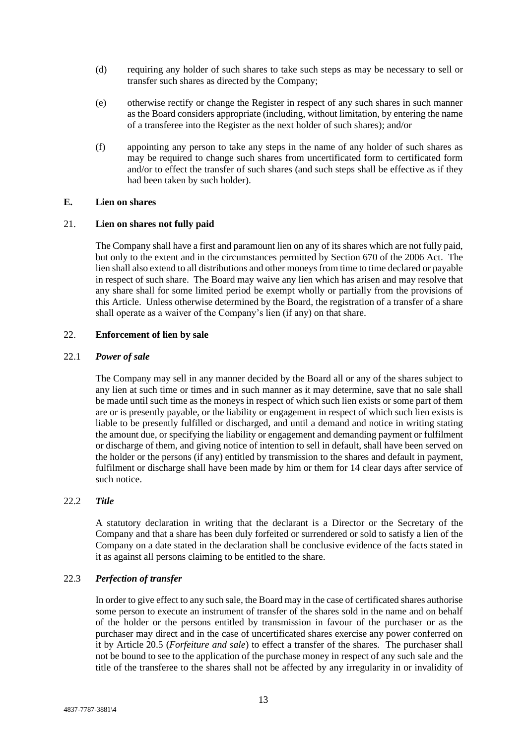- (d) requiring any holder of such shares to take such steps as may be necessary to sell or transfer such shares as directed by the Company;
- (e) otherwise rectify or change the Register in respect of any such shares in such manner as the Board considers appropriate (including, without limitation, by entering the name of a transferee into the Register as the next holder of such shares); and/or
- (f) appointing any person to take any steps in the name of any holder of such shares as may be required to change such shares from uncertificated form to certificated form and/or to effect the transfer of such shares (and such steps shall be effective as if they had been taken by such holder).

## <span id="page-17-0"></span>**E. Lien on shares**

## <span id="page-17-1"></span>21. **Lien on shares not fully paid**

The Company shall have a first and paramount lien on any of its shares which are not fully paid, but only to the extent and in the circumstances permitted by Section 670 of the 2006 Act. The lien shall also extend to all distributions and other moneys from time to time declared or payable in respect of such share. The Board may waive any lien which has arisen and may resolve that any share shall for some limited period be exempt wholly or partially from the provisions of this Article. Unless otherwise determined by the Board, the registration of a transfer of a share shall operate as a waiver of the Company's lien (if any) on that share.

## <span id="page-17-2"></span>22. **Enforcement of lien by sale**

#### 22.1 *Power of sale*

The Company may sell in any manner decided by the Board all or any of the shares subject to any lien at such time or times and in such manner as it may determine, save that no sale shall be made until such time as the moneys in respect of which such lien exists or some part of them are or is presently payable, or the liability or engagement in respect of which such lien exists is liable to be presently fulfilled or discharged, and until a demand and notice in writing stating the amount due, or specifying the liability or engagement and demanding payment or fulfilment or discharge of them, and giving notice of intention to sell in default, shall have been served on the holder or the persons (if any) entitled by transmission to the shares and default in payment, fulfilment or discharge shall have been made by him or them for 14 clear days after service of such notice.

## 22.2 *Title*

A statutory declaration in writing that the declarant is a Director or the Secretary of the Company and that a share has been duly forfeited or surrendered or sold to satisfy a lien of the Company on a date stated in the declaration shall be conclusive evidence of the facts stated in it as against all persons claiming to be entitled to the share.

## 22.3 *Perfection of transfer*

In order to give effect to any such sale, the Board may in the case of certificated shares authorise some person to execute an instrument of transfer of the shares sold in the name and on behalf of the holder or the persons entitled by transmission in favour of the purchaser or as the purchaser may direct and in the case of uncertificated shares exercise any power conferred on it by Article [20.5](#page-16-0) (*Forfeiture and sale*) to effect a transfer of the shares. The purchaser shall not be bound to see to the application of the purchase money in respect of any such sale and the title of the transferee to the shares shall not be affected by any irregularity in or invalidity of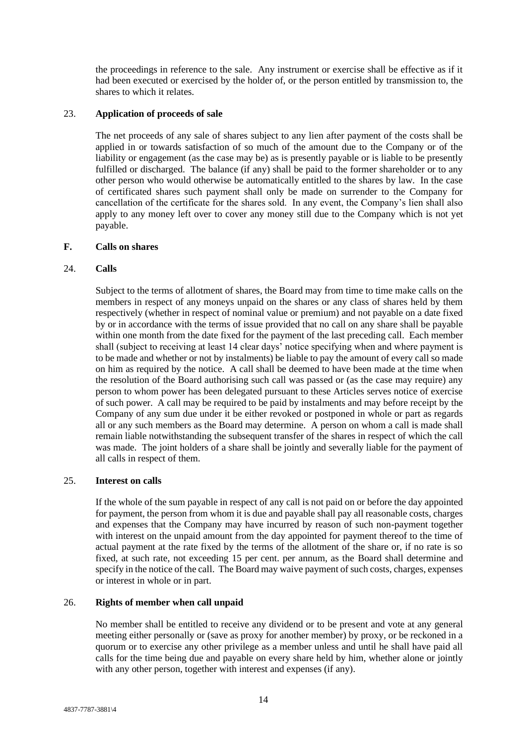the proceedings in reference to the sale. Any instrument or exercise shall be effective as if it had been executed or exercised by the holder of, or the person entitled by transmission to, the shares to which it relates.

## <span id="page-18-0"></span>23. **Application of proceeds of sale**

The net proceeds of any sale of shares subject to any lien after payment of the costs shall be applied in or towards satisfaction of so much of the amount due to the Company or of the liability or engagement (as the case may be) as is presently payable or is liable to be presently fulfilled or discharged. The balance (if any) shall be paid to the former shareholder or to any other person who would otherwise be automatically entitled to the shares by law. In the case of certificated shares such payment shall only be made on surrender to the Company for cancellation of the certificate for the shares sold. In any event, the Company's lien shall also apply to any money left over to cover any money still due to the Company which is not yet payable.

## <span id="page-18-1"></span>**F. Calls on shares**

## <span id="page-18-2"></span>24. **Calls**

Subject to the terms of allotment of shares, the Board may from time to time make calls on the members in respect of any moneys unpaid on the shares or any class of shares held by them respectively (whether in respect of nominal value or premium) and not payable on a date fixed by or in accordance with the terms of issue provided that no call on any share shall be payable within one month from the date fixed for the payment of the last preceding call. Each member shall (subject to receiving at least 14 clear days' notice specifying when and where payment is to be made and whether or not by instalments) be liable to pay the amount of every call so made on him as required by the notice. A call shall be deemed to have been made at the time when the resolution of the Board authorising such call was passed or (as the case may require) any person to whom power has been delegated pursuant to these Articles serves notice of exercise of such power. A call may be required to be paid by instalments and may before receipt by the Company of any sum due under it be either revoked or postponed in whole or part as regards all or any such members as the Board may determine. A person on whom a call is made shall remain liable notwithstanding the subsequent transfer of the shares in respect of which the call was made. The joint holders of a share shall be jointly and severally liable for the payment of all calls in respect of them.

## <span id="page-18-3"></span>25. **Interest on calls**

If the whole of the sum payable in respect of any call is not paid on or before the day appointed for payment, the person from whom it is due and payable shall pay all reasonable costs, charges and expenses that the Company may have incurred by reason of such non-payment together with interest on the unpaid amount from the day appointed for payment thereof to the time of actual payment at the rate fixed by the terms of the allotment of the share or, if no rate is so fixed, at such rate, not exceeding 15 per cent. per annum, as the Board shall determine and specify in the notice of the call. The Board may waive payment of such costs, charges, expenses or interest in whole or in part.

## <span id="page-18-4"></span>26. **Rights of member when call unpaid**

No member shall be entitled to receive any dividend or to be present and vote at any general meeting either personally or (save as proxy for another member) by proxy, or be reckoned in a quorum or to exercise any other privilege as a member unless and until he shall have paid all calls for the time being due and payable on every share held by him, whether alone or jointly with any other person, together with interest and expenses (if any).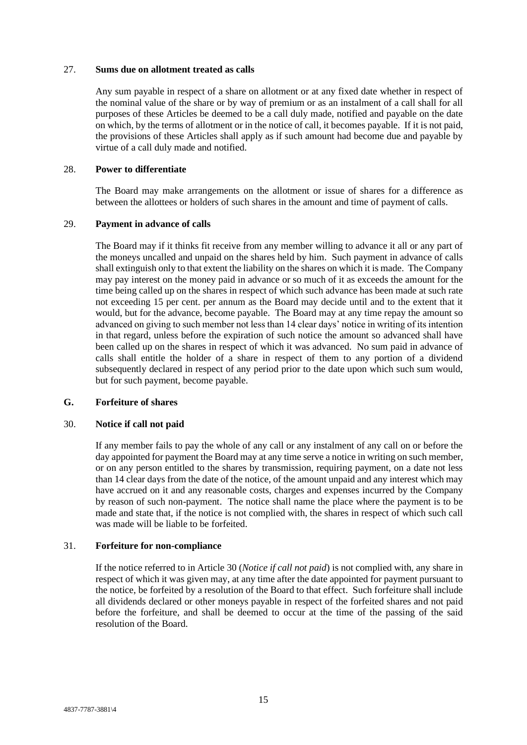#### <span id="page-19-0"></span>27. **Sums due on allotment treated as calls**

Any sum payable in respect of a share on allotment or at any fixed date whether in respect of the nominal value of the share or by way of premium or as an instalment of a call shall for all purposes of these Articles be deemed to be a call duly made, notified and payable on the date on which, by the terms of allotment or in the notice of call, it becomes payable. If it is not paid, the provisions of these Articles shall apply as if such amount had become due and payable by virtue of a call duly made and notified.

## <span id="page-19-1"></span>28. **Power to differentiate**

The Board may make arrangements on the allotment or issue of shares for a difference as between the allottees or holders of such shares in the amount and time of payment of calls.

## <span id="page-19-2"></span>29. **Payment in advance of calls**

The Board may if it thinks fit receive from any member willing to advance it all or any part of the moneys uncalled and unpaid on the shares held by him. Such payment in advance of calls shall extinguish only to that extent the liability on the shares on which it is made. The Company may pay interest on the money paid in advance or so much of it as exceeds the amount for the time being called up on the shares in respect of which such advance has been made at such rate not exceeding 15 per cent. per annum as the Board may decide until and to the extent that it would, but for the advance, become payable. The Board may at any time repay the amount so advanced on giving to such member not less than 14 clear days' notice in writing of its intention in that regard, unless before the expiration of such notice the amount so advanced shall have been called up on the shares in respect of which it was advanced. No sum paid in advance of calls shall entitle the holder of a share in respect of them to any portion of a dividend subsequently declared in respect of any period prior to the date upon which such sum would, but for such payment, become payable.

## <span id="page-19-3"></span>**G. Forfeiture of shares**

## <span id="page-19-4"></span>30. **Notice if call not paid**

If any member fails to pay the whole of any call or any instalment of any call on or before the day appointed for payment the Board may at any time serve a notice in writing on such member, or on any person entitled to the shares by transmission, requiring payment, on a date not less than 14 clear days from the date of the notice, of the amount unpaid and any interest which may have accrued on it and any reasonable costs, charges and expenses incurred by the Company by reason of such non-payment. The notice shall name the place where the payment is to be made and state that, if the notice is not complied with, the shares in respect of which such call was made will be liable to be forfeited.

## <span id="page-19-5"></span>31. **Forfeiture for non-compliance**

If the notice referred to in Article [30](#page-19-4) (*Notice if call not paid*) is not complied with, any share in respect of which it was given may, at any time after the date appointed for payment pursuant to the notice, be forfeited by a resolution of the Board to that effect. Such forfeiture shall include all dividends declared or other moneys payable in respect of the forfeited shares and not paid before the forfeiture, and shall be deemed to occur at the time of the passing of the said resolution of the Board.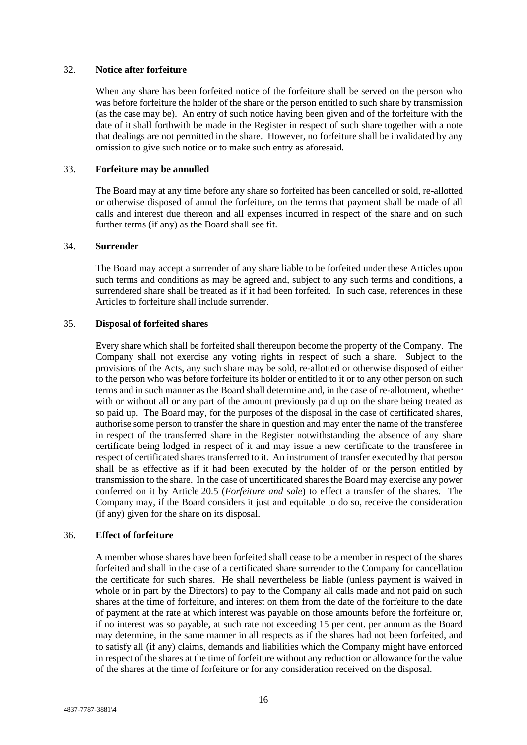#### <span id="page-20-0"></span>32. **Notice after forfeiture**

When any share has been forfeited notice of the forfeiture shall be served on the person who was before forfeiture the holder of the share or the person entitled to such share by transmission (as the case may be). An entry of such notice having been given and of the forfeiture with the date of it shall forthwith be made in the Register in respect of such share together with a note that dealings are not permitted in the share. However, no forfeiture shall be invalidated by any omission to give such notice or to make such entry as aforesaid.

## <span id="page-20-1"></span>33. **Forfeiture may be annulled**

The Board may at any time before any share so forfeited has been cancelled or sold, re-allotted or otherwise disposed of annul the forfeiture, on the terms that payment shall be made of all calls and interest due thereon and all expenses incurred in respect of the share and on such further terms (if any) as the Board shall see fit.

## <span id="page-20-2"></span>34. **Surrender**

The Board may accept a surrender of any share liable to be forfeited under these Articles upon such terms and conditions as may be agreed and, subject to any such terms and conditions, a surrendered share shall be treated as if it had been forfeited. In such case, references in these Articles to forfeiture shall include surrender.

#### <span id="page-20-3"></span>35. **Disposal of forfeited shares**

Every share which shall be forfeited shall thereupon become the property of the Company. The Company shall not exercise any voting rights in respect of such a share. Subject to the provisions of the Acts, any such share may be sold, re-allotted or otherwise disposed of either to the person who was before forfeiture its holder or entitled to it or to any other person on such terms and in such manner as the Board shall determine and, in the case of re-allotment, whether with or without all or any part of the amount previously paid up on the share being treated as so paid up. The Board may, for the purposes of the disposal in the case of certificated shares, authorise some person to transfer the share in question and may enter the name of the transferee in respect of the transferred share in the Register notwithstanding the absence of any share certificate being lodged in respect of it and may issue a new certificate to the transferee in respect of certificated shares transferred to it. An instrument of transfer executed by that person shall be as effective as if it had been executed by the holder of or the person entitled by transmission to the share. In the case of uncertificated shares the Board may exercise any power conferred on it by Article [20.5](#page-16-0) (*Forfeiture and sale*) to effect a transfer of the shares. The Company may, if the Board considers it just and equitable to do so, receive the consideration (if any) given for the share on its disposal.

## <span id="page-20-4"></span>36. **Effect of forfeiture**

A member whose shares have been forfeited shall cease to be a member in respect of the shares forfeited and shall in the case of a certificated share surrender to the Company for cancellation the certificate for such shares. He shall nevertheless be liable (unless payment is waived in whole or in part by the Directors) to pay to the Company all calls made and not paid on such shares at the time of forfeiture, and interest on them from the date of the forfeiture to the date of payment at the rate at which interest was payable on those amounts before the forfeiture or, if no interest was so payable, at such rate not exceeding 15 per cent. per annum as the Board may determine, in the same manner in all respects as if the shares had not been forfeited, and to satisfy all (if any) claims, demands and liabilities which the Company might have enforced in respect of the shares at the time of forfeiture without any reduction or allowance for the value of the shares at the time of forfeiture or for any consideration received on the disposal.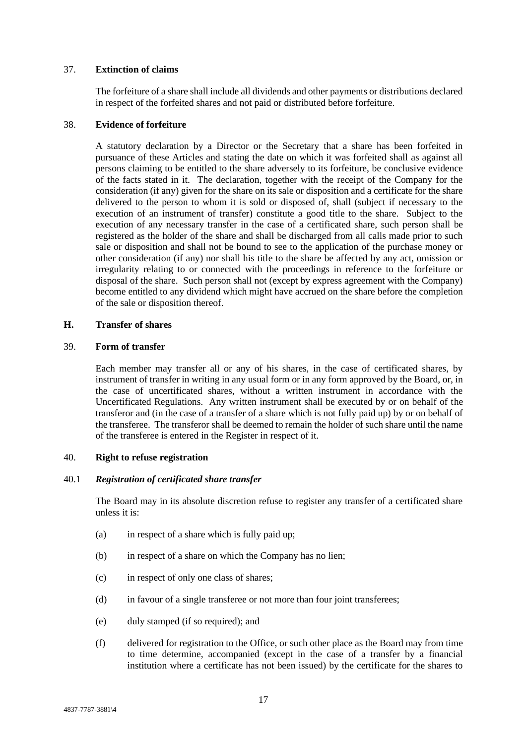## <span id="page-21-0"></span>37. **Extinction of claims**

The forfeiture of a share shall include all dividends and other payments or distributions declared in respect of the forfeited shares and not paid or distributed before forfeiture.

#### <span id="page-21-1"></span>38. **Evidence of forfeiture**

A statutory declaration by a Director or the Secretary that a share has been forfeited in pursuance of these Articles and stating the date on which it was forfeited shall as against all persons claiming to be entitled to the share adversely to its forfeiture, be conclusive evidence of the facts stated in it. The declaration, together with the receipt of the Company for the consideration (if any) given for the share on its sale or disposition and a certificate for the share delivered to the person to whom it is sold or disposed of, shall (subject if necessary to the execution of an instrument of transfer) constitute a good title to the share. Subject to the execution of any necessary transfer in the case of a certificated share, such person shall be registered as the holder of the share and shall be discharged from all calls made prior to such sale or disposition and shall not be bound to see to the application of the purchase money or other consideration (if any) nor shall his title to the share be affected by any act, omission or irregularity relating to or connected with the proceedings in reference to the forfeiture or disposal of the share. Such person shall not (except by express agreement with the Company) become entitled to any dividend which might have accrued on the share before the completion of the sale or disposition thereof.

#### <span id="page-21-2"></span>**H. Transfer of shares**

#### <span id="page-21-3"></span>39. **Form of transfer**

Each member may transfer all or any of his shares, in the case of certificated shares, by instrument of transfer in writing in any usual form or in any form approved by the Board, or, in the case of uncertificated shares, without a written instrument in accordance with the Uncertificated Regulations. Any written instrument shall be executed by or on behalf of the transferor and (in the case of a transfer of a share which is not fully paid up) by or on behalf of the transferee. The transferor shall be deemed to remain the holder of such share until the name of the transferee is entered in the Register in respect of it.

## <span id="page-21-4"></span>40. **Right to refuse registration**

## 40.1 *Registration of certificated share transfer*

The Board may in its absolute discretion refuse to register any transfer of a certificated share unless it is:

- (a) in respect of a share which is fully paid up;
- (b) in respect of a share on which the Company has no lien;
- (c) in respect of only one class of shares;
- (d) in favour of a single transferee or not more than four joint transferees;
- (e) duly stamped (if so required); and
- (f) delivered for registration to the Office, or such other place as the Board may from time to time determine, accompanied (except in the case of a transfer by a financial institution where a certificate has not been issued) by the certificate for the shares to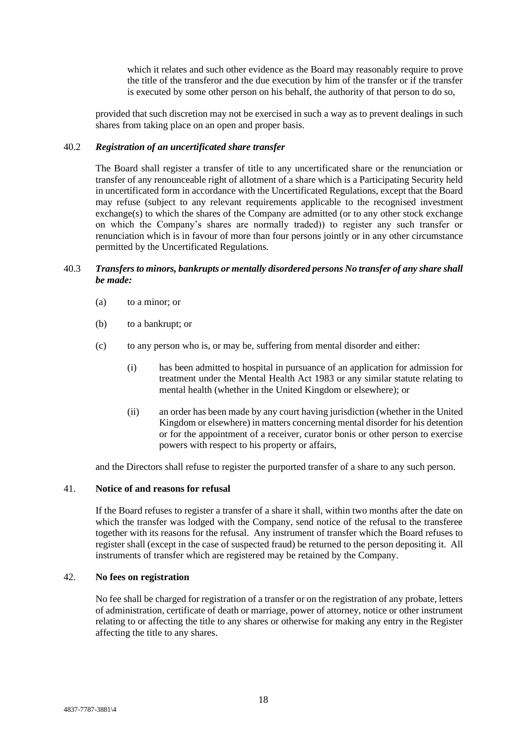which it relates and such other evidence as the Board may reasonably require to prove the title of the transferor and the due execution by him of the transfer or if the transfer is executed by some other person on his behalf, the authority of that person to do so,

provided that such discretion may not be exercised in such a way as to prevent dealings in such shares from taking place on an open and proper basis.

## 40.2 *Registration of an uncertificated share transfer*

The Board shall register a transfer of title to any uncertificated share or the renunciation or transfer of any renounceable right of allotment of a share which is a Participating Security held in uncertificated form in accordance with the Uncertificated Regulations, except that the Board may refuse (subject to any relevant requirements applicable to the recognised investment exchange(s) to which the shares of the Company are admitted (or to any other stock exchange on which the Company's shares are normally traded)) to register any such transfer or renunciation which is in favour of more than four persons jointly or in any other circumstance permitted by the Uncertificated Regulations.

## 40.3 *Transfers to minors, bankrupts or mentally disordered persons No transfer of any share shall be made:*

- (a) to a minor; or
- (b) to a bankrupt; or
- (c) to any person who is, or may be, suffering from mental disorder and either:
	- (i) has been admitted to hospital in pursuance of an application for admission for treatment under the Mental Health Act 1983 or any similar statute relating to mental health (whether in the United Kingdom or elsewhere); or
	- (ii) an order has been made by any court having jurisdiction (whether in the United Kingdom or elsewhere) in matters concerning mental disorder for his detention or for the appointment of a receiver, curator bonis or other person to exercise powers with respect to his property or affairs,

and the Directors shall refuse to register the purported transfer of a share to any such person.

## <span id="page-22-0"></span>41. **Notice of and reasons for refusal**

If the Board refuses to register a transfer of a share it shall, within two months after the date on which the transfer was lodged with the Company, send notice of the refusal to the transferee together with its reasons for the refusal. Any instrument of transfer which the Board refuses to register shall (except in the case of suspected fraud) be returned to the person depositing it. All instruments of transfer which are registered may be retained by the Company.

#### <span id="page-22-1"></span>42. **No fees on registration**

No fee shall be charged for registration of a transfer or on the registration of any probate, letters of administration, certificate of death or marriage, power of attorney, notice or other instrument relating to or affecting the title to any shares or otherwise for making any entry in the Register affecting the title to any shares.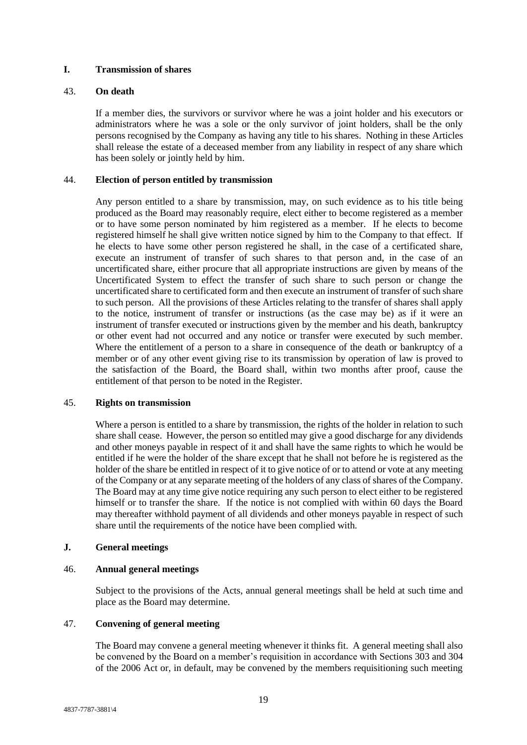## <span id="page-23-0"></span>**I. Transmission of shares**

## <span id="page-23-1"></span>43. **On death**

If a member dies, the survivors or survivor where he was a joint holder and his executors or administrators where he was a sole or the only survivor of joint holders, shall be the only persons recognised by the Company as having any title to his shares. Nothing in these Articles shall release the estate of a deceased member from any liability in respect of any share which has been solely or jointly held by him.

## <span id="page-23-2"></span>44. **Election of person entitled by transmission**

Any person entitled to a share by transmission, may, on such evidence as to his title being produced as the Board may reasonably require, elect either to become registered as a member or to have some person nominated by him registered as a member. If he elects to become registered himself he shall give written notice signed by him to the Company to that effect. If he elects to have some other person registered he shall, in the case of a certificated share, execute an instrument of transfer of such shares to that person and, in the case of an uncertificated share, either procure that all appropriate instructions are given by means of the Uncertificated System to effect the transfer of such share to such person or change the uncertificated share to certificated form and then execute an instrument of transfer of such share to such person. All the provisions of these Articles relating to the transfer of shares shall apply to the notice, instrument of transfer or instructions (as the case may be) as if it were an instrument of transfer executed or instructions given by the member and his death, bankruptcy or other event had not occurred and any notice or transfer were executed by such member. Where the entitlement of a person to a share in consequence of the death or bankruptcy of a member or of any other event giving rise to its transmission by operation of law is proved to the satisfaction of the Board, the Board shall, within two months after proof, cause the entitlement of that person to be noted in the Register.

## <span id="page-23-3"></span>45. **Rights on transmission**

Where a person is entitled to a share by transmission, the rights of the holder in relation to such share shall cease. However, the person so entitled may give a good discharge for any dividends and other moneys payable in respect of it and shall have the same rights to which he would be entitled if he were the holder of the share except that he shall not before he is registered as the holder of the share be entitled in respect of it to give notice of or to attend or vote at any meeting of the Company or at any separate meeting of the holders of any class of shares of the Company. The Board may at any time give notice requiring any such person to elect either to be registered himself or to transfer the share. If the notice is not complied with within 60 days the Board may thereafter withhold payment of all dividends and other moneys payable in respect of such share until the requirements of the notice have been complied with.

## <span id="page-23-4"></span>**J. General meetings**

## <span id="page-23-5"></span>46. **Annual general meetings**

Subject to the provisions of the Acts, annual general meetings shall be held at such time and place as the Board may determine.

## <span id="page-23-6"></span>47. **Convening of general meeting**

The Board may convene a general meeting whenever it thinks fit. A general meeting shall also be convened by the Board on a member's requisition in accordance with Sections 303 and 304 of the 2006 Act or, in default, may be convened by the members requisitioning such meeting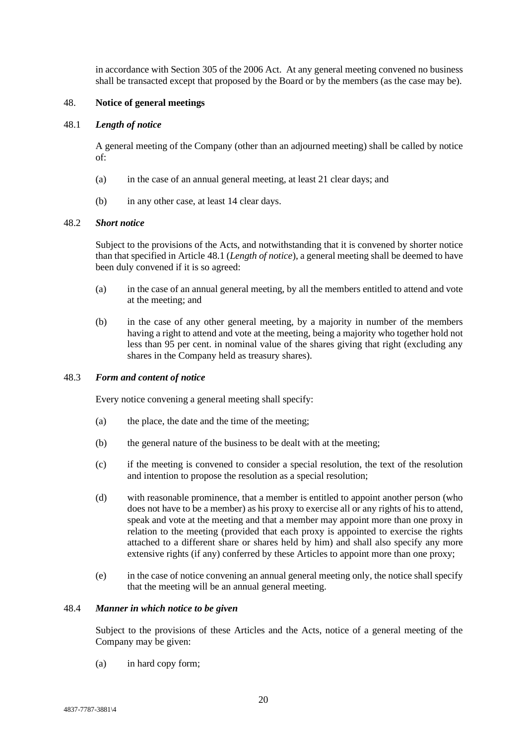in accordance with Section 305 of the 2006 Act. At any general meeting convened no business shall be transacted except that proposed by the Board or by the members (as the case may be).

## <span id="page-24-0"></span>48. **Notice of general meetings**

#### <span id="page-24-1"></span>48.1 *Length of notice*

A general meeting of the Company (other than an adjourned meeting) shall be called by notice of:

- (a) in the case of an annual general meeting, at least 21 clear days; and
- (b) in any other case, at least 14 clear days.

#### 48.2 *Short notice*

Subject to the provisions of the Acts, and notwithstanding that it is convened by shorter notice than that specified in Article [48.1](#page-24-1) (*Length of notice*), a general meeting shall be deemed to have been duly convened if it is so agreed:

- (a) in the case of an annual general meeting, by all the members entitled to attend and vote at the meeting; and
- (b) in the case of any other general meeting, by a majority in number of the members having a right to attend and vote at the meeting, being a majority who together hold not less than 95 per cent. in nominal value of the shares giving that right (excluding any shares in the Company held as treasury shares).

## 48.3 *Form and content of notice*

Every notice convening a general meeting shall specify:

- (a) the place, the date and the time of the meeting;
- (b) the general nature of the business to be dealt with at the meeting;
- (c) if the meeting is convened to consider a special resolution, the text of the resolution and intention to propose the resolution as a special resolution;
- (d) with reasonable prominence, that a member is entitled to appoint another person (who does not have to be a member) as his proxy to exercise all or any rights of his to attend, speak and vote at the meeting and that a member may appoint more than one proxy in relation to the meeting (provided that each proxy is appointed to exercise the rights attached to a different share or shares held by him) and shall also specify any more extensive rights (if any) conferred by these Articles to appoint more than one proxy;
- (e) in the case of notice convening an annual general meeting only, the notice shall specify that the meeting will be an annual general meeting.

#### 48.4 *Manner in which notice to be given*

Subject to the provisions of these Articles and the Acts, notice of a general meeting of the Company may be given:

(a) in hard copy form;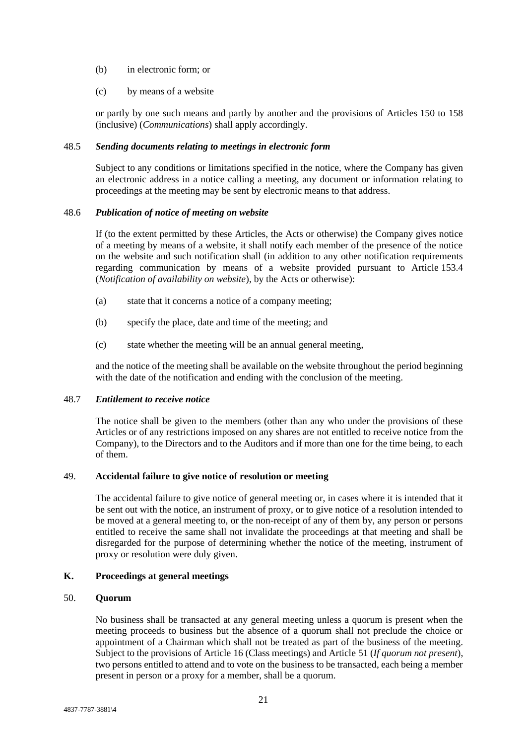- (b) in electronic form; or
- (c) by means of a website

or partly by one such means and partly by another and the provisions of Articles 150 to 158 (inclusive) (*Communications*) shall apply accordingly.

## 48.5 *Sending documents relating to meetings in electronic form*

Subject to any conditions or limitations specified in the notice, where the Company has given an electronic address in a notice calling a meeting, any document or information relating to proceedings at the meeting may be sent by electronic means to that address.

#### 48.6 *Publication of notice of meeting on website*

If (to the extent permitted by these Articles, the Acts or otherwise) the Company gives notice of a meeting by means of a website, it shall notify each member of the presence of the notice on the website and such notification shall (in addition to any other notification requirements regarding communication by means of a website provided pursuant to Article [153.4](#page-67-0) (*Notification of availability on website*), by the Acts or otherwise):

- (a) state that it concerns a notice of a company meeting;
- (b) specify the place, date and time of the meeting; and
- (c) state whether the meeting will be an annual general meeting,

and the notice of the meeting shall be available on the website throughout the period beginning with the date of the notification and ending with the conclusion of the meeting.

#### 48.7 *Entitlement to receive notice*

The notice shall be given to the members (other than any who under the provisions of these Articles or of any restrictions imposed on any shares are not entitled to receive notice from the Company), to the Directors and to the Auditors and if more than one for the time being, to each of them.

#### <span id="page-25-0"></span>49. **Accidental failure to give notice of resolution or meeting**

The accidental failure to give notice of general meeting or, in cases where it is intended that it be sent out with the notice, an instrument of proxy, or to give notice of a resolution intended to be moved at a general meeting to, or the non-receipt of any of them by, any person or persons entitled to receive the same shall not invalidate the proceedings at that meeting and shall be disregarded for the purpose of determining whether the notice of the meeting, instrument of proxy or resolution were duly given.

# <span id="page-25-1"></span>**K. Proceedings at general meetings**

## <span id="page-25-2"></span>50. **Quorum**

No business shall be transacted at any general meeting unless a quorum is present when the meeting proceeds to business but the absence of a quorum shall not preclude the choice or appointment of a Chairman which shall not be treated as part of the business of the meeting. Subject to the provisions of Article [16](#page-13-2) (Class meetings) and Article [51](#page-26-0) (*If quorum not present*), two persons entitled to attend and to vote on the business to be transacted, each being a member present in person or a proxy for a member, shall be a quorum.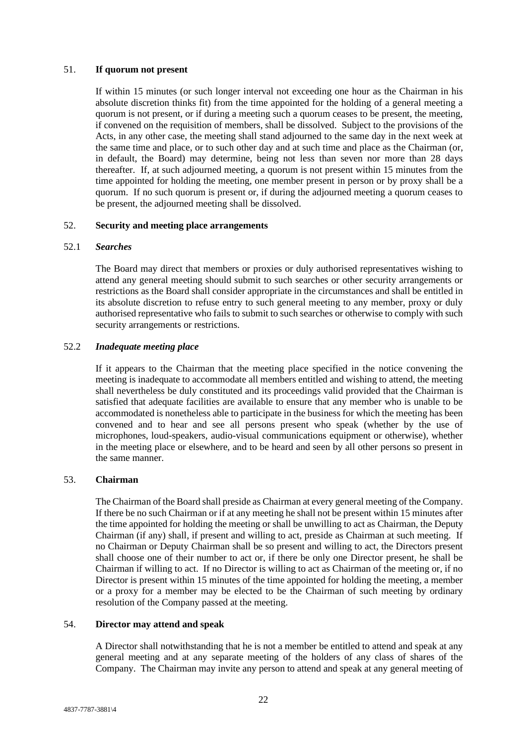## <span id="page-26-0"></span>51. **If quorum not present**

If within 15 minutes (or such longer interval not exceeding one hour as the Chairman in his absolute discretion thinks fit) from the time appointed for the holding of a general meeting a quorum is not present, or if during a meeting such a quorum ceases to be present, the meeting, if convened on the requisition of members, shall be dissolved. Subject to the provisions of the Acts, in any other case, the meeting shall stand adjourned to the same day in the next week at the same time and place, or to such other day and at such time and place as the Chairman (or, in default, the Board) may determine, being not less than seven nor more than 28 days thereafter. If, at such adjourned meeting, a quorum is not present within 15 minutes from the time appointed for holding the meeting, one member present in person or by proxy shall be a quorum. If no such quorum is present or, if during the adjourned meeting a quorum ceases to be present, the adjourned meeting shall be dissolved.

## <span id="page-26-1"></span>52. **Security and meeting place arrangements**

## 52.1 *Searches*

The Board may direct that members or proxies or duly authorised representatives wishing to attend any general meeting should submit to such searches or other security arrangements or restrictions as the Board shall consider appropriate in the circumstances and shall be entitled in its absolute discretion to refuse entry to such general meeting to any member, proxy or duly authorised representative who fails to submit to such searches or otherwise to comply with such security arrangements or restrictions.

## 52.2 *Inadequate meeting place*

If it appears to the Chairman that the meeting place specified in the notice convening the meeting is inadequate to accommodate all members entitled and wishing to attend, the meeting shall nevertheless be duly constituted and its proceedings valid provided that the Chairman is satisfied that adequate facilities are available to ensure that any member who is unable to be accommodated is nonetheless able to participate in the business for which the meeting has been convened and to hear and see all persons present who speak (whether by the use of microphones, loud-speakers, audio-visual communications equipment or otherwise), whether in the meeting place or elsewhere, and to be heard and seen by all other persons so present in the same manner.

## <span id="page-26-2"></span>53. **Chairman**

The Chairman of the Board shall preside as Chairman at every general meeting of the Company. If there be no such Chairman or if at any meeting he shall not be present within 15 minutes after the time appointed for holding the meeting or shall be unwilling to act as Chairman, the Deputy Chairman (if any) shall, if present and willing to act, preside as Chairman at such meeting. If no Chairman or Deputy Chairman shall be so present and willing to act, the Directors present shall choose one of their number to act or, if there be only one Director present, he shall be Chairman if willing to act. If no Director is willing to act as Chairman of the meeting or, if no Director is present within 15 minutes of the time appointed for holding the meeting, a member or a proxy for a member may be elected to be the Chairman of such meeting by ordinary resolution of the Company passed at the meeting.

## <span id="page-26-3"></span>54. **Director may attend and speak**

A Director shall notwithstanding that he is not a member be entitled to attend and speak at any general meeting and at any separate meeting of the holders of any class of shares of the Company. The Chairman may invite any person to attend and speak at any general meeting of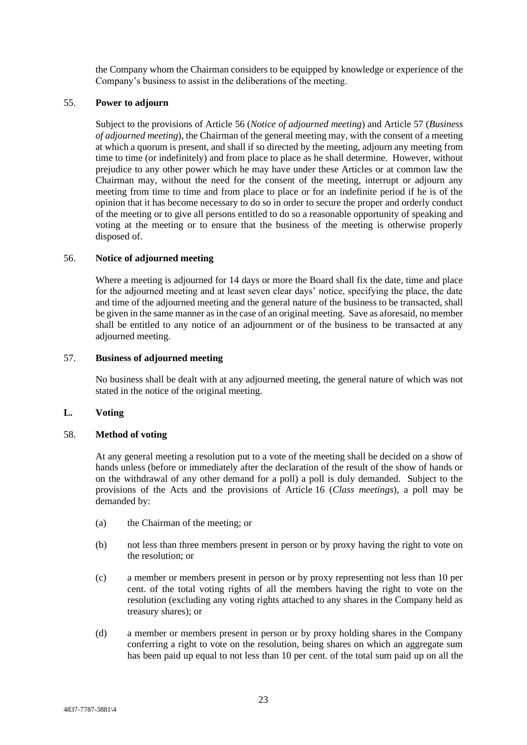the Company whom the Chairman considers to be equipped by knowledge or experience of the Company's business to assist in the deliberations of the meeting.

## <span id="page-27-0"></span>55. **Power to adjourn**

Subject to the provisions of Article [56](#page-27-1) (*Notice of adjourned meeting*) and Article [57](#page-27-2) (*Business of adjourned meeting*), the Chairman of the general meeting may, with the consent of a meeting at which a quorum is present, and shall if so directed by the meeting, adjourn any meeting from time to time (or indefinitely) and from place to place as he shall determine. However, without prejudice to any other power which he may have under these Articles or at common law the Chairman may, without the need for the consent of the meeting, interrupt or adjourn any meeting from time to time and from place to place or for an indefinite period if he is of the opinion that it has become necessary to do so in order to secure the proper and orderly conduct of the meeting or to give all persons entitled to do so a reasonable opportunity of speaking and voting at the meeting or to ensure that the business of the meeting is otherwise properly disposed of.

#### <span id="page-27-1"></span>56. **Notice of adjourned meeting**

Where a meeting is adjourned for 14 days or more the Board shall fix the date, time and place for the adjourned meeting and at least seven clear days' notice, specifying the place, the date and time of the adjourned meeting and the general nature of the business to be transacted, shall be given in the same manner as in the case of an original meeting. Save as aforesaid, no member shall be entitled to any notice of an adjournment or of the business to be transacted at any adjourned meeting.

## <span id="page-27-2"></span>57. **Business of adjourned meeting**

No business shall be dealt with at any adjourned meeting, the general nature of which was not stated in the notice of the original meeting.

## <span id="page-27-3"></span>**L. Voting**

#### <span id="page-27-4"></span>58. **Method of voting**

At any general meeting a resolution put to a vote of the meeting shall be decided on a show of hands unless (before or immediately after the declaration of the result of the show of hands or on the withdrawal of any other demand for a poll) a poll is duly demanded. Subject to the provisions of the Acts and the provisions of Article [16](#page-13-2) (*Class meetings*), a poll may be demanded by:

- (a) the Chairman of the meeting; or
- <span id="page-27-5"></span>(b) not less than three members present in person or by proxy having the right to vote on the resolution; or
- <span id="page-27-6"></span>(c) a member or members present in person or by proxy representing not less than 10 per cent. of the total voting rights of all the members having the right to vote on the resolution (excluding any voting rights attached to any shares in the Company held as treasury shares); or
- <span id="page-27-7"></span>(d) a member or members present in person or by proxy holding shares in the Company conferring a right to vote on the resolution, being shares on which an aggregate sum has been paid up equal to not less than 10 per cent. of the total sum paid up on all the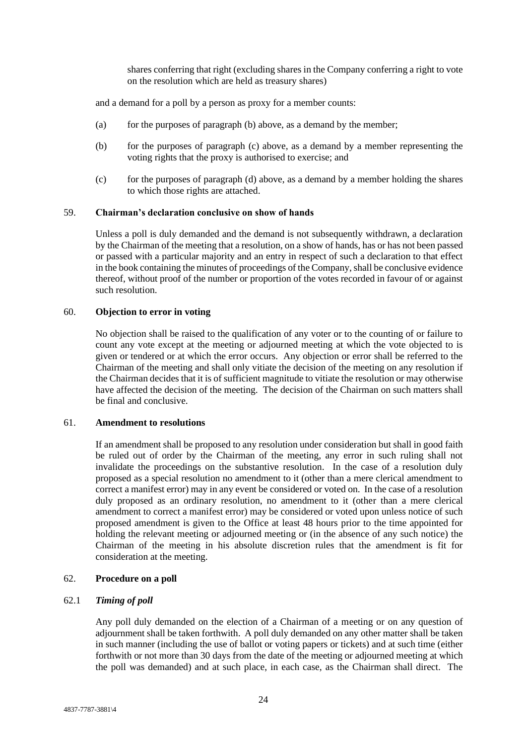shares conferring that right (excluding shares in the Company conferring a right to vote on the resolution which are held as treasury shares)

and a demand for a poll by a person as proxy for a member counts:

- (a) for the purposes of paragraph [\(b\)](#page-27-5) above, as a demand by the member;
- (b) for the purposes of paragraph [\(c\)](#page-27-6) above, as a demand by a member representing the voting rights that the proxy is authorised to exercise; and
- (c) for the purposes of paragraph [\(d\)](#page-27-7) above, as a demand by a member holding the shares to which those rights are attached.

#### <span id="page-28-0"></span>59. **Chairman's declaration conclusive on show of hands**

Unless a poll is duly demanded and the demand is not subsequently withdrawn, a declaration by the Chairman of the meeting that a resolution, on a show of hands, has or has not been passed or passed with a particular majority and an entry in respect of such a declaration to that effect in the book containing the minutes of proceedings of the Company, shall be conclusive evidence thereof, without proof of the number or proportion of the votes recorded in favour of or against such resolution.

## <span id="page-28-1"></span>60. **Objection to error in voting**

No objection shall be raised to the qualification of any voter or to the counting of or failure to count any vote except at the meeting or adjourned meeting at which the vote objected to is given or tendered or at which the error occurs. Any objection or error shall be referred to the Chairman of the meeting and shall only vitiate the decision of the meeting on any resolution if the Chairman decides that it is of sufficient magnitude to vitiate the resolution or may otherwise have affected the decision of the meeting. The decision of the Chairman on such matters shall be final and conclusive.

#### <span id="page-28-2"></span>61. **Amendment to resolutions**

If an amendment shall be proposed to any resolution under consideration but shall in good faith be ruled out of order by the Chairman of the meeting, any error in such ruling shall not invalidate the proceedings on the substantive resolution. In the case of a resolution duly proposed as a special resolution no amendment to it (other than a mere clerical amendment to correct a manifest error) may in any event be considered or voted on. In the case of a resolution duly proposed as an ordinary resolution, no amendment to it (other than a mere clerical amendment to correct a manifest error) may be considered or voted upon unless notice of such proposed amendment is given to the Office at least 48 hours prior to the time appointed for holding the relevant meeting or adjourned meeting or (in the absence of any such notice) the Chairman of the meeting in his absolute discretion rules that the amendment is fit for consideration at the meeting.

#### <span id="page-28-3"></span>62. **Procedure on a poll**

#### 62.1 *Timing of poll*

Any poll duly demanded on the election of a Chairman of a meeting or on any question of adjournment shall be taken forthwith. A poll duly demanded on any other matter shall be taken in such manner (including the use of ballot or voting papers or tickets) and at such time (either forthwith or not more than 30 days from the date of the meeting or adjourned meeting at which the poll was demanded) and at such place, in each case, as the Chairman shall direct. The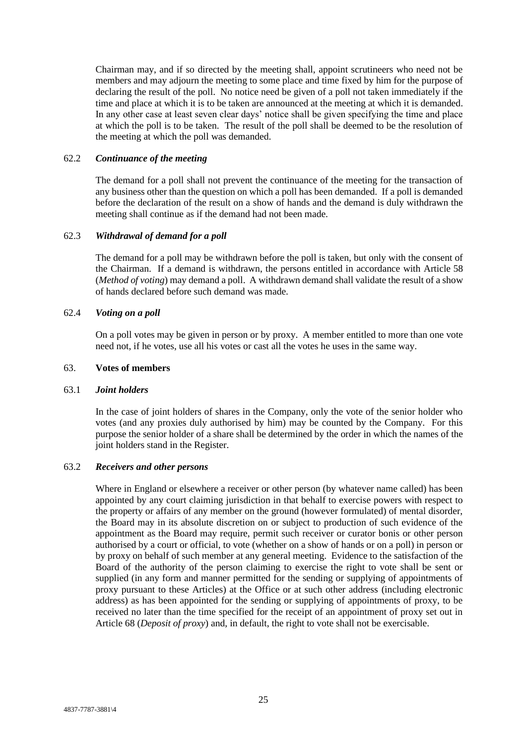Chairman may, and if so directed by the meeting shall, appoint scrutineers who need not be members and may adjourn the meeting to some place and time fixed by him for the purpose of declaring the result of the poll. No notice need be given of a poll not taken immediately if the time and place at which it is to be taken are announced at the meeting at which it is demanded. In any other case at least seven clear days' notice shall be given specifying the time and place at which the poll is to be taken. The result of the poll shall be deemed to be the resolution of the meeting at which the poll was demanded.

## 62.2 *Continuance of the meeting*

The demand for a poll shall not prevent the continuance of the meeting for the transaction of any business other than the question on which a poll has been demanded. If a poll is demanded before the declaration of the result on a show of hands and the demand is duly withdrawn the meeting shall continue as if the demand had not been made.

## 62.3 *Withdrawal of demand for a poll*

The demand for a poll may be withdrawn before the poll is taken, but only with the consent of the Chairman. If a demand is withdrawn, the persons entitled in accordance with Article [58](#page-27-4) (*Method of voting*) may demand a poll. A withdrawn demand shall validate the result of a show of hands declared before such demand was made.

#### 62.4 *Voting on a poll*

On a poll votes may be given in person or by proxy. A member entitled to more than one vote need not, if he votes, use all his votes or cast all the votes he uses in the same way.

#### <span id="page-29-0"></span>63. **Votes of members**

## 63.1 *Joint holders*

In the case of joint holders of shares in the Company, only the vote of the senior holder who votes (and any proxies duly authorised by him) may be counted by the Company. For this purpose the senior holder of a share shall be determined by the order in which the names of the joint holders stand in the Register.

## 63.2 *Receivers and other persons*

Where in England or elsewhere a receiver or other person (by whatever name called) has been appointed by any court claiming jurisdiction in that behalf to exercise powers with respect to the property or affairs of any member on the ground (however formulated) of mental disorder, the Board may in its absolute discretion on or subject to production of such evidence of the appointment as the Board may require, permit such receiver or curator bonis or other person authorised by a court or official, to vote (whether on a show of hands or on a poll) in person or by proxy on behalf of such member at any general meeting. Evidence to the satisfaction of the Board of the authority of the person claiming to exercise the right to vote shall be sent or supplied (in any form and manner permitted for the sending or supplying of appointments of proxy pursuant to these Articles) at the Office or at such other address (including electronic address) as has been appointed for the sending or supplying of appointments of proxy, to be received no later than the time specified for the receipt of an appointment of proxy set out in Article [68](#page-31-0) (*Deposit of proxy*) and, in default, the right to vote shall not be exercisable.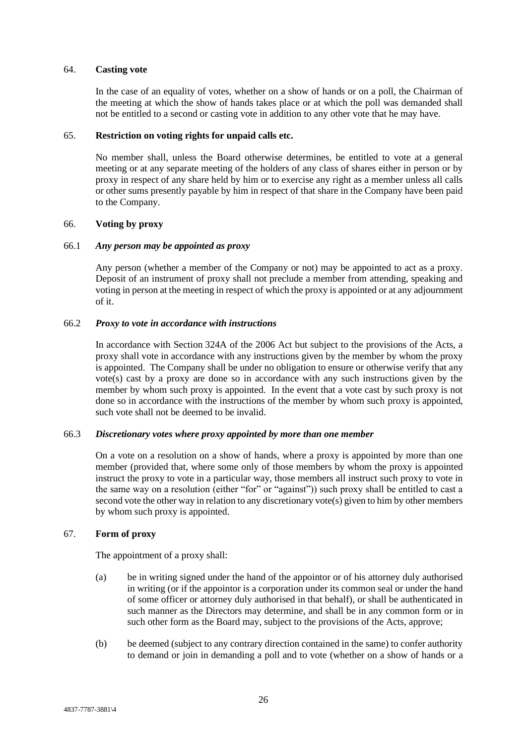#### <span id="page-30-0"></span>64. **Casting vote**

In the case of an equality of votes, whether on a show of hands or on a poll, the Chairman of the meeting at which the show of hands takes place or at which the poll was demanded shall not be entitled to a second or casting vote in addition to any other vote that he may have.

## <span id="page-30-1"></span>65. **Restriction on voting rights for unpaid calls etc.**

No member shall, unless the Board otherwise determines, be entitled to vote at a general meeting or at any separate meeting of the holders of any class of shares either in person or by proxy in respect of any share held by him or to exercise any right as a member unless all calls or other sums presently payable by him in respect of that share in the Company have been paid to the Company.

#### <span id="page-30-2"></span>66. **Voting by proxy**

## 66.1 *Any person may be appointed as proxy*

Any person (whether a member of the Company or not) may be appointed to act as a proxy. Deposit of an instrument of proxy shall not preclude a member from attending, speaking and voting in person at the meeting in respect of which the proxy is appointed or at any adjournment of it.

## 66.2 *Proxy to vote in accordance with instructions*

In accordance with Section 324A of the 2006 Act but subject to the provisions of the Acts, a proxy shall vote in accordance with any instructions given by the member by whom the proxy is appointed. The Company shall be under no obligation to ensure or otherwise verify that any vote(s) cast by a proxy are done so in accordance with any such instructions given by the member by whom such proxy is appointed. In the event that a vote cast by such proxy is not done so in accordance with the instructions of the member by whom such proxy is appointed, such vote shall not be deemed to be invalid.

## 66.3 *Discretionary votes where proxy appointed by more than one member*

On a vote on a resolution on a show of hands, where a proxy is appointed by more than one member (provided that, where some only of those members by whom the proxy is appointed instruct the proxy to vote in a particular way, those members all instruct such proxy to vote in the same way on a resolution (either "for" or "against")) such proxy shall be entitled to cast a second vote the other way in relation to any discretionary vote(s) given to him by other members by whom such proxy is appointed.

## <span id="page-30-3"></span>67. **Form of proxy**

The appointment of a proxy shall:

- (a) be in writing signed under the hand of the appointor or of his attorney duly authorised in writing (or if the appointor is a corporation under its common seal or under the hand of some officer or attorney duly authorised in that behalf), or shall be authenticated in such manner as the Directors may determine, and shall be in any common form or in such other form as the Board may, subject to the provisions of the Acts, approve;
- (b) be deemed (subject to any contrary direction contained in the same) to confer authority to demand or join in demanding a poll and to vote (whether on a show of hands or a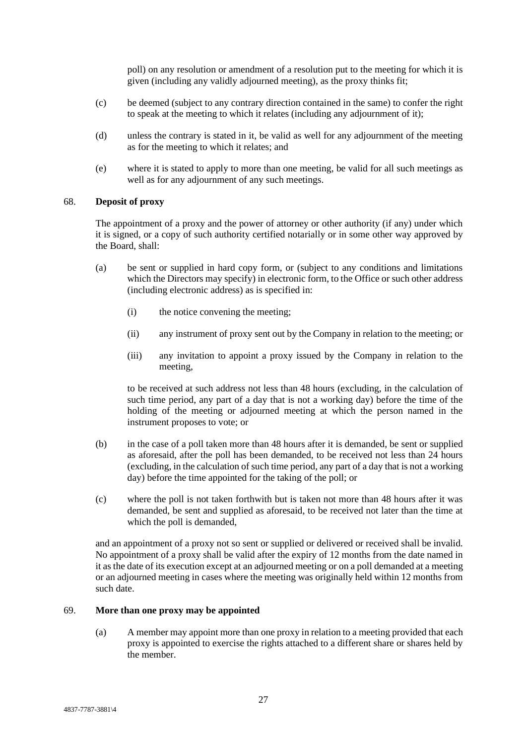poll) on any resolution or amendment of a resolution put to the meeting for which it is given (including any validly adjourned meeting), as the proxy thinks fit;

- (c) be deemed (subject to any contrary direction contained in the same) to confer the right to speak at the meeting to which it relates (including any adjournment of it);
- (d) unless the contrary is stated in it, be valid as well for any adjournment of the meeting as for the meeting to which it relates; and
- (e) where it is stated to apply to more than one meeting, be valid for all such meetings as well as for any adjournment of any such meetings.

### <span id="page-31-0"></span>68. **Deposit of proxy**

The appointment of a proxy and the power of attorney or other authority (if any) under which it is signed, or a copy of such authority certified notarially or in some other way approved by the Board, shall:

- (a) be sent or supplied in hard copy form, or (subject to any conditions and limitations which the Directors may specify) in electronic form, to the Office or such other address (including electronic address) as is specified in:
	- (i) the notice convening the meeting;
	- (ii) any instrument of proxy sent out by the Company in relation to the meeting; or
	- (iii) any invitation to appoint a proxy issued by the Company in relation to the meeting,

to be received at such address not less than 48 hours (excluding, in the calculation of such time period, any part of a day that is not a working day) before the time of the holding of the meeting or adjourned meeting at which the person named in the instrument proposes to vote; or

- (b) in the case of a poll taken more than 48 hours after it is demanded, be sent or supplied as aforesaid, after the poll has been demanded, to be received not less than 24 hours (excluding, in the calculation of such time period, any part of a day that is not a working day) before the time appointed for the taking of the poll; or
- (c) where the poll is not taken forthwith but is taken not more than 48 hours after it was demanded, be sent and supplied as aforesaid, to be received not later than the time at which the poll is demanded,

and an appointment of a proxy not so sent or supplied or delivered or received shall be invalid. No appointment of a proxy shall be valid after the expiry of 12 months from the date named in it as the date of its execution except at an adjourned meeting or on a poll demanded at a meeting or an adjourned meeting in cases where the meeting was originally held within 12 months from such date.

## <span id="page-31-1"></span>69. **More than one proxy may be appointed**

(a) A member may appoint more than one proxy in relation to a meeting provided that each proxy is appointed to exercise the rights attached to a different share or shares held by the member.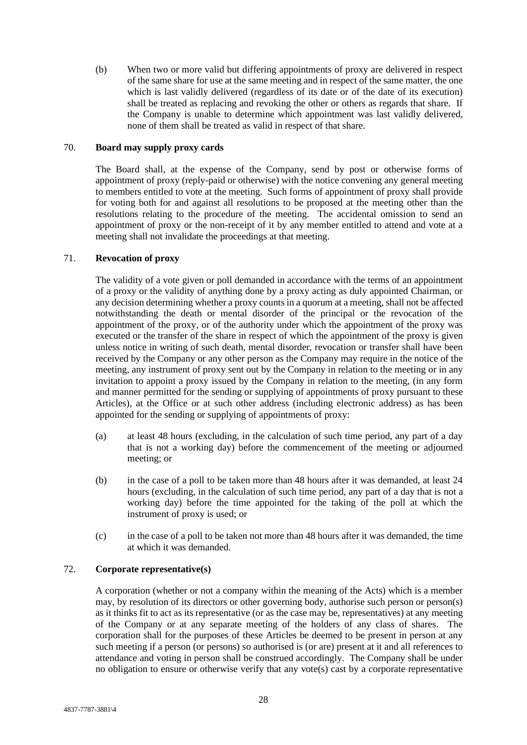(b) When two or more valid but differing appointments of proxy are delivered in respect of the same share for use at the same meeting and in respect of the same matter, the one which is last validly delivered (regardless of its date or of the date of its execution) shall be treated as replacing and revoking the other or others as regards that share. If the Company is unable to determine which appointment was last validly delivered, none of them shall be treated as valid in respect of that share.

## <span id="page-32-0"></span>70. **Board may supply proxy cards**

The Board shall, at the expense of the Company, send by post or otherwise forms of appointment of proxy (reply-paid or otherwise) with the notice convening any general meeting to members entitled to vote at the meeting. Such forms of appointment of proxy shall provide for voting both for and against all resolutions to be proposed at the meeting other than the resolutions relating to the procedure of the meeting. The accidental omission to send an appointment of proxy or the non-receipt of it by any member entitled to attend and vote at a meeting shall not invalidate the proceedings at that meeting.

# <span id="page-32-1"></span>71. **Revocation of proxy**

The validity of a vote given or poll demanded in accordance with the terms of an appointment of a proxy or the validity of anything done by a proxy acting as duly appointed Chairman, or any decision determining whether a proxy counts in a quorum at a meeting, shall not be affected notwithstanding the death or mental disorder of the principal or the revocation of the appointment of the proxy, or of the authority under which the appointment of the proxy was executed or the transfer of the share in respect of which the appointment of the proxy is given unless notice in writing of such death, mental disorder, revocation or transfer shall have been received by the Company or any other person as the Company may require in the notice of the meeting, any instrument of proxy sent out by the Company in relation to the meeting or in any invitation to appoint a proxy issued by the Company in relation to the meeting, (in any form and manner permitted for the sending or supplying of appointments of proxy pursuant to these Articles), at the Office or at such other address (including electronic address) as has been appointed for the sending or supplying of appointments of proxy:

- (a) at least 48 hours (excluding, in the calculation of such time period, any part of a day that is not a working day) before the commencement of the meeting or adjourned meeting; or
- (b) in the case of a poll to be taken more than 48 hours after it was demanded, at least 24 hours (excluding, in the calculation of such time period, any part of a day that is not a working day) before the time appointed for the taking of the poll at which the instrument of proxy is used; or
- (c) in the case of a poll to be taken not more than 48 hours after it was demanded, the time at which it was demanded.

# <span id="page-32-2"></span>72. **Corporate representative(s)**

A corporation (whether or not a company within the meaning of the Acts) which is a member may, by resolution of its directors or other governing body, authorise such person or person(s) as it thinks fit to act as its representative (or as the case may be, representatives) at any meeting of the Company or at any separate meeting of the holders of any class of shares. The corporation shall for the purposes of these Articles be deemed to be present in person at any such meeting if a person (or persons) so authorised is (or are) present at it and all references to attendance and voting in person shall be construed accordingly. The Company shall be under no obligation to ensure or otherwise verify that any vote(s) cast by a corporate representative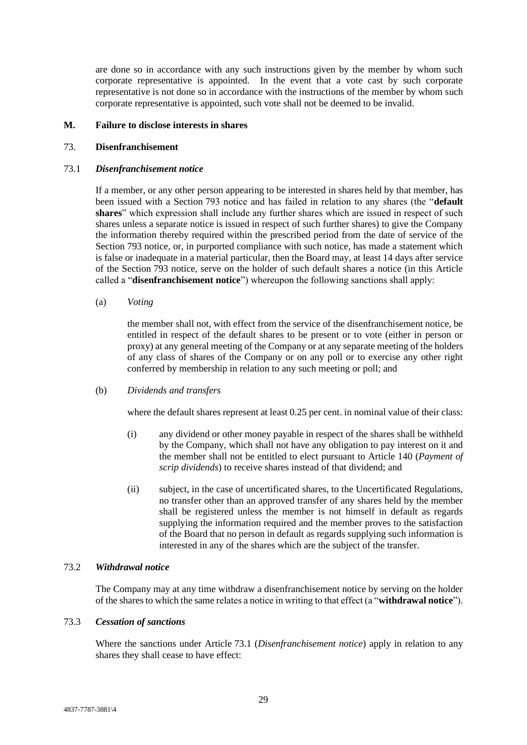are done so in accordance with any such instructions given by the member by whom such corporate representative is appointed. In the event that a vote cast by such corporate representative is not done so in accordance with the instructions of the member by whom such corporate representative is appointed, such vote shall not be deemed to be invalid.

## <span id="page-33-0"></span>**M. Failure to disclose interests in shares**

## <span id="page-33-1"></span>73. **Disenfranchisement**

#### <span id="page-33-2"></span>73.1 *Disenfranchisement notice*

If a member, or any other person appearing to be interested in shares held by that member, has been issued with a Section 793 notice and has failed in relation to any shares (the "**default shares**" which expression shall include any further shares which are issued in respect of such shares unless a separate notice is issued in respect of such further shares) to give the Company the information thereby required within the prescribed period from the date of service of the Section 793 notice, or, in purported compliance with such notice, has made a statement which is false or inadequate in a material particular, then the Board may, at least 14 days after service of the Section 793 notice, serve on the holder of such default shares a notice (in this Article called a "**disenfranchisement notice**") whereupon the following sanctions shall apply:

(a) *Voting*

the member shall not, with effect from the service of the disenfranchisement notice, be entitled in respect of the default shares to be present or to vote (either in person or proxy) at any general meeting of the Company or at any separate meeting of the holders of any class of shares of the Company or on any poll or to exercise any other right conferred by membership in relation to any such meeting or poll; and

(b) *Dividends and transfers*

where the default shares represent at least 0.25 per cent. in nominal value of their class:

- (i) any dividend or other money payable in respect of the shares shall be withheld by the Company, which shall not have any obligation to pay interest on it and the member shall not be entitled to elect pursuant to Article [140](#page-58-3) (*Payment of scrip dividends*) to receive shares instead of that dividend; and
- (ii) subject, in the case of uncertificated shares, to the Uncertificated Regulations, no transfer other than an approved transfer of any shares held by the member shall be registered unless the member is not himself in default as regards supplying the information required and the member proves to the satisfaction of the Board that no person in default as regards supplying such information is interested in any of the shares which are the subject of the transfer.

## <span id="page-33-3"></span>73.2 *Withdrawal notice*

The Company may at any time withdraw a disenfranchisement notice by serving on the holder of the shares to which the same relates a notice in writing to that effect (a "**withdrawal notice**").

## 73.3 *Cessation of sanctions*

Where the sanctions under Article [73.1](#page-33-2) (*Disenfranchisement notice*) apply in relation to any shares they shall cease to have effect: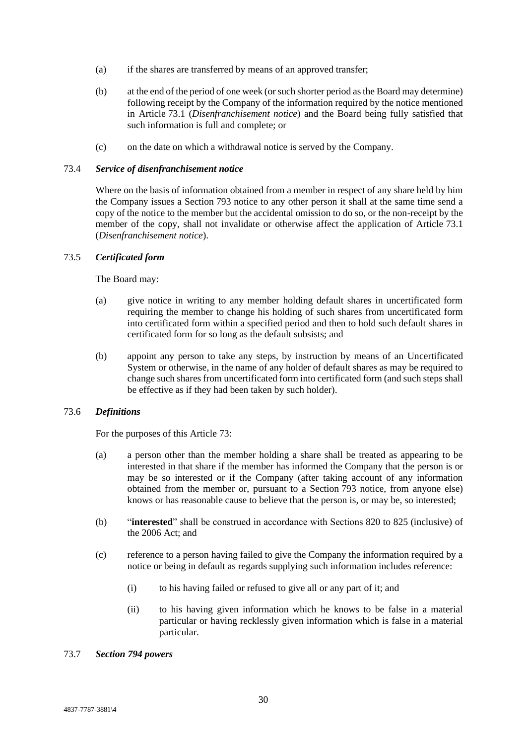- (a) if the shares are transferred by means of an approved transfer;
- (b) at the end of the period of one week (or such shorter period as the Board may determine) following receipt by the Company of the information required by the notice mentioned in Article [73.1](#page-33-2) (*Disenfranchisement notice*) and the Board being fully satisfied that such information is full and complete; or
- (c) on the date on which a withdrawal notice is served by the Company.

## 73.4 *Service of disenfranchisement notice*

Where on the basis of information obtained from a member in respect of any share held by him the Company issues a Section 793 notice to any other person it shall at the same time send a copy of the notice to the member but the accidental omission to do so, or the non-receipt by the member of the copy, shall not invalidate or otherwise affect the application of Article [73.1](#page-33-2) (*Disenfranchisement notice*).

# 73.5 *Certificated form*

The Board may:

- (a) give notice in writing to any member holding default shares in uncertificated form requiring the member to change his holding of such shares from uncertificated form into certificated form within a specified period and then to hold such default shares in certificated form for so long as the default subsists; and
- (b) appoint any person to take any steps, by instruction by means of an Uncertificated System or otherwise, in the name of any holder of default shares as may be required to change such shares from uncertificated form into certificated form (and such steps shall be effective as if they had been taken by such holder).

# 73.6 *Definitions*

For the purposes of this Article [73:](#page-33-1)

- (a) a person other than the member holding a share shall be treated as appearing to be interested in that share if the member has informed the Company that the person is or may be so interested or if the Company (after taking account of any information obtained from the member or, pursuant to a Section 793 notice, from anyone else) knows or has reasonable cause to believe that the person is, or may be, so interested;
- (b) "**interested**" shall be construed in accordance with Sections 820 to 825 (inclusive) of the 2006 Act; and
- (c) reference to a person having failed to give the Company the information required by a notice or being in default as regards supplying such information includes reference:
	- (i) to his having failed or refused to give all or any part of it; and
	- (ii) to his having given information which he knows to be false in a material particular or having recklessly given information which is false in a material particular.

## 73.7 *Section 794 powers*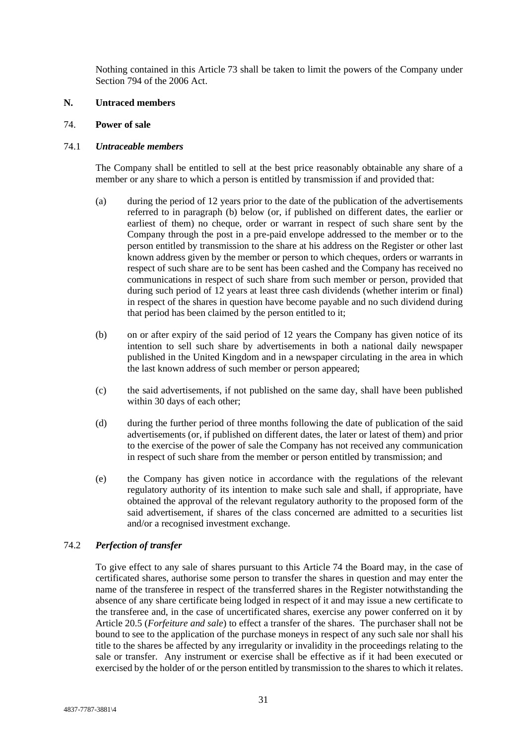Nothing contained in this Article [73](#page-33-1) shall be taken to limit the powers of the Company under Section 794 of the 2006 Act.

#### <span id="page-35-0"></span>**N. Untraced members**

## <span id="page-35-1"></span>74. **Power of sale**

#### 74.1 *Untraceable members*

The Company shall be entitled to sell at the best price reasonably obtainable any share of a member or any share to which a person is entitled by transmission if and provided that:

- (a) during the period of 12 years prior to the date of the publication of the advertisements referred to in paragraph [\(b\)](#page-35-2) below (or, if published on different dates, the earlier or earliest of them) no cheque, order or warrant in respect of such share sent by the Company through the post in a pre-paid envelope addressed to the member or to the person entitled by transmission to the share at his address on the Register or other last known address given by the member or person to which cheques, orders or warrants in respect of such share are to be sent has been cashed and the Company has received no communications in respect of such share from such member or person, provided that during such period of 12 years at least three cash dividends (whether interim or final) in respect of the shares in question have become payable and no such dividend during that period has been claimed by the person entitled to it;
- <span id="page-35-2"></span>(b) on or after expiry of the said period of 12 years the Company has given notice of its intention to sell such share by advertisements in both a national daily newspaper published in the United Kingdom and in a newspaper circulating in the area in which the last known address of such member or person appeared;
- (c) the said advertisements, if not published on the same day, shall have been published within 30 days of each other;
- (d) during the further period of three months following the date of publication of the said advertisements (or, if published on different dates, the later or latest of them) and prior to the exercise of the power of sale the Company has not received any communication in respect of such share from the member or person entitled by transmission; and
- (e) the Company has given notice in accordance with the regulations of the relevant regulatory authority of its intention to make such sale and shall, if appropriate, have obtained the approval of the relevant regulatory authority to the proposed form of the said advertisement, if shares of the class concerned are admitted to a securities list and/or a recognised investment exchange.

## 74.2 *Perfection of transfer*

To give effect to any sale of shares pursuant to this Article [74](#page-35-1) the Board may, in the case of certificated shares, authorise some person to transfer the shares in question and may enter the name of the transferee in respect of the transferred shares in the Register notwithstanding the absence of any share certificate being lodged in respect of it and may issue a new certificate to the transferee and, in the case of uncertificated shares, exercise any power conferred on it by Article [20.5](#page-16-0) (*Forfeiture and sale*) to effect a transfer of the shares. The purchaser shall not be bound to see to the application of the purchase moneys in respect of any such sale nor shall his title to the shares be affected by any irregularity or invalidity in the proceedings relating to the sale or transfer. Any instrument or exercise shall be effective as if it had been executed or exercised by the holder of or the person entitled by transmission to the shares to which it relates.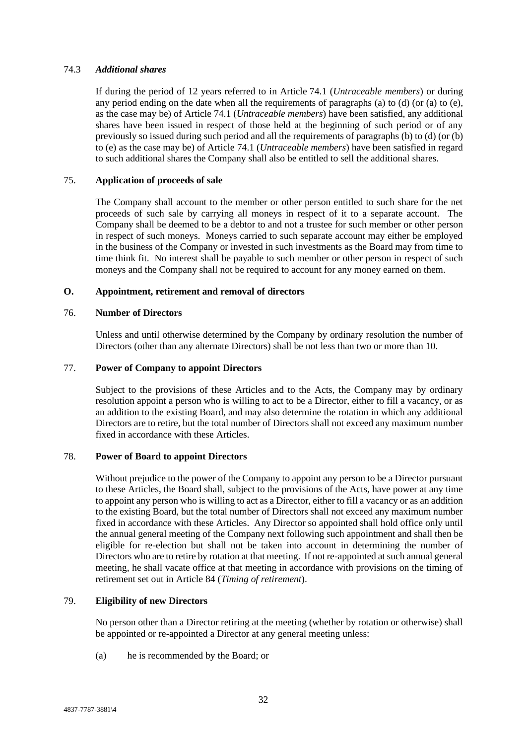# 74.3 *Additional shares*

If during the period of 12 years referred to in Article [74.1](#page-35-0) (*Untraceable members*) or during any period ending on the date when all the requirements of paragraphs [\(a\)](#page-35-1) to [\(d\)](#page-35-2) (or [\(a\)](#page-35-1) to [\(e\),](#page-35-3) as the case may be) of Article [74.1](#page-35-0) (*Untraceable members*) have been satisfied, any additional shares have been issued in respect of those held at the beginning of such period or of any previously so issued during such period and all the requirements of paragraph[s \(b\)](#page-35-4) to [\(d\)](#page-35-2) (o[r \(b\)](#page-35-4) to [\(e\)](#page-35-3) as the case may be) of Article [74.1](#page-35-0) (*Untraceable members*) have been satisfied in regard to such additional shares the Company shall also be entitled to sell the additional shares.

# 75. **Application of proceeds of sale**

The Company shall account to the member or other person entitled to such share for the net proceeds of such sale by carrying all moneys in respect of it to a separate account. The Company shall be deemed to be a debtor to and not a trustee for such member or other person in respect of such moneys. Moneys carried to such separate account may either be employed in the business of the Company or invested in such investments as the Board may from time to time think fit. No interest shall be payable to such member or other person in respect of such moneys and the Company shall not be required to account for any money earned on them.

# **O. Appointment, retirement and removal of directors**

## 76. **Number of Directors**

Unless and until otherwise determined by the Company by ordinary resolution the number of Directors (other than any alternate Directors) shall be not less than two or more than 10.

# 77. **Power of Company to appoint Directors**

Subject to the provisions of these Articles and to the Acts, the Company may by ordinary resolution appoint a person who is willing to act to be a Director, either to fill a vacancy, or as an addition to the existing Board, and may also determine the rotation in which any additional Directors are to retire, but the total number of Directors shall not exceed any maximum number fixed in accordance with these Articles.

## 78. **Power of Board to appoint Directors**

Without prejudice to the power of the Company to appoint any person to be a Director pursuant to these Articles, the Board shall, subject to the provisions of the Acts, have power at any time to appoint any person who is willing to act as a Director, either to fill a vacancy or as an addition to the existing Board, but the total number of Directors shall not exceed any maximum number fixed in accordance with these Articles. Any Director so appointed shall hold office only until the annual general meeting of the Company next following such appointment and shall then be eligible for re-election but shall not be taken into account in determining the number of Directors who are to retire by rotation at that meeting. If not re-appointed at such annual general meeting, he shall vacate office at that meeting in accordance with provisions on the timing of retirement set out in Article [84](#page-38-0) (*Timing of retirement*).

## 79. **Eligibility of new Directors**

No person other than a Director retiring at the meeting (whether by rotation or otherwise) shall be appointed or re-appointed a Director at any general meeting unless:

(a) he is recommended by the Board; or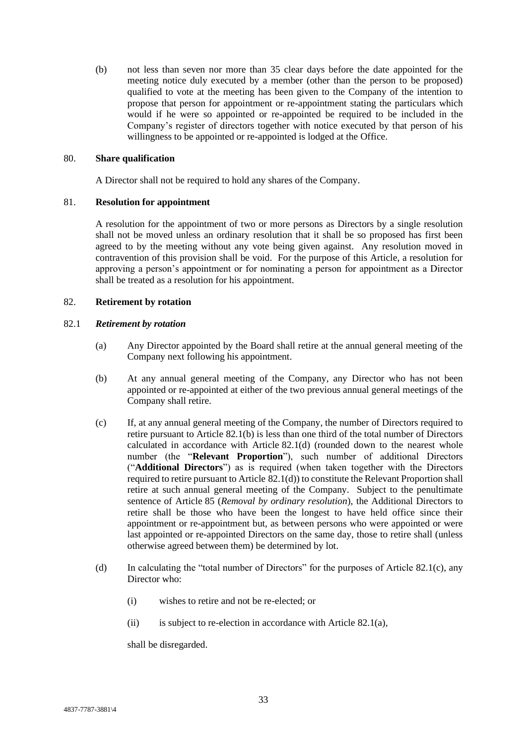(b) not less than seven nor more than 35 clear days before the date appointed for the meeting notice duly executed by a member (other than the person to be proposed) qualified to vote at the meeting has been given to the Company of the intention to propose that person for appointment or re-appointment stating the particulars which would if he were so appointed or re-appointed be required to be included in the Company's register of directors together with notice executed by that person of his willingness to be appointed or re-appointed is lodged at the Office.

#### 80. **Share qualification**

A Director shall not be required to hold any shares of the Company.

### <span id="page-37-4"></span>81. **Resolution for appointment**

A resolution for the appointment of two or more persons as Directors by a single resolution shall not be moved unless an ordinary resolution that it shall be so proposed has first been agreed to by the meeting without any vote being given against. Any resolution moved in contravention of this provision shall be void. For the purpose of this Article, a resolution for approving a person's appointment or for nominating a person for appointment as a Director shall be treated as a resolution for his appointment.

### 82. **Retirement by rotation**

### <span id="page-37-3"></span>82.1 *Retirement by rotation*

- (a) Any Director appointed by the Board shall retire at the annual general meeting of the Company next following his appointment.
- <span id="page-37-0"></span>(b) At any annual general meeting of the Company, any Director who has not been appointed or re-appointed at either of the two previous annual general meetings of the Company shall retire.
- <span id="page-37-2"></span>(c) If, at any annual general meeting of the Company, the number of Directors required to retire pursuant to Article [82.1\(b\)](#page-37-0) is less than one third of the total number of Directors calculated in accordance with Article [82.1\(d\)](#page-37-1) (rounded down to the nearest whole number (the "**Relevant Proportion**"), such number of additional Directors ("**Additional Directors**") as is required (when taken together with the Directors required to retire pursuant to Article [82.1\(d\)\)](#page-37-1) to constitute the Relevant Proportion shall retire at such annual general meeting of the Company. Subject to the penultimate sentence of Article [85](#page-38-1) (*Removal by ordinary resolution*), the Additional Directors to retire shall be those who have been the longest to have held office since their appointment or re-appointment but, as between persons who were appointed or were last appointed or re-appointed Directors on the same day, those to retire shall (unless otherwise agreed between them) be determined by lot.
- <span id="page-37-1"></span>(d) In calculating the "total number of Directors" for the purposes of Article [82.1\(c\),](#page-37-2) any Director who:
	- (i) wishes to retire and not be re-elected; or
	- (ii) is subject to re-election in accordance with Article [82.1\(a\),](#page-37-3)

shall be disregarded.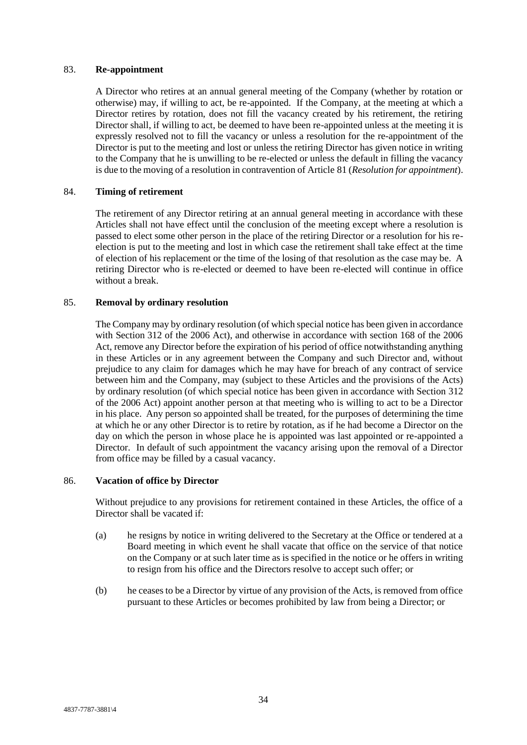#### 83. **Re-appointment**

A Director who retires at an annual general meeting of the Company (whether by rotation or otherwise) may, if willing to act, be re-appointed. If the Company, at the meeting at which a Director retires by rotation, does not fill the vacancy created by his retirement, the retiring Director shall, if willing to act, be deemed to have been re-appointed unless at the meeting it is expressly resolved not to fill the vacancy or unless a resolution for the re-appointment of the Director is put to the meeting and lost or unless the retiring Director has given notice in writing to the Company that he is unwilling to be re-elected or unless the default in filling the vacancy is due to the moving of a resolution in contravention of Article [81](#page-37-4) (*Resolution for appointment*).

## <span id="page-38-0"></span>84. **Timing of retirement**

The retirement of any Director retiring at an annual general meeting in accordance with these Articles shall not have effect until the conclusion of the meeting except where a resolution is passed to elect some other person in the place of the retiring Director or a resolution for his reelection is put to the meeting and lost in which case the retirement shall take effect at the time of election of his replacement or the time of the losing of that resolution as the case may be. A retiring Director who is re-elected or deemed to have been re-elected will continue in office without a break.

## <span id="page-38-1"></span>85. **Removal by ordinary resolution**

The Company may by ordinary resolution (of which special notice has been given in accordance with Section 312 of the 2006 Act), and otherwise in accordance with section 168 of the 2006 Act, remove any Director before the expiration of his period of office notwithstanding anything in these Articles or in any agreement between the Company and such Director and, without prejudice to any claim for damages which he may have for breach of any contract of service between him and the Company, may (subject to these Articles and the provisions of the Acts) by ordinary resolution (of which special notice has been given in accordance with Section 312 of the 2006 Act) appoint another person at that meeting who is willing to act to be a Director in his place. Any person so appointed shall be treated, for the purposes of determining the time at which he or any other Director is to retire by rotation, as if he had become a Director on the day on which the person in whose place he is appointed was last appointed or re-appointed a Director. In default of such appointment the vacancy arising upon the removal of a Director from office may be filled by a casual vacancy.

## <span id="page-38-2"></span>86. **Vacation of office by Director**

Without prejudice to any provisions for retirement contained in these Articles, the office of a Director shall be vacated if:

- (a) he resigns by notice in writing delivered to the Secretary at the Office or tendered at a Board meeting in which event he shall vacate that office on the service of that notice on the Company or at such later time as is specified in the notice or he offers in writing to resign from his office and the Directors resolve to accept such offer; or
- (b) he ceases to be a Director by virtue of any provision of the Acts, is removed from office pursuant to these Articles or becomes prohibited by law from being a Director; or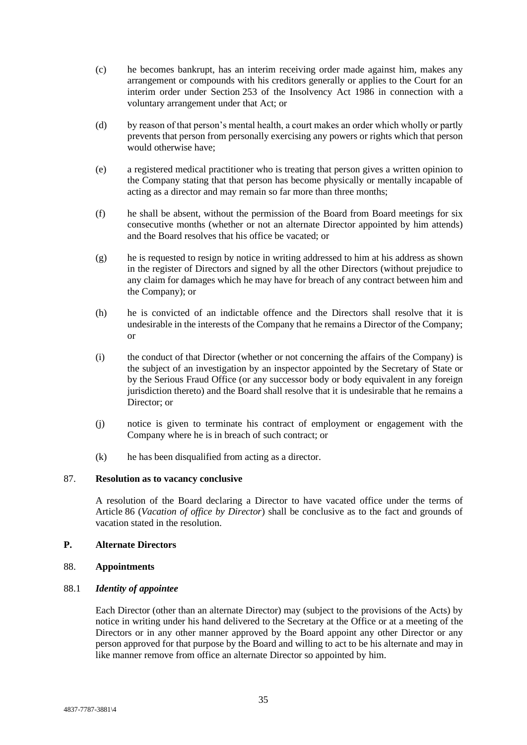- (c) he becomes bankrupt, has an interim receiving order made against him, makes any arrangement or compounds with his creditors generally or applies to the Court for an interim order under Section 253 of the Insolvency Act 1986 in connection with a voluntary arrangement under that Act; or
- (d) by reason of that person's mental health, a court makes an order which wholly or partly prevents that person from personally exercising any powers or rights which that person would otherwise have;
- (e) a registered medical practitioner who is treating that person gives a written opinion to the Company stating that that person has become physically or mentally incapable of acting as a director and may remain so far more than three months;
- (f) he shall be absent, without the permission of the Board from Board meetings for six consecutive months (whether or not an alternate Director appointed by him attends) and the Board resolves that his office be vacated; or
- (g) he is requested to resign by notice in writing addressed to him at his address as shown in the register of Directors and signed by all the other Directors (without prejudice to any claim for damages which he may have for breach of any contract between him and the Company); or
- (h) he is convicted of an indictable offence and the Directors shall resolve that it is undesirable in the interests of the Company that he remains a Director of the Company; or
- (i) the conduct of that Director (whether or not concerning the affairs of the Company) is the subject of an investigation by an inspector appointed by the Secretary of State or by the Serious Fraud Office (or any successor body or body equivalent in any foreign jurisdiction thereto) and the Board shall resolve that it is undesirable that he remains a Director; or
- (j) notice is given to terminate his contract of employment or engagement with the Company where he is in breach of such contract; or
- (k) he has been disqualified from acting as a director.

## 87. **Resolution as to vacancy conclusive**

A resolution of the Board declaring a Director to have vacated office under the terms of Article [86](#page-38-2) (*Vacation of office by Director*) shall be conclusive as to the fact and grounds of vacation stated in the resolution.

## **P. Alternate Directors**

## 88. **Appointments**

## 88.1 *Identity of appointee*

Each Director (other than an alternate Director) may (subject to the provisions of the Acts) by notice in writing under his hand delivered to the Secretary at the Office or at a meeting of the Directors or in any other manner approved by the Board appoint any other Director or any person approved for that purpose by the Board and willing to act to be his alternate and may in like manner remove from office an alternate Director so appointed by him.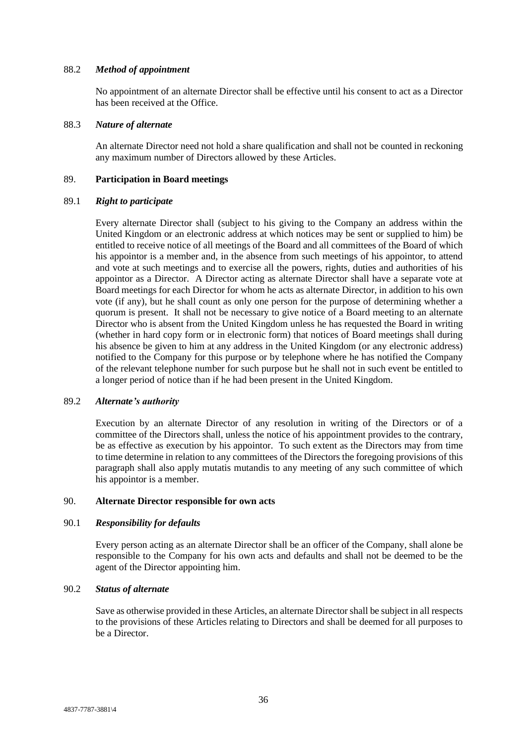### 88.2 *Method of appointment*

No appointment of an alternate Director shall be effective until his consent to act as a Director has been received at the Office.

#### 88.3 *Nature of alternate*

An alternate Director need not hold a share qualification and shall not be counted in reckoning any maximum number of Directors allowed by these Articles.

#### 89. **Participation in Board meetings**

#### 89.1 *Right to participate*

Every alternate Director shall (subject to his giving to the Company an address within the United Kingdom or an electronic address at which notices may be sent or supplied to him) be entitled to receive notice of all meetings of the Board and all committees of the Board of which his appointor is a member and, in the absence from such meetings of his appointor, to attend and vote at such meetings and to exercise all the powers, rights, duties and authorities of his appointor as a Director. A Director acting as alternate Director shall have a separate vote at Board meetings for each Director for whom he acts as alternate Director, in addition to his own vote (if any), but he shall count as only one person for the purpose of determining whether a quorum is present. It shall not be necessary to give notice of a Board meeting to an alternate Director who is absent from the United Kingdom unless he has requested the Board in writing (whether in hard copy form or in electronic form) that notices of Board meetings shall during his absence be given to him at any address in the United Kingdom (or any electronic address) notified to the Company for this purpose or by telephone where he has notified the Company of the relevant telephone number for such purpose but he shall not in such event be entitled to a longer period of notice than if he had been present in the United Kingdom.

## 89.2 *Alternate's authority*

Execution by an alternate Director of any resolution in writing of the Directors or of a committee of the Directors shall, unless the notice of his appointment provides to the contrary, be as effective as execution by his appointor. To such extent as the Directors may from time to time determine in relation to any committees of the Directors the foregoing provisions of this paragraph shall also apply mutatis mutandis to any meeting of any such committee of which his appointor is a member.

#### 90. **Alternate Director responsible for own acts**

## 90.1 *Responsibility for defaults*

Every person acting as an alternate Director shall be an officer of the Company, shall alone be responsible to the Company for his own acts and defaults and shall not be deemed to be the agent of the Director appointing him.

# 90.2 *Status of alternate*

Save as otherwise provided in these Articles, an alternate Director shall be subject in all respects to the provisions of these Articles relating to Directors and shall be deemed for all purposes to be a Director.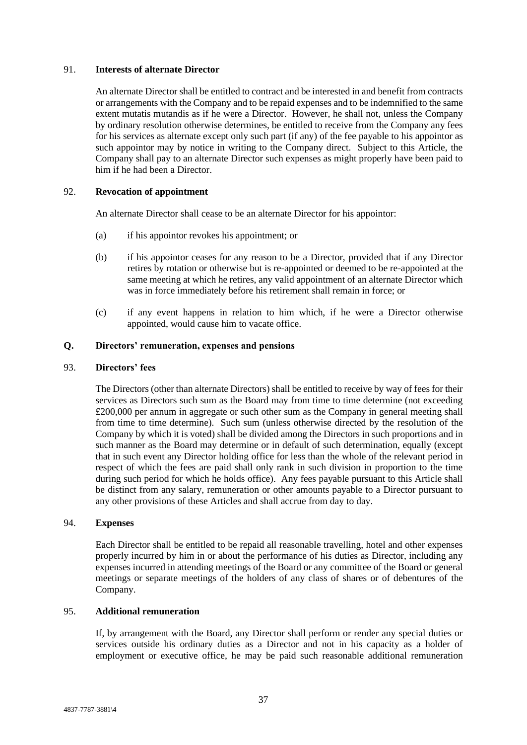### 91. **Interests of alternate Director**

An alternate Director shall be entitled to contract and be interested in and benefit from contracts or arrangements with the Company and to be repaid expenses and to be indemnified to the same extent mutatis mutandis as if he were a Director. However, he shall not, unless the Company by ordinary resolution otherwise determines, be entitled to receive from the Company any fees for his services as alternate except only such part (if any) of the fee payable to his appointor as such appointor may by notice in writing to the Company direct. Subject to this Article, the Company shall pay to an alternate Director such expenses as might properly have been paid to him if he had been a Director.

## 92. **Revocation of appointment**

An alternate Director shall cease to be an alternate Director for his appointor:

- (a) if his appointor revokes his appointment; or
- (b) if his appointor ceases for any reason to be a Director, provided that if any Director retires by rotation or otherwise but is re-appointed or deemed to be re-appointed at the same meeting at which he retires, any valid appointment of an alternate Director which was in force immediately before his retirement shall remain in force; or
- (c) if any event happens in relation to him which, if he were a Director otherwise appointed, would cause him to vacate office.

# **Q. Directors' remuneration, expenses and pensions**

#### 93. **Directors' fees**

The Directors (other than alternate Directors) shall be entitled to receive by way of fees for their services as Directors such sum as the Board may from time to time determine (not exceeding £200,000 per annum in aggregate or such other sum as the Company in general meeting shall from time to time determine). Such sum (unless otherwise directed by the resolution of the Company by which it is voted) shall be divided among the Directors in such proportions and in such manner as the Board may determine or in default of such determination, equally (except that in such event any Director holding office for less than the whole of the relevant period in respect of which the fees are paid shall only rank in such division in proportion to the time during such period for which he holds office). Any fees payable pursuant to this Article shall be distinct from any salary, remuneration or other amounts payable to a Director pursuant to any other provisions of these Articles and shall accrue from day to day.

#### 94. **Expenses**

Each Director shall be entitled to be repaid all reasonable travelling, hotel and other expenses properly incurred by him in or about the performance of his duties as Director, including any expenses incurred in attending meetings of the Board or any committee of the Board or general meetings or separate meetings of the holders of any class of shares or of debentures of the Company.

## 95. **Additional remuneration**

If, by arrangement with the Board, any Director shall perform or render any special duties or services outside his ordinary duties as a Director and not in his capacity as a holder of employment or executive office, he may be paid such reasonable additional remuneration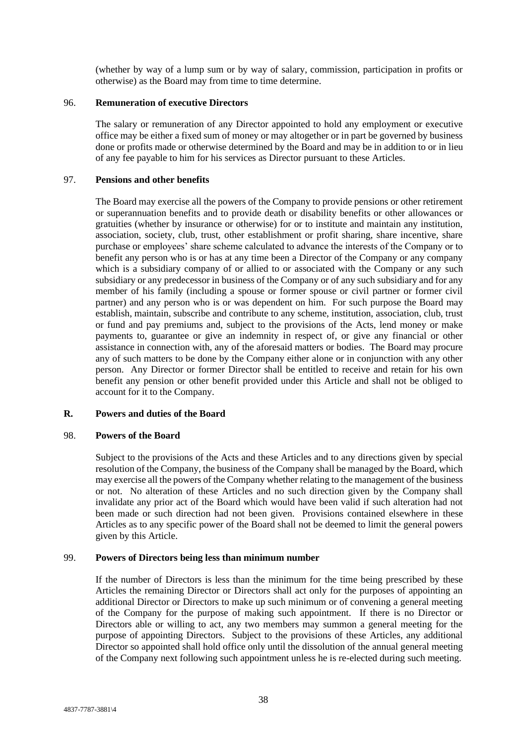(whether by way of a lump sum or by way of salary, commission, participation in profits or otherwise) as the Board may from time to time determine.

### 96. **Remuneration of executive Directors**

The salary or remuneration of any Director appointed to hold any employment or executive office may be either a fixed sum of money or may altogether or in part be governed by business done or profits made or otherwise determined by the Board and may be in addition to or in lieu of any fee payable to him for his services as Director pursuant to these Articles.

## 97. **Pensions and other benefits**

The Board may exercise all the powers of the Company to provide pensions or other retirement or superannuation benefits and to provide death or disability benefits or other allowances or gratuities (whether by insurance or otherwise) for or to institute and maintain any institution, association, society, club, trust, other establishment or profit sharing, share incentive, share purchase or employees' share scheme calculated to advance the interests of the Company or to benefit any person who is or has at any time been a Director of the Company or any company which is a subsidiary company of or allied to or associated with the Company or any such subsidiary or any predecessor in business of the Company or of any such subsidiary and for any member of his family (including a spouse or former spouse or civil partner or former civil partner) and any person who is or was dependent on him. For such purpose the Board may establish, maintain, subscribe and contribute to any scheme, institution, association, club, trust or fund and pay premiums and, subject to the provisions of the Acts, lend money or make payments to, guarantee or give an indemnity in respect of, or give any financial or other assistance in connection with, any of the aforesaid matters or bodies. The Board may procure any of such matters to be done by the Company either alone or in conjunction with any other person. Any Director or former Director shall be entitled to receive and retain for his own benefit any pension or other benefit provided under this Article and shall not be obliged to account for it to the Company.

## **R. Powers and duties of the Board**

## 98. **Powers of the Board**

Subject to the provisions of the Acts and these Articles and to any directions given by special resolution of the Company, the business of the Company shall be managed by the Board, which may exercise all the powers of the Company whether relating to the management of the business or not. No alteration of these Articles and no such direction given by the Company shall invalidate any prior act of the Board which would have been valid if such alteration had not been made or such direction had not been given. Provisions contained elsewhere in these Articles as to any specific power of the Board shall not be deemed to limit the general powers given by this Article.

## 99. **Powers of Directors being less than minimum number**

If the number of Directors is less than the minimum for the time being prescribed by these Articles the remaining Director or Directors shall act only for the purposes of appointing an additional Director or Directors to make up such minimum or of convening a general meeting of the Company for the purpose of making such appointment. If there is no Director or Directors able or willing to act, any two members may summon a general meeting for the purpose of appointing Directors. Subject to the provisions of these Articles, any additional Director so appointed shall hold office only until the dissolution of the annual general meeting of the Company next following such appointment unless he is re-elected during such meeting.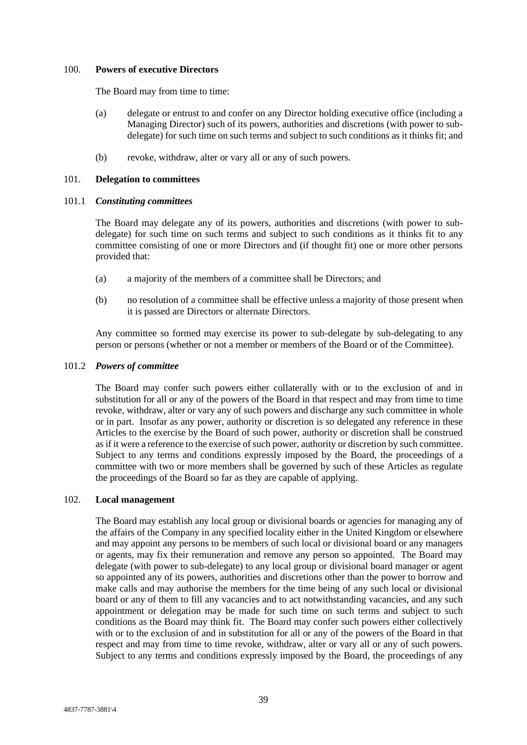### 100. **Powers of executive Directors**

The Board may from time to time:

- (a) delegate or entrust to and confer on any Director holding executive office (including a Managing Director) such of its powers, authorities and discretions (with power to subdelegate) for such time on such terms and subject to such conditions as it thinks fit; and
- (b) revoke, withdraw, alter or vary all or any of such powers.

### 101. **Delegation to committees**

#### 101.1 *Constituting committees*

The Board may delegate any of its powers, authorities and discretions (with power to subdelegate) for such time on such terms and subject to such conditions as it thinks fit to any committee consisting of one or more Directors and (if thought fit) one or more other persons provided that:

- (a) a majority of the members of a committee shall be Directors; and
- (b) no resolution of a committee shall be effective unless a majority of those present when it is passed are Directors or alternate Directors.

Any committee so formed may exercise its power to sub-delegate by sub-delegating to any person or persons (whether or not a member or members of the Board or of the Committee).

#### 101.2 *Powers of committee*

The Board may confer such powers either collaterally with or to the exclusion of and in substitution for all or any of the powers of the Board in that respect and may from time to time revoke, withdraw, alter or vary any of such powers and discharge any such committee in whole or in part. Insofar as any power, authority or discretion is so delegated any reference in these Articles to the exercise by the Board of such power, authority or discretion shall be construed as if it were a reference to the exercise of such power, authority or discretion by such committee. Subject to any terms and conditions expressly imposed by the Board, the proceedings of a committee with two or more members shall be governed by such of these Articles as regulate the proceedings of the Board so far as they are capable of applying.

## 102. **Local management**

The Board may establish any local group or divisional boards or agencies for managing any of the affairs of the Company in any specified locality either in the United Kingdom or elsewhere and may appoint any persons to be members of such local or divisional board or any managers or agents, may fix their remuneration and remove any person so appointed. The Board may delegate (with power to sub-delegate) to any local group or divisional board manager or agent so appointed any of its powers, authorities and discretions other than the power to borrow and make calls and may authorise the members for the time being of any such local or divisional board or any of them to fill any vacancies and to act notwithstanding vacancies, and any such appointment or delegation may be made for such time on such terms and subject to such conditions as the Board may think fit. The Board may confer such powers either collectively with or to the exclusion of and in substitution for all or any of the powers of the Board in that respect and may from time to time revoke, withdraw, alter or vary all or any of such powers. Subject to any terms and conditions expressly imposed by the Board, the proceedings of any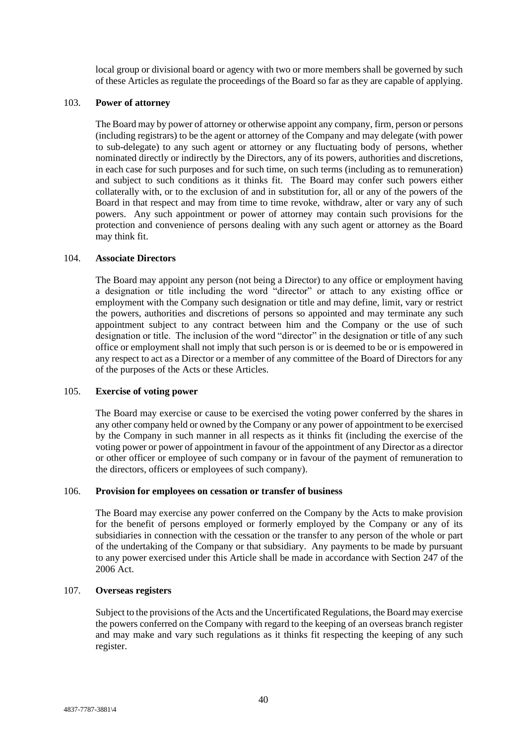local group or divisional board or agency with two or more members shall be governed by such of these Articles as regulate the proceedings of the Board so far as they are capable of applying.

### 103. **Power of attorney**

The Board may by power of attorney or otherwise appoint any company, firm, person or persons (including registrars) to be the agent or attorney of the Company and may delegate (with power to sub-delegate) to any such agent or attorney or any fluctuating body of persons, whether nominated directly or indirectly by the Directors, any of its powers, authorities and discretions, in each case for such purposes and for such time, on such terms (including as to remuneration) and subject to such conditions as it thinks fit. The Board may confer such powers either collaterally with, or to the exclusion of and in substitution for, all or any of the powers of the Board in that respect and may from time to time revoke, withdraw, alter or vary any of such powers. Any such appointment or power of attorney may contain such provisions for the protection and convenience of persons dealing with any such agent or attorney as the Board may think fit.

### 104. **Associate Directors**

The Board may appoint any person (not being a Director) to any office or employment having a designation or title including the word "director" or attach to any existing office or employment with the Company such designation or title and may define, limit, vary or restrict the powers, authorities and discretions of persons so appointed and may terminate any such appointment subject to any contract between him and the Company or the use of such designation or title. The inclusion of the word "director" in the designation or title of any such office or employment shall not imply that such person is or is deemed to be or is empowered in any respect to act as a Director or a member of any committee of the Board of Directors for any of the purposes of the Acts or these Articles.

#### 105. **Exercise of voting power**

The Board may exercise or cause to be exercised the voting power conferred by the shares in any other company held or owned by the Company or any power of appointment to be exercised by the Company in such manner in all respects as it thinks fit (including the exercise of the voting power or power of appointment in favour of the appointment of any Director as a director or other officer or employee of such company or in favour of the payment of remuneration to the directors, officers or employees of such company).

### 106. **Provision for employees on cessation or transfer of business**

The Board may exercise any power conferred on the Company by the Acts to make provision for the benefit of persons employed or formerly employed by the Company or any of its subsidiaries in connection with the cessation or the transfer to any person of the whole or part of the undertaking of the Company or that subsidiary. Any payments to be made by pursuant to any power exercised under this Article shall be made in accordance with Section 247 of the 2006 Act.

## 107. **Overseas registers**

Subject to the provisions of the Acts and the Uncertificated Regulations, the Board may exercise the powers conferred on the Company with regard to the keeping of an overseas branch register and may make and vary such regulations as it thinks fit respecting the keeping of any such register.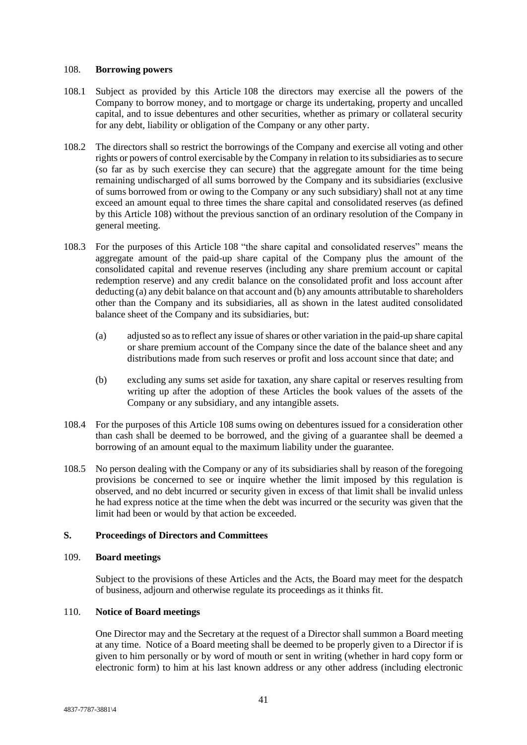#### <span id="page-45-0"></span>108. **Borrowing powers**

- 108.1 Subject as provided by this Article [108](#page-45-0) the directors may exercise all the powers of the Company to borrow money, and to mortgage or charge its undertaking, property and uncalled capital, and to issue debentures and other securities, whether as primary or collateral security for any debt, liability or obligation of the Company or any other party.
- 108.2 The directors shall so restrict the borrowings of the Company and exercise all voting and other rights or powers of control exercisable by the Company in relation to its subsidiaries as to secure (so far as by such exercise they can secure) that the aggregate amount for the time being remaining undischarged of all sums borrowed by the Company and its subsidiaries (exclusive of sums borrowed from or owing to the Company or any such subsidiary) shall not at any time exceed an amount equal to three times the share capital and consolidated reserves (as defined by this Article [108\)](#page-45-0) without the previous sanction of an ordinary resolution of the Company in general meeting.
- 108.3 For the purposes of this Article [108](#page-45-0) "the share capital and consolidated reserves" means the aggregate amount of the paid-up share capital of the Company plus the amount of the consolidated capital and revenue reserves (including any share premium account or capital redemption reserve) and any credit balance on the consolidated profit and loss account after deducting (a) any debit balance on that account and (b) any amounts attributable to shareholders other than the Company and its subsidiaries, all as shown in the latest audited consolidated balance sheet of the Company and its subsidiaries, but:
	- (a) adjusted so as to reflect any issue of shares or other variation in the paid-up share capital or share premium account of the Company since the date of the balance sheet and any distributions made from such reserves or profit and loss account since that date; and
	- (b) excluding any sums set aside for taxation, any share capital or reserves resulting from writing up after the adoption of these Articles the book values of the assets of the Company or any subsidiary, and any intangible assets.
- 108.4 For the purposes of this Article [108](#page-45-0) sums owing on debentures issued for a consideration other than cash shall be deemed to be borrowed, and the giving of a guarantee shall be deemed a borrowing of an amount equal to the maximum liability under the guarantee.
- 108.5 No person dealing with the Company or any of its subsidiaries shall by reason of the foregoing provisions be concerned to see or inquire whether the limit imposed by this regulation is observed, and no debt incurred or security given in excess of that limit shall be invalid unless he had express notice at the time when the debt was incurred or the security was given that the limit had been or would by that action be exceeded.

## **S. Proceedings of Directors and Committees**

## 109. **Board meetings**

Subject to the provisions of these Articles and the Acts, the Board may meet for the despatch of business, adjourn and otherwise regulate its proceedings as it thinks fit.

## 110. **Notice of Board meetings**

One Director may and the Secretary at the request of a Director shall summon a Board meeting at any time. Notice of a Board meeting shall be deemed to be properly given to a Director if is given to him personally or by word of mouth or sent in writing (whether in hard copy form or electronic form) to him at his last known address or any other address (including electronic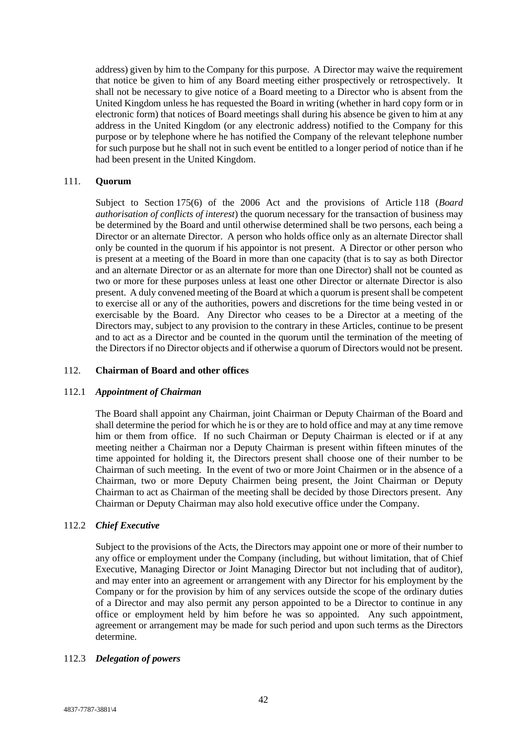address) given by him to the Company for this purpose. A Director may waive the requirement that notice be given to him of any Board meeting either prospectively or retrospectively. It shall not be necessary to give notice of a Board meeting to a Director who is absent from the United Kingdom unless he has requested the Board in writing (whether in hard copy form or in electronic form) that notices of Board meetings shall during his absence be given to him at any address in the United Kingdom (or any electronic address) notified to the Company for this purpose or by telephone where he has notified the Company of the relevant telephone number for such purpose but he shall not in such event be entitled to a longer period of notice than if he had been present in the United Kingdom.

## 111. **Quorum**

Subject to Section 175(6) of the 2006 Act and the provisions of Article [118](#page-48-0) (*Board authorisation of conflicts of interest*) the quorum necessary for the transaction of business may be determined by the Board and until otherwise determined shall be two persons, each being a Director or an alternate Director. A person who holds office only as an alternate Director shall only be counted in the quorum if his appointor is not present. A Director or other person who is present at a meeting of the Board in more than one capacity (that is to say as both Director and an alternate Director or as an alternate for more than one Director) shall not be counted as two or more for these purposes unless at least one other Director or alternate Director is also present. A duly convened meeting of the Board at which a quorum is present shall be competent to exercise all or any of the authorities, powers and discretions for the time being vested in or exercisable by the Board. Any Director who ceases to be a Director at a meeting of the Directors may, subject to any provision to the contrary in these Articles, continue to be present and to act as a Director and be counted in the quorum until the termination of the meeting of the Directors if no Director objects and if otherwise a quorum of Directors would not be present.

#### 112. **Chairman of Board and other offices**

#### 112.1 *Appointment of Chairman*

The Board shall appoint any Chairman, joint Chairman or Deputy Chairman of the Board and shall determine the period for which he is or they are to hold office and may at any time remove him or them from office. If no such Chairman or Deputy Chairman is elected or if at any meeting neither a Chairman nor a Deputy Chairman is present within fifteen minutes of the time appointed for holding it, the Directors present shall choose one of their number to be Chairman of such meeting. In the event of two or more Joint Chairmen or in the absence of a Chairman, two or more Deputy Chairmen being present, the Joint Chairman or Deputy Chairman to act as Chairman of the meeting shall be decided by those Directors present. Any Chairman or Deputy Chairman may also hold executive office under the Company.

## 112.2 *Chief Executive*

Subject to the provisions of the Acts, the Directors may appoint one or more of their number to any office or employment under the Company (including, but without limitation, that of Chief Executive, Managing Director or Joint Managing Director but not including that of auditor), and may enter into an agreement or arrangement with any Director for his employment by the Company or for the provision by him of any services outside the scope of the ordinary duties of a Director and may also permit any person appointed to be a Director to continue in any office or employment held by him before he was so appointed. Any such appointment, agreement or arrangement may be made for such period and upon such terms as the Directors determine.

## 112.3 *Delegation of powers*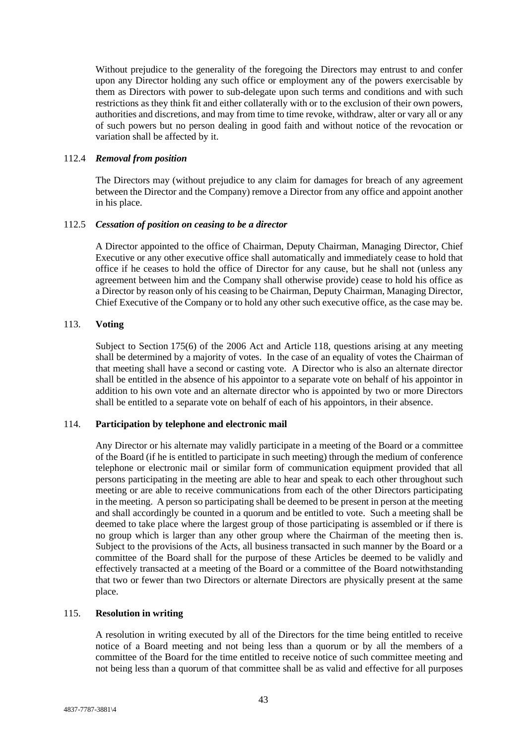Without prejudice to the generality of the foregoing the Directors may entrust to and confer upon any Director holding any such office or employment any of the powers exercisable by them as Directors with power to sub-delegate upon such terms and conditions and with such restrictions as they think fit and either collaterally with or to the exclusion of their own powers, authorities and discretions, and may from time to time revoke, withdraw, alter or vary all or any of such powers but no person dealing in good faith and without notice of the revocation or variation shall be affected by it.

### 112.4 *Removal from position*

The Directors may (without prejudice to any claim for damages for breach of any agreement between the Director and the Company) remove a Director from any office and appoint another in his place.

#### 112.5 *Cessation of position on ceasing to be a director*

A Director appointed to the office of Chairman, Deputy Chairman, Managing Director, Chief Executive or any other executive office shall automatically and immediately cease to hold that office if he ceases to hold the office of Director for any cause, but he shall not (unless any agreement between him and the Company shall otherwise provide) cease to hold his office as a Director by reason only of his ceasing to be Chairman, Deputy Chairman, Managing Director, Chief Executive of the Company or to hold any other such executive office, as the case may be.

## 113. **Voting**

Subject to Section 175(6) of the 2006 Act and Article [118,](#page-48-0) questions arising at any meeting shall be determined by a majority of votes. In the case of an equality of votes the Chairman of that meeting shall have a second or casting vote. A Director who is also an alternate director shall be entitled in the absence of his appointor to a separate vote on behalf of his appointor in addition to his own vote and an alternate director who is appointed by two or more Directors shall be entitled to a separate vote on behalf of each of his appointors, in their absence.

## 114. **Participation by telephone and electronic mail**

Any Director or his alternate may validly participate in a meeting of the Board or a committee of the Board (if he is entitled to participate in such meeting) through the medium of conference telephone or electronic mail or similar form of communication equipment provided that all persons participating in the meeting are able to hear and speak to each other throughout such meeting or are able to receive communications from each of the other Directors participating in the meeting. A person so participating shall be deemed to be present in person at the meeting and shall accordingly be counted in a quorum and be entitled to vote. Such a meeting shall be deemed to take place where the largest group of those participating is assembled or if there is no group which is larger than any other group where the Chairman of the meeting then is. Subject to the provisions of the Acts, all business transacted in such manner by the Board or a committee of the Board shall for the purpose of these Articles be deemed to be validly and effectively transacted at a meeting of the Board or a committee of the Board notwithstanding that two or fewer than two Directors or alternate Directors are physically present at the same place.

#### 115. **Resolution in writing**

A resolution in writing executed by all of the Directors for the time being entitled to receive notice of a Board meeting and not being less than a quorum or by all the members of a committee of the Board for the time entitled to receive notice of such committee meeting and not being less than a quorum of that committee shall be as valid and effective for all purposes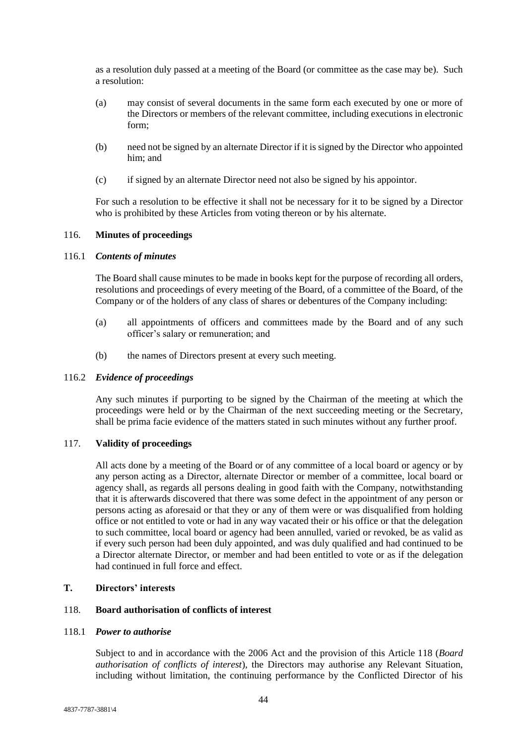as a resolution duly passed at a meeting of the Board (or committee as the case may be). Such a resolution:

- (a) may consist of several documents in the same form each executed by one or more of the Directors or members of the relevant committee, including executions in electronic form;
- (b) need not be signed by an alternate Director if it is signed by the Director who appointed him; and
- (c) if signed by an alternate Director need not also be signed by his appointor.

For such a resolution to be effective it shall not be necessary for it to be signed by a Director who is prohibited by these Articles from voting thereon or by his alternate.

## 116. **Minutes of proceedings**

### 116.1 *Contents of minutes*

The Board shall cause minutes to be made in books kept for the purpose of recording all orders, resolutions and proceedings of every meeting of the Board, of a committee of the Board, of the Company or of the holders of any class of shares or debentures of the Company including:

- (a) all appointments of officers and committees made by the Board and of any such officer's salary or remuneration; and
- (b) the names of Directors present at every such meeting.

#### 116.2 *Evidence of proceedings*

Any such minutes if purporting to be signed by the Chairman of the meeting at which the proceedings were held or by the Chairman of the next succeeding meeting or the Secretary, shall be prima facie evidence of the matters stated in such minutes without any further proof.

# 117. **Validity of proceedings**

All acts done by a meeting of the Board or of any committee of a local board or agency or by any person acting as a Director, alternate Director or member of a committee, local board or agency shall, as regards all persons dealing in good faith with the Company, notwithstanding that it is afterwards discovered that there was some defect in the appointment of any person or persons acting as aforesaid or that they or any of them were or was disqualified from holding office or not entitled to vote or had in any way vacated their or his office or that the delegation to such committee, local board or agency had been annulled, varied or revoked, be as valid as if every such person had been duly appointed, and was duly qualified and had continued to be a Director alternate Director, or member and had been entitled to vote or as if the delegation had continued in full force and effect.

# **T. Directors' interests**

### <span id="page-48-0"></span>118. **Board authorisation of conflicts of interest**

#### <span id="page-48-1"></span>118.1 *Power to authorise*

Subject to and in accordance with the 2006 Act and the provision of this Article [118](#page-48-0) (*Board authorisation of conflicts of interest*), the Directors may authorise any Relevant Situation, including without limitation, the continuing performance by the Conflicted Director of his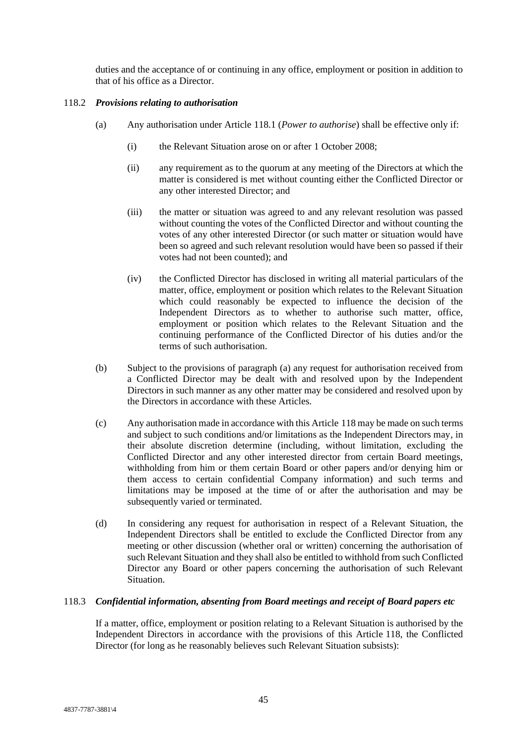duties and the acceptance of or continuing in any office, employment or position in addition to that of his office as a Director.

# <span id="page-49-0"></span>118.2 *Provisions relating to authorisation*

- (a) Any authorisation under Article [118.1](#page-48-1) (*Power to authorise*) shall be effective only if:
	- (i) the Relevant Situation arose on or after 1 October 2008;
	- (ii) any requirement as to the quorum at any meeting of the Directors at which the matter is considered is met without counting either the Conflicted Director or any other interested Director; and
	- (iii) the matter or situation was agreed to and any relevant resolution was passed without counting the votes of the Conflicted Director and without counting the votes of any other interested Director (or such matter or situation would have been so agreed and such relevant resolution would have been so passed if their votes had not been counted); and
	- (iv) the Conflicted Director has disclosed in writing all material particulars of the matter, office, employment or position which relates to the Relevant Situation which could reasonably be expected to influence the decision of the Independent Directors as to whether to authorise such matter, office, employment or position which relates to the Relevant Situation and the continuing performance of the Conflicted Director of his duties and/or the terms of such authorisation.
- (b) Subject to the provisions of paragraph [\(a\)](#page-49-0) any request for authorisation received from a Conflicted Director may be dealt with and resolved upon by the Independent Directors in such manner as any other matter may be considered and resolved upon by the Directors in accordance with these Articles.
- (c) Any authorisation made in accordance with this Article [118](#page-48-0) may be made on such terms and subject to such conditions and/or limitations as the Independent Directors may, in their absolute discretion determine (including, without limitation, excluding the Conflicted Director and any other interested director from certain Board meetings, withholding from him or them certain Board or other papers and/or denying him or them access to certain confidential Company information) and such terms and limitations may be imposed at the time of or after the authorisation and may be subsequently varied or terminated.
- (d) In considering any request for authorisation in respect of a Relevant Situation, the Independent Directors shall be entitled to exclude the Conflicted Director from any meeting or other discussion (whether oral or written) concerning the authorisation of such Relevant Situation and they shall also be entitled to withhold from such Conflicted Director any Board or other papers concerning the authorisation of such Relevant Situation.

## <span id="page-49-1"></span>118.3 *Confidential information, absenting from Board meetings and receipt of Board papers etc*

If a matter, office, employment or position relating to a Relevant Situation is authorised by the Independent Directors in accordance with the provisions of this Article [118,](#page-48-0) the Conflicted Director (for long as he reasonably believes such Relevant Situation subsists):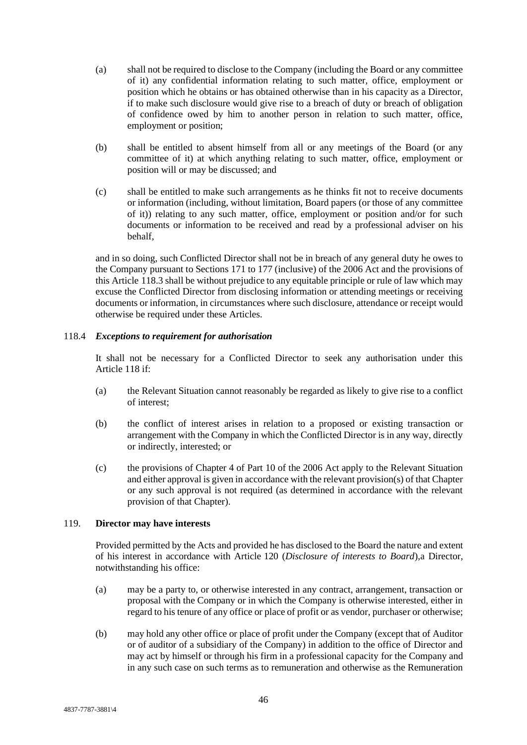- (a) shall not be required to disclose to the Company (including the Board or any committee of it) any confidential information relating to such matter, office, employment or position which he obtains or has obtained otherwise than in his capacity as a Director, if to make such disclosure would give rise to a breach of duty or breach of obligation of confidence owed by him to another person in relation to such matter, office, employment or position;
- (b) shall be entitled to absent himself from all or any meetings of the Board (or any committee of it) at which anything relating to such matter, office, employment or position will or may be discussed; and
- (c) shall be entitled to make such arrangements as he thinks fit not to receive documents or information (including, without limitation, Board papers (or those of any committee of it)) relating to any such matter, office, employment or position and/or for such documents or information to be received and read by a professional adviser on his behalf,

and in so doing, such Conflicted Director shall not be in breach of any general duty he owes to the Company pursuant to Sections 171 to 177 (inclusive) of the 2006 Act and the provisions of this Article [118.3](#page-49-1) shall be without prejudice to any equitable principle or rule of law which may excuse the Conflicted Director from disclosing information or attending meetings or receiving documents or information, in circumstances where such disclosure, attendance or receipt would otherwise be required under these Articles.

# 118.4 *Exceptions to requirement for authorisation*

It shall not be necessary for a Conflicted Director to seek any authorisation under this Article [118](#page-48-0) if:

- (a) the Relevant Situation cannot reasonably be regarded as likely to give rise to a conflict of interest;
- (b) the conflict of interest arises in relation to a proposed or existing transaction or arrangement with the Company in which the Conflicted Director is in any way, directly or indirectly, interested; or
- (c) the provisions of Chapter 4 of Part 10 of the 2006 Act apply to the Relevant Situation and either approval is given in accordance with the relevant provision(s) of that Chapter or any such approval is not required (as determined in accordance with the relevant provision of that Chapter).

## <span id="page-50-1"></span>119. **Director may have interests**

Provided permitted by the Acts and provided he has disclosed to the Board the nature and extent of his interest in accordance with Article [120](#page-51-0) (*Disclosure of interests to Board*),a Director, notwithstanding his office:

- <span id="page-50-0"></span>(a) may be a party to, or otherwise interested in any contract, arrangement, transaction or proposal with the Company or in which the Company is otherwise interested, either in regard to his tenure of any office or place of profit or as vendor, purchaser or otherwise;
- (b) may hold any other office or place of profit under the Company (except that of Auditor or of auditor of a subsidiary of the Company) in addition to the office of Director and may act by himself or through his firm in a professional capacity for the Company and in any such case on such terms as to remuneration and otherwise as the Remuneration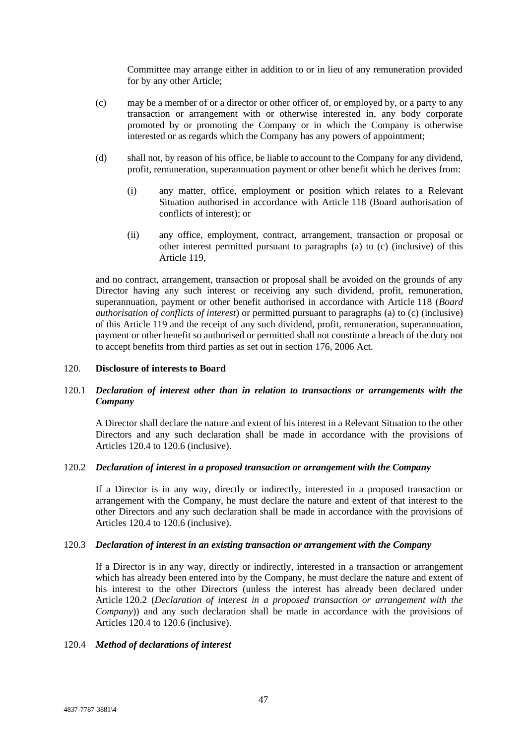Committee may arrange either in addition to or in lieu of any remuneration provided for by any other Article;

- <span id="page-51-1"></span>(c) may be a member of or a director or other officer of, or employed by, or a party to any transaction or arrangement with or otherwise interested in, any body corporate promoted by or promoting the Company or in which the Company is otherwise interested or as regards which the Company has any powers of appointment;
- (d) shall not, by reason of his office, be liable to account to the Company for any dividend, profit, remuneration, superannuation payment or other benefit which he derives from:
	- (i) any matter, office, employment or position which relates to a Relevant Situation authorised in accordance with Article [118](#page-48-0) (Board authorisation of conflicts of interest); or
	- (ii) any office, employment, contract, arrangement, transaction or proposal or other interest permitted pursuant to paragraphs [\(a\)](#page-50-0) to [\(c\)](#page-51-1) (inclusive) of this Article [119,](#page-50-1)

and no contract, arrangement, transaction or proposal shall be avoided on the grounds of any Director having any such interest or receiving any such dividend, profit, remuneration, superannuation, payment or other benefit authorised in accordance with Article [118](#page-48-0) (*Board authorisation of conflicts of interest*) or permitted pursuant to paragraphs [\(a\)](#page-50-0) to [\(c\)](#page-51-1) (inclusive) of this Article [119](#page-50-1) and the receipt of any such dividend, profit, remuneration, superannuation, payment or other benefit so authorised or permitted shall not constitute a breach of the duty not to accept benefits from third parties as set out in section 176, 2006 Act.

#### <span id="page-51-0"></span>120. **Disclosure of interests to Board**

# <span id="page-51-5"></span>120.1 *Declaration of interest other than in relation to transactions or arrangements with the Company*

A Director shall declare the nature and extent of his interest in a Relevant Situation to the other Directors and any such declaration shall be made in accordance with the provisions of Articles [120.4](#page-51-2) to [120.6](#page-52-0) (inclusive).

## <span id="page-51-3"></span>120.2 *Declaration of interest in a proposed transaction or arrangement with the Company*

If a Director is in any way, directly or indirectly, interested in a proposed transaction or arrangement with the Company, he must declare the nature and extent of that interest to the other Directors and any such declaration shall be made in accordance with the provisions of Articles [120.4](#page-51-2) to [120.6](#page-52-0) (inclusive).

## <span id="page-51-4"></span>120.3 *Declaration of interest in an existing transaction or arrangement with the Company*

If a Director is in any way, directly or indirectly, interested in a transaction or arrangement which has already been entered into by the Company, he must declare the nature and extent of his interest to the other Directors (unless the interest has already been declared under Article [120.2](#page-51-3) (*Declaration of interest in a proposed transaction or arrangement with the Company*)) and any such declaration shall be made in accordance with the provisions of Articles [120.4](#page-51-2) to [120.6](#page-52-0) (inclusive).

## <span id="page-51-2"></span>120.4 *Method of declarations of interest*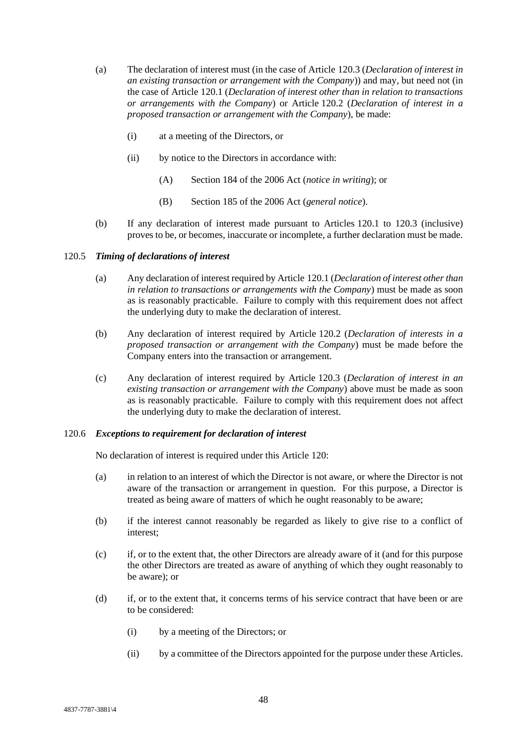- (a) The declaration of interest must (in the case of Article [120.3](#page-51-4) (*Declaration of interest in an existing transaction or arrangement with the Company*)) and may, but need not (in the case of Article [120.1](#page-51-5) (*Declaration of interest other than in relation to transactions or arrangements with the Company*) or Article [120.2](#page-51-3) (*Declaration of interest in a proposed transaction or arrangement with the Company*), be made:
	- (i) at a meeting of the Directors, or
	- (ii) by notice to the Directors in accordance with:
		- (A) Section 184 of the 2006 Act (*notice in writing*); or
		- (B) Section 185 of the 2006 Act (*general notice*).
- (b) If any declaration of interest made pursuant to Articles [120.1](#page-51-5) to [120.3](#page-51-4) (inclusive) proves to be, or becomes, inaccurate or incomplete, a further declaration must be made.

#### 120.5 *Timing of declarations of interest*

- (a) Any declaration of interest required by Article [120.1](#page-51-5) (*Declaration of interest other than in relation to transactions or arrangements with the Company*) must be made as soon as is reasonably practicable. Failure to comply with this requirement does not affect the underlying duty to make the declaration of interest.
- (b) Any declaration of interest required by Article [120.2](#page-51-3) (*Declaration of interests in a proposed transaction or arrangement with the Company*) must be made before the Company enters into the transaction or arrangement.
- (c) Any declaration of interest required by Article [120.3](#page-51-4) (*Declaration of interest in an existing transaction or arrangement with the Company*) above must be made as soon as is reasonably practicable. Failure to comply with this requirement does not affect the underlying duty to make the declaration of interest.

#### <span id="page-52-0"></span>120.6 *Exceptions to requirement for declaration of interest*

No declaration of interest is required under this Article [120:](#page-51-0)

- (a) in relation to an interest of which the Director is not aware, or where the Director is not aware of the transaction or arrangement in question. For this purpose, a Director is treated as being aware of matters of which he ought reasonably to be aware;
- (b) if the interest cannot reasonably be regarded as likely to give rise to a conflict of interest;
- (c) if, or to the extent that, the other Directors are already aware of it (and for this purpose the other Directors are treated as aware of anything of which they ought reasonably to be aware); or
- (d) if, or to the extent that, it concerns terms of his service contract that have been or are to be considered:
	- (i) by a meeting of the Directors; or
	- (ii) by a committee of the Directors appointed for the purpose under these Articles.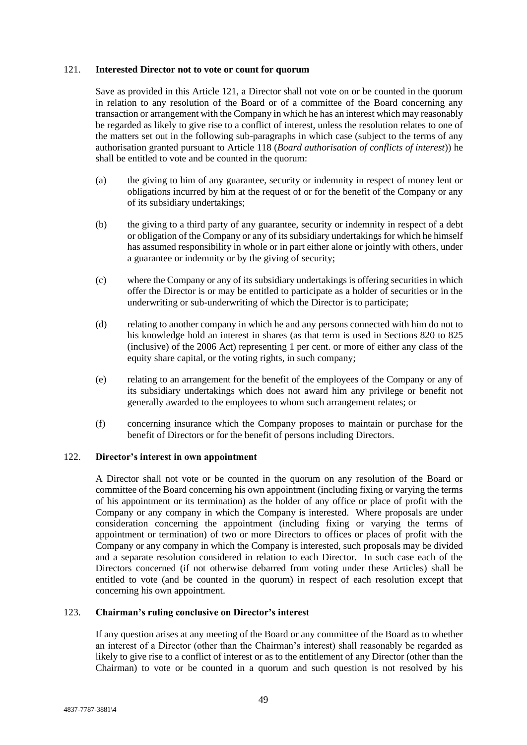#### <span id="page-53-0"></span>121. **Interested Director not to vote or count for quorum**

Save as provided in this Article [121,](#page-53-0) a Director shall not vote on or be counted in the quorum in relation to any resolution of the Board or of a committee of the Board concerning any transaction or arrangement with the Company in which he has an interest which may reasonably be regarded as likely to give rise to a conflict of interest, unless the resolution relates to one of the matters set out in the following sub-paragraphs in which case (subject to the terms of any authorisation granted pursuant to Article [118](#page-48-0) (*Board authorisation of conflicts of interest*)) he shall be entitled to vote and be counted in the quorum:

- (a) the giving to him of any guarantee, security or indemnity in respect of money lent or obligations incurred by him at the request of or for the benefit of the Company or any of its subsidiary undertakings;
- (b) the giving to a third party of any guarantee, security or indemnity in respect of a debt or obligation of the Company or any of its subsidiary undertakings for which he himself has assumed responsibility in whole or in part either alone or jointly with others, under a guarantee or indemnity or by the giving of security;
- (c) where the Company or any of its subsidiary undertakings is offering securities in which offer the Director is or may be entitled to participate as a holder of securities or in the underwriting or sub-underwriting of which the Director is to participate;
- (d) relating to another company in which he and any persons connected with him do not to his knowledge hold an interest in shares (as that term is used in Sections 820 to 825 (inclusive) of the 2006 Act) representing 1 per cent. or more of either any class of the equity share capital, or the voting rights, in such company;
- (e) relating to an arrangement for the benefit of the employees of the Company or any of its subsidiary undertakings which does not award him any privilege or benefit not generally awarded to the employees to whom such arrangement relates; or
- (f) concerning insurance which the Company proposes to maintain or purchase for the benefit of Directors or for the benefit of persons including Directors.

## 122. **Director's interest in own appointment**

A Director shall not vote or be counted in the quorum on any resolution of the Board or committee of the Board concerning his own appointment (including fixing or varying the terms of his appointment or its termination) as the holder of any office or place of profit with the Company or any company in which the Company is interested. Where proposals are under consideration concerning the appointment (including fixing or varying the terms of appointment or termination) of two or more Directors to offices or places of profit with the Company or any company in which the Company is interested, such proposals may be divided and a separate resolution considered in relation to each Director. In such case each of the Directors concerned (if not otherwise debarred from voting under these Articles) shall be entitled to vote (and be counted in the quorum) in respect of each resolution except that concerning his own appointment.

## 123. **Chairman's ruling conclusive on Director's interest**

If any question arises at any meeting of the Board or any committee of the Board as to whether an interest of a Director (other than the Chairman's interest) shall reasonably be regarded as likely to give rise to a conflict of interest or as to the entitlement of any Director (other than the Chairman) to vote or be counted in a quorum and such question is not resolved by his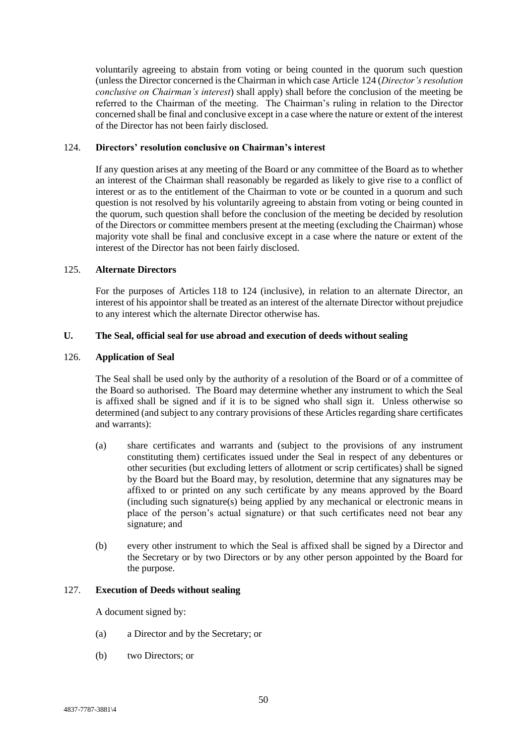voluntarily agreeing to abstain from voting or being counted in the quorum such question (unless the Director concerned is the Chairman in which case Article [124](#page-54-0) (*Director's resolution conclusive on Chairman's interest*) shall apply) shall before the conclusion of the meeting be referred to the Chairman of the meeting. The Chairman's ruling in relation to the Director concerned shall be final and conclusive except in a case where the nature or extent of the interest of the Director has not been fairly disclosed.

### <span id="page-54-0"></span>124. **Directors' resolution conclusive on Chairman's interest**

If any question arises at any meeting of the Board or any committee of the Board as to whether an interest of the Chairman shall reasonably be regarded as likely to give rise to a conflict of interest or as to the entitlement of the Chairman to vote or be counted in a quorum and such question is not resolved by his voluntarily agreeing to abstain from voting or being counted in the quorum, such question shall before the conclusion of the meeting be decided by resolution of the Directors or committee members present at the meeting (excluding the Chairman) whose majority vote shall be final and conclusive except in a case where the nature or extent of the interest of the Director has not been fairly disclosed.

#### 125. **Alternate Directors**

For the purposes of Articles [118](#page-48-0) to [124](#page-54-0) (inclusive), in relation to an alternate Director, an interest of his appointor shall be treated as an interest of the alternate Director without prejudice to any interest which the alternate Director otherwise has.

### **U. The Seal, official seal for use abroad and execution of deeds without sealing**

#### 126. **Application of Seal**

The Seal shall be used only by the authority of a resolution of the Board or of a committee of the Board so authorised. The Board may determine whether any instrument to which the Seal is affixed shall be signed and if it is to be signed who shall sign it. Unless otherwise so determined (and subject to any contrary provisions of these Articles regarding share certificates and warrants):

- (a) share certificates and warrants and (subject to the provisions of any instrument constituting them) certificates issued under the Seal in respect of any debentures or other securities (but excluding letters of allotment or scrip certificates) shall be signed by the Board but the Board may, by resolution, determine that any signatures may be affixed to or printed on any such certificate by any means approved by the Board (including such signature(s) being applied by any mechanical or electronic means in place of the person's actual signature) or that such certificates need not bear any signature; and
- (b) every other instrument to which the Seal is affixed shall be signed by a Director and the Secretary or by two Directors or by any other person appointed by the Board for the purpose.

### 127. **Execution of Deeds without sealing**

A document signed by:

- (a) a Director and by the Secretary; or
- (b) two Directors; or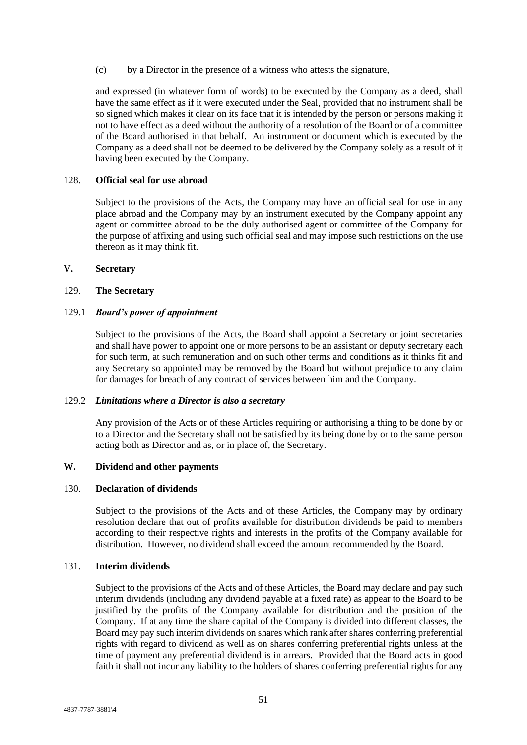(c) by a Director in the presence of a witness who attests the signature,

and expressed (in whatever form of words) to be executed by the Company as a deed, shall have the same effect as if it were executed under the Seal, provided that no instrument shall be so signed which makes it clear on its face that it is intended by the person or persons making it not to have effect as a deed without the authority of a resolution of the Board or of a committee of the Board authorised in that behalf. An instrument or document which is executed by the Company as a deed shall not be deemed to be delivered by the Company solely as a result of it having been executed by the Company.

### 128. **Official seal for use abroad**

Subject to the provisions of the Acts, the Company may have an official seal for use in any place abroad and the Company may by an instrument executed by the Company appoint any agent or committee abroad to be the duly authorised agent or committee of the Company for the purpose of affixing and using such official seal and may impose such restrictions on the use thereon as it may think fit.

#### **V. Secretary**

#### 129. **The Secretary**

#### 129.1 *Board's power of appointment*

Subject to the provisions of the Acts, the Board shall appoint a Secretary or joint secretaries and shall have power to appoint one or more persons to be an assistant or deputy secretary each for such term, at such remuneration and on such other terms and conditions as it thinks fit and any Secretary so appointed may be removed by the Board but without prejudice to any claim for damages for breach of any contract of services between him and the Company.

### 129.2 *Limitations where a Director is also a secretary*

Any provision of the Acts or of these Articles requiring or authorising a thing to be done by or to a Director and the Secretary shall not be satisfied by its being done by or to the same person acting both as Director and as, or in place of, the Secretary.

#### **W. Dividend and other payments**

#### 130. **Declaration of dividends**

Subject to the provisions of the Acts and of these Articles, the Company may by ordinary resolution declare that out of profits available for distribution dividends be paid to members according to their respective rights and interests in the profits of the Company available for distribution. However, no dividend shall exceed the amount recommended by the Board.

#### 131. **Interim dividends**

Subject to the provisions of the Acts and of these Articles, the Board may declare and pay such interim dividends (including any dividend payable at a fixed rate) as appear to the Board to be justified by the profits of the Company available for distribution and the position of the Company. If at any time the share capital of the Company is divided into different classes, the Board may pay such interim dividends on shares which rank after shares conferring preferential rights with regard to dividend as well as on shares conferring preferential rights unless at the time of payment any preferential dividend is in arrears. Provided that the Board acts in good faith it shall not incur any liability to the holders of shares conferring preferential rights for any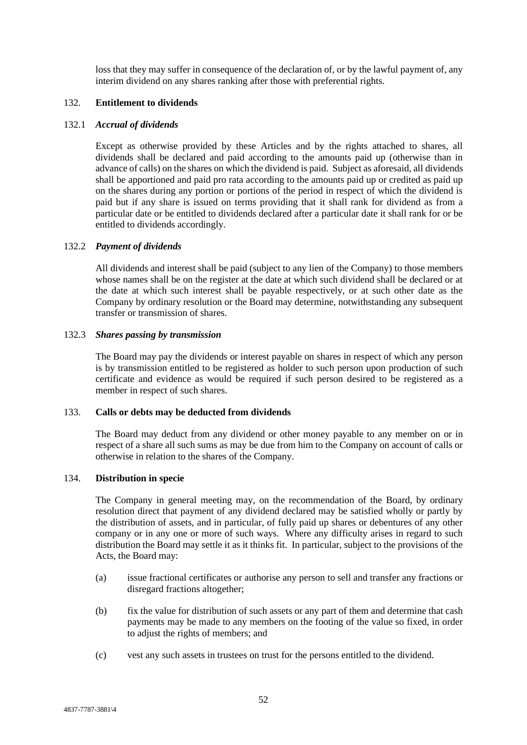loss that they may suffer in consequence of the declaration of, or by the lawful payment of, any interim dividend on any shares ranking after those with preferential rights.

# 132. **Entitlement to dividends**

#### 132.1 *Accrual of dividends*

Except as otherwise provided by these Articles and by the rights attached to shares, all dividends shall be declared and paid according to the amounts paid up (otherwise than in advance of calls) on the shares on which the dividend is paid. Subject as aforesaid, all dividends shall be apportioned and paid pro rata according to the amounts paid up or credited as paid up on the shares during any portion or portions of the period in respect of which the dividend is paid but if any share is issued on terms providing that it shall rank for dividend as from a particular date or be entitled to dividends declared after a particular date it shall rank for or be entitled to dividends accordingly.

#### 132.2 *Payment of dividends*

All dividends and interest shall be paid (subject to any lien of the Company) to those members whose names shall be on the register at the date at which such dividend shall be declared or at the date at which such interest shall be payable respectively, or at such other date as the Company by ordinary resolution or the Board may determine, notwithstanding any subsequent transfer or transmission of shares.

#### 132.3 *Shares passing by transmission*

The Board may pay the dividends or interest payable on shares in respect of which any person is by transmission entitled to be registered as holder to such person upon production of such certificate and evidence as would be required if such person desired to be registered as a member in respect of such shares.

### 133. **Calls or debts may be deducted from dividends**

The Board may deduct from any dividend or other money payable to any member on or in respect of a share all such sums as may be due from him to the Company on account of calls or otherwise in relation to the shares of the Company.

## 134. **Distribution in specie**

The Company in general meeting may, on the recommendation of the Board, by ordinary resolution direct that payment of any dividend declared may be satisfied wholly or partly by the distribution of assets, and in particular, of fully paid up shares or debentures of any other company or in any one or more of such ways. Where any difficulty arises in regard to such distribution the Board may settle it as it thinks fit. In particular, subject to the provisions of the Acts, the Board may:

- (a) issue fractional certificates or authorise any person to sell and transfer any fractions or disregard fractions altogether;
- (b) fix the value for distribution of such assets or any part of them and determine that cash payments may be made to any members on the footing of the value so fixed, in order to adjust the rights of members; and
- (c) vest any such assets in trustees on trust for the persons entitled to the dividend.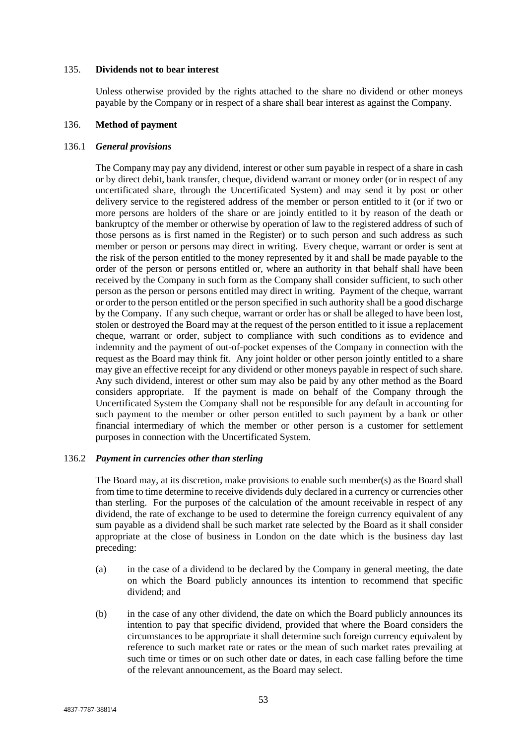#### 135. **Dividends not to bear interest**

Unless otherwise provided by the rights attached to the share no dividend or other moneys payable by the Company or in respect of a share shall bear interest as against the Company.

## 136. **Method of payment**

### 136.1 *General provisions*

The Company may pay any dividend, interest or other sum payable in respect of a share in cash or by direct debit, bank transfer, cheque, dividend warrant or money order (or in respect of any uncertificated share, through the Uncertificated System) and may send it by post or other delivery service to the registered address of the member or person entitled to it (or if two or more persons are holders of the share or are jointly entitled to it by reason of the death or bankruptcy of the member or otherwise by operation of law to the registered address of such of those persons as is first named in the Register) or to such person and such address as such member or person or persons may direct in writing. Every cheque, warrant or order is sent at the risk of the person entitled to the money represented by it and shall be made payable to the order of the person or persons entitled or, where an authority in that behalf shall have been received by the Company in such form as the Company shall consider sufficient, to such other person as the person or persons entitled may direct in writing. Payment of the cheque, warrant or order to the person entitled or the person specified in such authority shall be a good discharge by the Company. If any such cheque, warrant or order has or shall be alleged to have been lost, stolen or destroyed the Board may at the request of the person entitled to it issue a replacement cheque, warrant or order, subject to compliance with such conditions as to evidence and indemnity and the payment of out-of-pocket expenses of the Company in connection with the request as the Board may think fit. Any joint holder or other person jointly entitled to a share may give an effective receipt for any dividend or other moneys payable in respect of such share. Any such dividend, interest or other sum may also be paid by any other method as the Board considers appropriate. If the payment is made on behalf of the Company through the Uncertificated System the Company shall not be responsible for any default in accounting for such payment to the member or other person entitled to such payment by a bank or other financial intermediary of which the member or other person is a customer for settlement purposes in connection with the Uncertificated System.

## 136.2 *Payment in currencies other than sterling*

The Board may, at its discretion, make provisions to enable such member(s) as the Board shall from time to time determine to receive dividends duly declared in a currency or currencies other than sterling. For the purposes of the calculation of the amount receivable in respect of any dividend, the rate of exchange to be used to determine the foreign currency equivalent of any sum payable as a dividend shall be such market rate selected by the Board as it shall consider appropriate at the close of business in London on the date which is the business day last preceding:

- (a) in the case of a dividend to be declared by the Company in general meeting, the date on which the Board publicly announces its intention to recommend that specific dividend; and
- (b) in the case of any other dividend, the date on which the Board publicly announces its intention to pay that specific dividend, provided that where the Board considers the circumstances to be appropriate it shall determine such foreign currency equivalent by reference to such market rate or rates or the mean of such market rates prevailing at such time or times or on such other date or dates, in each case falling before the time of the relevant announcement, as the Board may select.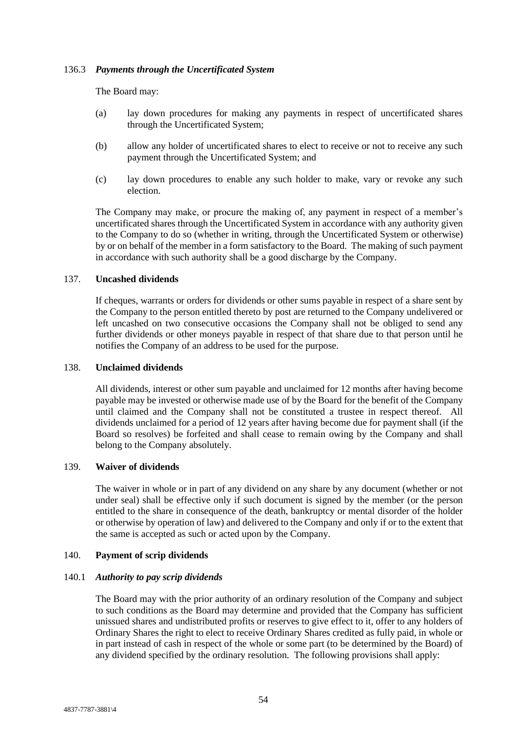## 136.3 *Payments through the Uncertificated System*

The Board may:

- (a) lay down procedures for making any payments in respect of uncertificated shares through the Uncertificated System;
- (b) allow any holder of uncertificated shares to elect to receive or not to receive any such payment through the Uncertificated System; and
- (c) lay down procedures to enable any such holder to make, vary or revoke any such election.

The Company may make, or procure the making of, any payment in respect of a member's uncertificated shares through the Uncertificated System in accordance with any authority given to the Company to do so (whether in writing, through the Uncertificated System or otherwise) by or on behalf of the member in a form satisfactory to the Board. The making of such payment in accordance with such authority shall be a good discharge by the Company.

### 137. **Uncashed dividends**

If cheques, warrants or orders for dividends or other sums payable in respect of a share sent by the Company to the person entitled thereto by post are returned to the Company undelivered or left uncashed on two consecutive occasions the Company shall not be obliged to send any further dividends or other moneys payable in respect of that share due to that person until he notifies the Company of an address to be used for the purpose.

#### 138. **Unclaimed dividends**

All dividends, interest or other sum payable and unclaimed for 12 months after having become payable may be invested or otherwise made use of by the Board for the benefit of the Company until claimed and the Company shall not be constituted a trustee in respect thereof. All dividends unclaimed for a period of 12 years after having become due for payment shall (if the Board so resolves) be forfeited and shall cease to remain owing by the Company and shall belong to the Company absolutely.

## 139. **Waiver of dividends**

The waiver in whole or in part of any dividend on any share by any document (whether or not under seal) shall be effective only if such document is signed by the member (or the person entitled to the share in consequence of the death, bankruptcy or mental disorder of the holder or otherwise by operation of law) and delivered to the Company and only if or to the extent that the same is accepted as such or acted upon by the Company.

## 140. **Payment of scrip dividends**

## 140.1 *Authority to pay scrip dividends*

The Board may with the prior authority of an ordinary resolution of the Company and subject to such conditions as the Board may determine and provided that the Company has sufficient unissued shares and undistributed profits or reserves to give effect to it, offer to any holders of Ordinary Shares the right to elect to receive Ordinary Shares credited as fully paid, in whole or in part instead of cash in respect of the whole or some part (to be determined by the Board) of any dividend specified by the ordinary resolution. The following provisions shall apply: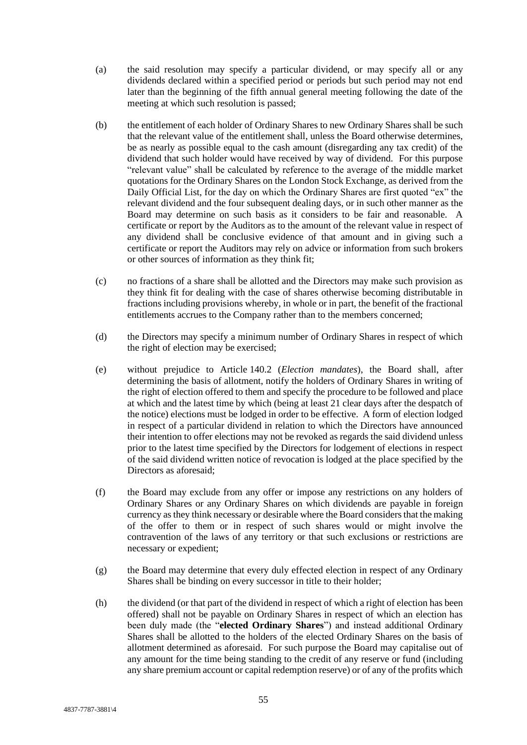- (a) the said resolution may specify a particular dividend, or may specify all or any dividends declared within a specified period or periods but such period may not end later than the beginning of the fifth annual general meeting following the date of the meeting at which such resolution is passed;
- (b) the entitlement of each holder of Ordinary Shares to new Ordinary Shares shall be such that the relevant value of the entitlement shall, unless the Board otherwise determines, be as nearly as possible equal to the cash amount (disregarding any tax credit) of the dividend that such holder would have received by way of dividend. For this purpose "relevant value" shall be calculated by reference to the average of the middle market quotations for the Ordinary Shares on the London Stock Exchange, as derived from the Daily Official List, for the day on which the Ordinary Shares are first quoted "ex" the relevant dividend and the four subsequent dealing days, or in such other manner as the Board may determine on such basis as it considers to be fair and reasonable. A certificate or report by the Auditors as to the amount of the relevant value in respect of any dividend shall be conclusive evidence of that amount and in giving such a certificate or report the Auditors may rely on advice or information from such brokers or other sources of information as they think fit;
- (c) no fractions of a share shall be allotted and the Directors may make such provision as they think fit for dealing with the case of shares otherwise becoming distributable in fractions including provisions whereby, in whole or in part, the benefit of the fractional entitlements accrues to the Company rather than to the members concerned;
- (d) the Directors may specify a minimum number of Ordinary Shares in respect of which the right of election may be exercised;
- (e) without prejudice to Article [140.2](#page-60-0) (*Election mandates*), the Board shall, after determining the basis of allotment, notify the holders of Ordinary Shares in writing of the right of election offered to them and specify the procedure to be followed and place at which and the latest time by which (being at least 21 clear days after the despatch of the notice) elections must be lodged in order to be effective. A form of election lodged in respect of a particular dividend in relation to which the Directors have announced their intention to offer elections may not be revoked as regards the said dividend unless prior to the latest time specified by the Directors for lodgement of elections in respect of the said dividend written notice of revocation is lodged at the place specified by the Directors as aforesaid;
- (f) the Board may exclude from any offer or impose any restrictions on any holders of Ordinary Shares or any Ordinary Shares on which dividends are payable in foreign currency as they think necessary or desirable where the Board considers that the making of the offer to them or in respect of such shares would or might involve the contravention of the laws of any territory or that such exclusions or restrictions are necessary or expedient;
- (g) the Board may determine that every duly effected election in respect of any Ordinary Shares shall be binding on every successor in title to their holder;
- (h) the dividend (or that part of the dividend in respect of which a right of election has been offered) shall not be payable on Ordinary Shares in respect of which an election has been duly made (the "**elected Ordinary Shares**") and instead additional Ordinary Shares shall be allotted to the holders of the elected Ordinary Shares on the basis of allotment determined as aforesaid. For such purpose the Board may capitalise out of any amount for the time being standing to the credit of any reserve or fund (including any share premium account or capital redemption reserve) or of any of the profits which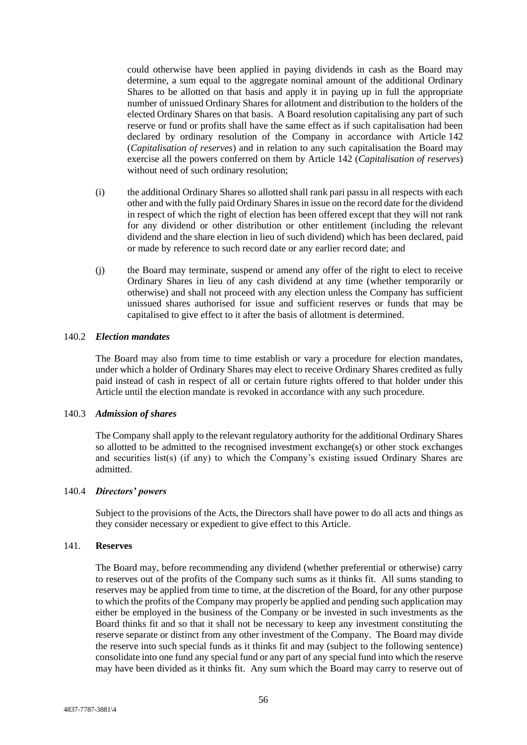could otherwise have been applied in paying dividends in cash as the Board may determine, a sum equal to the aggregate nominal amount of the additional Ordinary Shares to be allotted on that basis and apply it in paying up in full the appropriate number of unissued Ordinary Shares for allotment and distribution to the holders of the elected Ordinary Shares on that basis. A Board resolution capitalising any part of such reserve or fund or profits shall have the same effect as if such capitalisation had been declared by ordinary resolution of the Company in accordance with Article [142](#page-61-0) (*Capitalisation of reserves*) and in relation to any such capitalisation the Board may exercise all the powers conferred on them by Article [142](#page-61-0) (*Capitalisation of reserves*) without need of such ordinary resolution;

- (i) the additional Ordinary Shares so allotted shall rank pari passu in all respects with each other and with the fully paid Ordinary Shares in issue on the record date for the dividend in respect of which the right of election has been offered except that they will not rank for any dividend or other distribution or other entitlement (including the relevant dividend and the share election in lieu of such dividend) which has been declared, paid or made by reference to such record date or any earlier record date; and
- (j) the Board may terminate, suspend or amend any offer of the right to elect to receive Ordinary Shares in lieu of any cash dividend at any time (whether temporarily or otherwise) and shall not proceed with any election unless the Company has sufficient unissued shares authorised for issue and sufficient reserves or funds that may be capitalised to give effect to it after the basis of allotment is determined.

#### <span id="page-60-0"></span>140.2 *Election mandates*

The Board may also from time to time establish or vary a procedure for election mandates, under which a holder of Ordinary Shares may elect to receive Ordinary Shares credited as fully paid instead of cash in respect of all or certain future rights offered to that holder under this Article until the election mandate is revoked in accordance with any such procedure.

#### 140.3 *Admission of shares*

The Company shall apply to the relevant regulatory authority for the additional Ordinary Shares so allotted to be admitted to the recognised investment exchange(s) or other stock exchanges and securities list(s) (if any) to which the Company's existing issued Ordinary Shares are admitted.

#### 140.4 *Directors' powers*

Subject to the provisions of the Acts, the Directors shall have power to do all acts and things as they consider necessary or expedient to give effect to this Article.

### 141. **Reserves**

The Board may, before recommending any dividend (whether preferential or otherwise) carry to reserves out of the profits of the Company such sums as it thinks fit. All sums standing to reserves may be applied from time to time, at the discretion of the Board, for any other purpose to which the profits of the Company may properly be applied and pending such application may either be employed in the business of the Company or be invested in such investments as the Board thinks fit and so that it shall not be necessary to keep any investment constituting the reserve separate or distinct from any other investment of the Company. The Board may divide the reserve into such special funds as it thinks fit and may (subject to the following sentence) consolidate into one fund any special fund or any part of any special fund into which the reserve may have been divided as it thinks fit. Any sum which the Board may carry to reserve out of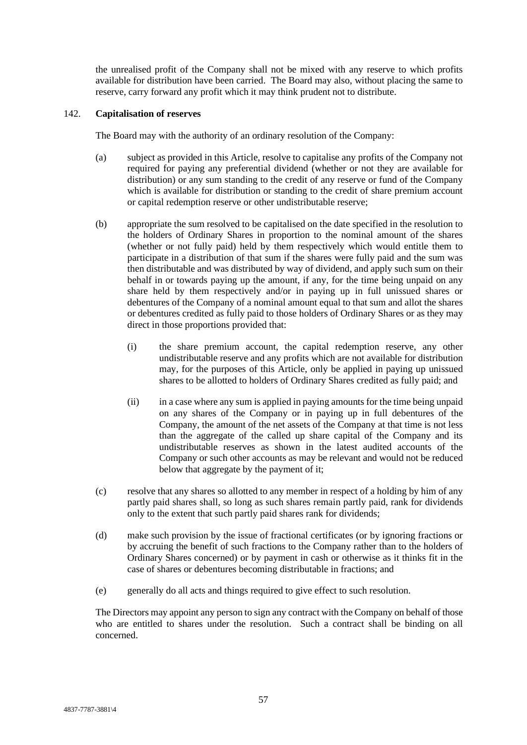the unrealised profit of the Company shall not be mixed with any reserve to which profits available for distribution have been carried. The Board may also, without placing the same to reserve, carry forward any profit which it may think prudent not to distribute.

## <span id="page-61-0"></span>142. **Capitalisation of reserves**

The Board may with the authority of an ordinary resolution of the Company:

- (a) subject as provided in this Article, resolve to capitalise any profits of the Company not required for paying any preferential dividend (whether or not they are available for distribution) or any sum standing to the credit of any reserve or fund of the Company which is available for distribution or standing to the credit of share premium account or capital redemption reserve or other undistributable reserve;
- (b) appropriate the sum resolved to be capitalised on the date specified in the resolution to the holders of Ordinary Shares in proportion to the nominal amount of the shares (whether or not fully paid) held by them respectively which would entitle them to participate in a distribution of that sum if the shares were fully paid and the sum was then distributable and was distributed by way of dividend, and apply such sum on their behalf in or towards paying up the amount, if any, for the time being unpaid on any share held by them respectively and/or in paying up in full unissued shares or debentures of the Company of a nominal amount equal to that sum and allot the shares or debentures credited as fully paid to those holders of Ordinary Shares or as they may direct in those proportions provided that:
	- (i) the share premium account, the capital redemption reserve, any other undistributable reserve and any profits which are not available for distribution may, for the purposes of this Article, only be applied in paying up unissued shares to be allotted to holders of Ordinary Shares credited as fully paid; and
	- (ii) in a case where any sum is applied in paying amounts for the time being unpaid on any shares of the Company or in paying up in full debentures of the Company, the amount of the net assets of the Company at that time is not less than the aggregate of the called up share capital of the Company and its undistributable reserves as shown in the latest audited accounts of the Company or such other accounts as may be relevant and would not be reduced below that aggregate by the payment of it;
- (c) resolve that any shares so allotted to any member in respect of a holding by him of any partly paid shares shall, so long as such shares remain partly paid, rank for dividends only to the extent that such partly paid shares rank for dividends;
- (d) make such provision by the issue of fractional certificates (or by ignoring fractions or by accruing the benefit of such fractions to the Company rather than to the holders of Ordinary Shares concerned) or by payment in cash or otherwise as it thinks fit in the case of shares or debentures becoming distributable in fractions; and
- (e) generally do all acts and things required to give effect to such resolution.

The Directors may appoint any person to sign any contract with the Company on behalf of those who are entitled to shares under the resolution. Such a contract shall be binding on all concerned.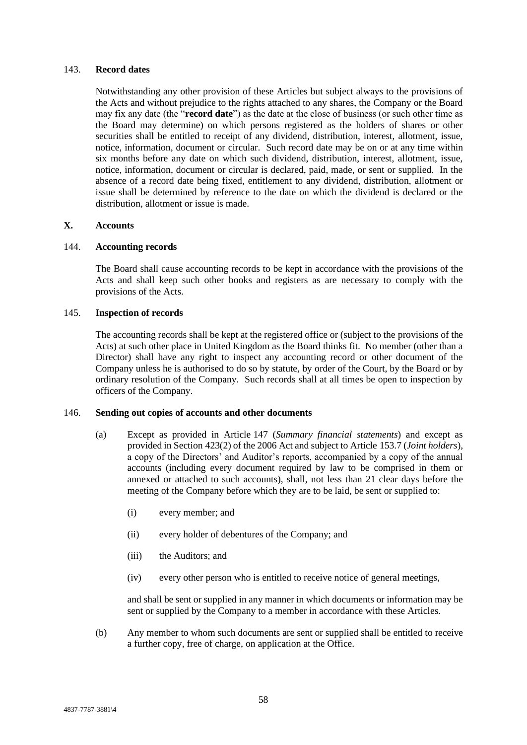#### 143. **Record dates**

Notwithstanding any other provision of these Articles but subject always to the provisions of the Acts and without prejudice to the rights attached to any shares, the Company or the Board may fix any date (the "**record date**") as the date at the close of business (or such other time as the Board may determine) on which persons registered as the holders of shares or other securities shall be entitled to receipt of any dividend, distribution, interest, allotment, issue, notice, information, document or circular. Such record date may be on or at any time within six months before any date on which such dividend, distribution, interest, allotment, issue, notice, information, document or circular is declared, paid, made, or sent or supplied. In the absence of a record date being fixed, entitlement to any dividend, distribution, allotment or issue shall be determined by reference to the date on which the dividend is declared or the distribution, allotment or issue is made.

## **X. Accounts**

### 144. **Accounting records**

The Board shall cause accounting records to be kept in accordance with the provisions of the Acts and shall keep such other books and registers as are necessary to comply with the provisions of the Acts.

#### 145. **Inspection of records**

The accounting records shall be kept at the registered office or (subject to the provisions of the Acts) at such other place in United Kingdom as the Board thinks fit. No member (other than a Director) shall have any right to inspect any accounting record or other document of the Company unless he is authorised to do so by statute, by order of the Court, by the Board or by ordinary resolution of the Company. Such records shall at all times be open to inspection by officers of the Company.

### <span id="page-62-0"></span>146. **Sending out copies of accounts and other documents**

- (a) Except as provided in Article [147](#page-63-0) (*Summary financial statements*) and except as provided in Section 423(2) of the 2006 Act and subject to Article [153.7](#page-68-0) (*Joint holders*), a copy of the Directors' and Auditor's reports, accompanied by a copy of the annual accounts (including every document required by law to be comprised in them or annexed or attached to such accounts), shall, not less than 21 clear days before the meeting of the Company before which they are to be laid, be sent or supplied to:
	- (i) every member; and
	- (ii) every holder of debentures of the Company; and
	- (iii) the Auditors; and
	- (iv) every other person who is entitled to receive notice of general meetings,

and shall be sent or supplied in any manner in which documents or information may be sent or supplied by the Company to a member in accordance with these Articles.

(b) Any member to whom such documents are sent or supplied shall be entitled to receive a further copy, free of charge, on application at the Office.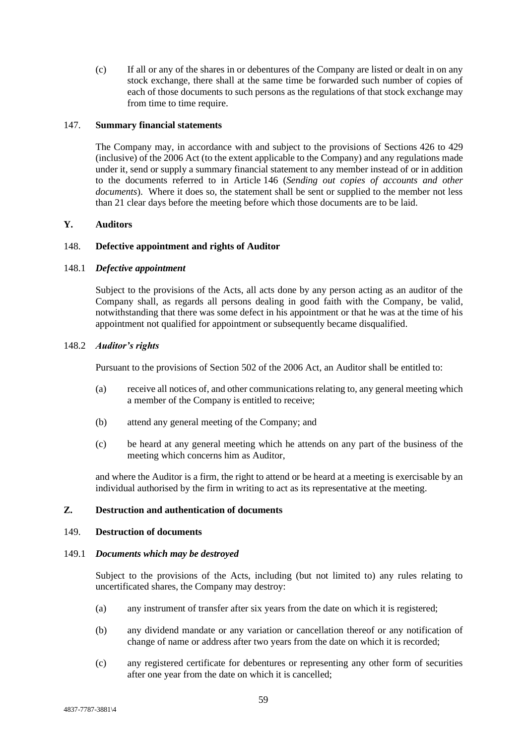(c) If all or any of the shares in or debentures of the Company are listed or dealt in on any stock exchange, there shall at the same time be forwarded such number of copies of each of those documents to such persons as the regulations of that stock exchange may from time to time require.

#### <span id="page-63-0"></span>147. **Summary financial statements**

The Company may, in accordance with and subject to the provisions of Sections 426 to 429 (inclusive) of the 2006 Act (to the extent applicable to the Company) and any regulations made under it, send or supply a summary financial statement to any member instead of or in addition to the documents referred to in Article [146](#page-62-0) (*Sending out copies of accounts and other documents*). Where it does so, the statement shall be sent or supplied to the member not less than 21 clear days before the meeting before which those documents are to be laid.

### **Y. Auditors**

#### 148. **Defective appointment and rights of Auditor**

#### 148.1 *Defective appointment*

Subject to the provisions of the Acts, all acts done by any person acting as an auditor of the Company shall, as regards all persons dealing in good faith with the Company, be valid, notwithstanding that there was some defect in his appointment or that he was at the time of his appointment not qualified for appointment or subsequently became disqualified.

#### 148.2 *Auditor's rights*

Pursuant to the provisions of Section 502 of the 2006 Act, an Auditor shall be entitled to:

- (a) receive all notices of, and other communications relating to, any general meeting which a member of the Company is entitled to receive;
- (b) attend any general meeting of the Company; and
- (c) be heard at any general meeting which he attends on any part of the business of the meeting which concerns him as Auditor,

and where the Auditor is a firm, the right to attend or be heard at a meeting is exercisable by an individual authorised by the firm in writing to act as its representative at the meeting.

## **Z. Destruction and authentication of documents**

#### <span id="page-63-1"></span>149. **Destruction of documents**

#### 149.1 *Documents which may be destroyed*

Subject to the provisions of the Acts, including (but not limited to) any rules relating to uncertificated shares, the Company may destroy:

- (a) any instrument of transfer after six years from the date on which it is registered;
- (b) any dividend mandate or any variation or cancellation thereof or any notification of change of name or address after two years from the date on which it is recorded;
- (c) any registered certificate for debentures or representing any other form of securities after one year from the date on which it is cancelled;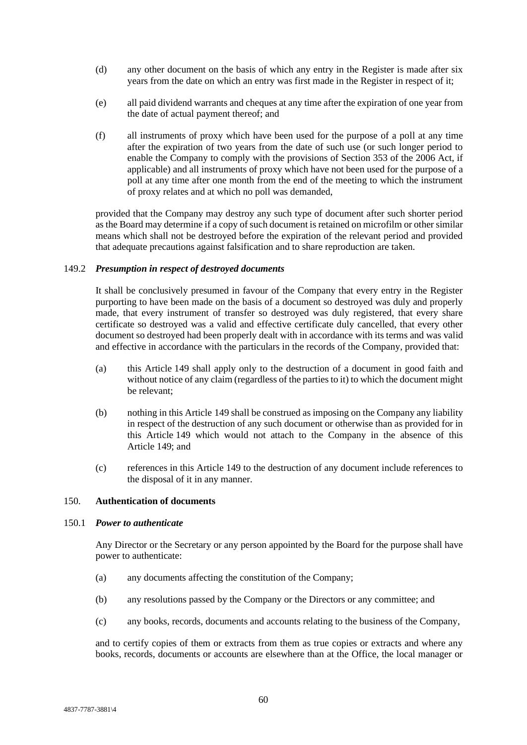- (d) any other document on the basis of which any entry in the Register is made after six years from the date on which an entry was first made in the Register in respect of it;
- (e) all paid dividend warrants and cheques at any time after the expiration of one year from the date of actual payment thereof; and
- (f) all instruments of proxy which have been used for the purpose of a poll at any time after the expiration of two years from the date of such use (or such longer period to enable the Company to comply with the provisions of Section 353 of the 2006 Act, if applicable) and all instruments of proxy which have not been used for the purpose of a poll at any time after one month from the end of the meeting to which the instrument of proxy relates and at which no poll was demanded,

provided that the Company may destroy any such type of document after such shorter period as the Board may determine if a copy of such document is retained on microfilm or other similar means which shall not be destroyed before the expiration of the relevant period and provided that adequate precautions against falsification and to share reproduction are taken.

#### 149.2 *Presumption in respect of destroyed documents*

It shall be conclusively presumed in favour of the Company that every entry in the Register purporting to have been made on the basis of a document so destroyed was duly and properly made, that every instrument of transfer so destroyed was duly registered, that every share certificate so destroyed was a valid and effective certificate duly cancelled, that every other document so destroyed had been properly dealt with in accordance with its terms and was valid and effective in accordance with the particulars in the records of the Company, provided that:

- (a) this Article [149](#page-63-1) shall apply only to the destruction of a document in good faith and without notice of any claim (regardless of the parties to it) to which the document might be relevant;
- (b) nothing in this Article [149](#page-63-1) shall be construed as imposing on the Company any liability in respect of the destruction of any such document or otherwise than as provided for in this Article [149](#page-63-1) which would not attach to the Company in the absence of this Article [149;](#page-63-1) and
- (c) references in this Article [149](#page-63-1) to the destruction of any document include references to the disposal of it in any manner.

#### 150. **Authentication of documents**

#### 150.1 *Power to authenticate*

Any Director or the Secretary or any person appointed by the Board for the purpose shall have power to authenticate:

- (a) any documents affecting the constitution of the Company;
- (b) any resolutions passed by the Company or the Directors or any committee; and
- (c) any books, records, documents and accounts relating to the business of the Company,

and to certify copies of them or extracts from them as true copies or extracts and where any books, records, documents or accounts are elsewhere than at the Office, the local manager or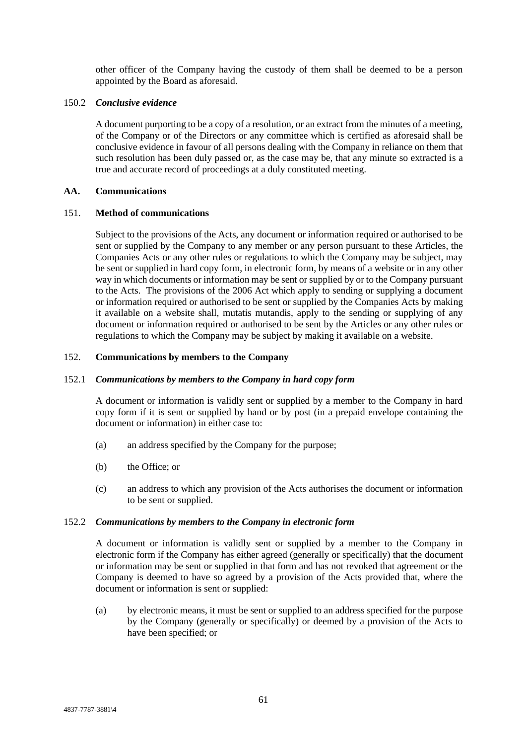other officer of the Company having the custody of them shall be deemed to be a person appointed by the Board as aforesaid.

### 150.2 *Conclusive evidence*

A document purporting to be a copy of a resolution, or an extract from the minutes of a meeting, of the Company or of the Directors or any committee which is certified as aforesaid shall be conclusive evidence in favour of all persons dealing with the Company in reliance on them that such resolution has been duly passed or, as the case may be, that any minute so extracted is a true and accurate record of proceedings at a duly constituted meeting.

### **AA. Communications**

#### <span id="page-65-0"></span>151. **Method of communications**

Subject to the provisions of the Acts, any document or information required or authorised to be sent or supplied by the Company to any member or any person pursuant to these Articles, the Companies Acts or any other rules or regulations to which the Company may be subject, may be sent or supplied in hard copy form, in electronic form, by means of a website or in any other way in which documents or information may be sent or supplied by or to the Company pursuant to the Acts. The provisions of the 2006 Act which apply to sending or supplying a document or information required or authorised to be sent or supplied by the Companies Acts by making it available on a website shall, mutatis mutandis, apply to the sending or supplying of any document or information required or authorised to be sent by the Articles or any other rules or regulations to which the Company may be subject by making it available on a website.

#### 152. **Communications by members to the Company**

#### 152.1 *Communications by members to the Company in hard copy form*

A document or information is validly sent or supplied by a member to the Company in hard copy form if it is sent or supplied by hand or by post (in a prepaid envelope containing the document or information) in either case to:

- (a) an address specified by the Company for the purpose;
- (b) the Office; or
- (c) an address to which any provision of the Acts authorises the document or information to be sent or supplied.

#### 152.2 *Communications by members to the Company in electronic form*

A document or information is validly sent or supplied by a member to the Company in electronic form if the Company has either agreed (generally or specifically) that the document or information may be sent or supplied in that form and has not revoked that agreement or the Company is deemed to have so agreed by a provision of the Acts provided that, where the document or information is sent or supplied:

(a) by electronic means, it must be sent or supplied to an address specified for the purpose by the Company (generally or specifically) or deemed by a provision of the Acts to have been specified; or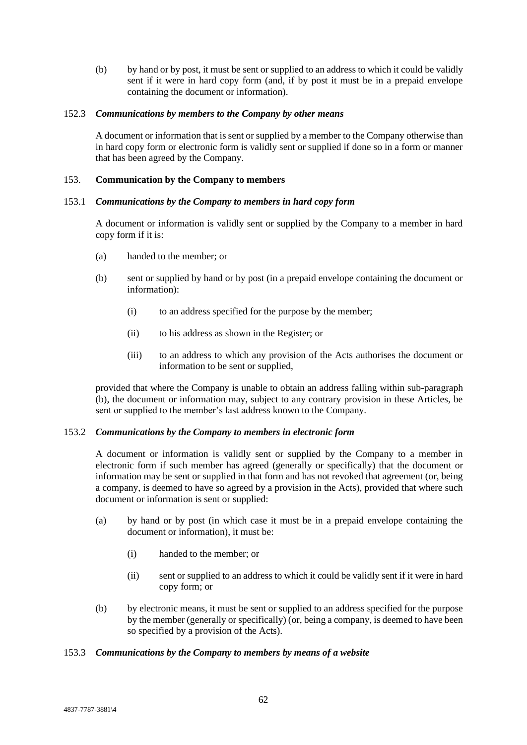(b) by hand or by post, it must be sent or supplied to an address to which it could be validly sent if it were in hard copy form (and, if by post it must be in a prepaid envelope containing the document or information).

### 152.3 *Communications by members to the Company by other means*

A document or information that is sent or supplied by a member to the Company otherwise than in hard copy form or electronic form is validly sent or supplied if done so in a form or manner that has been agreed by the Company.

## 153. **Communication by the Company to members**

### 153.1 *Communications by the Company to members in hard copy form*

A document or information is validly sent or supplied by the Company to a member in hard copy form if it is:

- (a) handed to the member; or
- <span id="page-66-0"></span>(b) sent or supplied by hand or by post (in a prepaid envelope containing the document or information):
	- (i) to an address specified for the purpose by the member;
	- (ii) to his address as shown in the Register; or
	- (iii) to an address to which any provision of the Acts authorises the document or information to be sent or supplied,

provided that where the Company is unable to obtain an address falling within sub-paragraph [\(b\),](#page-66-0) the document or information may, subject to any contrary provision in these Articles, be sent or supplied to the member's last address known to the Company.

#### 153.2 *Communications by the Company to members in electronic form*

A document or information is validly sent or supplied by the Company to a member in electronic form if such member has agreed (generally or specifically) that the document or information may be sent or supplied in that form and has not revoked that agreement (or, being a company, is deemed to have so agreed by a provision in the Acts), provided that where such document or information is sent or supplied:

- (a) by hand or by post (in which case it must be in a prepaid envelope containing the document or information), it must be:
	- (i) handed to the member; or
	- (ii) sent or supplied to an address to which it could be validly sent if it were in hard copy form; or
- (b) by electronic means, it must be sent or supplied to an address specified for the purpose by the member (generally or specifically) (or, being a company, is deemed to have been so specified by a provision of the Acts).

## 153.3 *Communications by the Company to members by means of a website*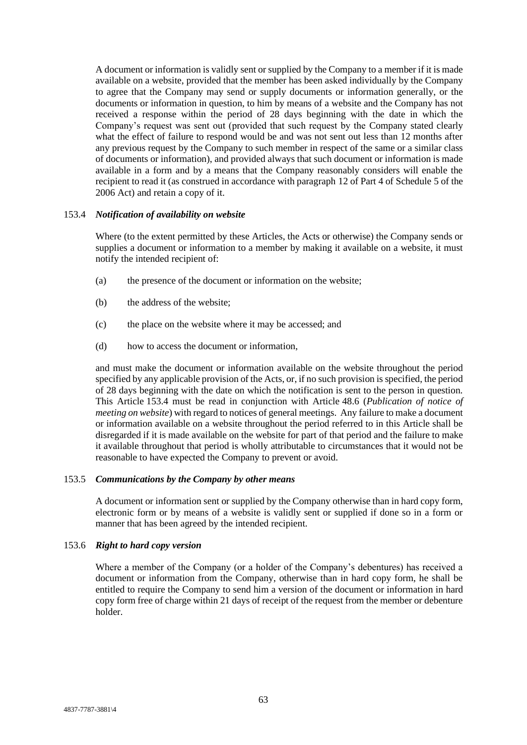A document or information is validly sent or supplied by the Company to a member if it is made available on a website, provided that the member has been asked individually by the Company to agree that the Company may send or supply documents or information generally, or the documents or information in question, to him by means of a website and the Company has not received a response within the period of 28 days beginning with the date in which the Company's request was sent out (provided that such request by the Company stated clearly what the effect of failure to respond would be and was not sent out less than 12 months after any previous request by the Company to such member in respect of the same or a similar class of documents or information), and provided always that such document or information is made available in a form and by a means that the Company reasonably considers will enable the recipient to read it (as construed in accordance with paragraph 12 of Part 4 of Schedule 5 of the 2006 Act) and retain a copy of it.

#### <span id="page-67-0"></span>153.4 *Notification of availability on website*

Where (to the extent permitted by these Articles, the Acts or otherwise) the Company sends or supplies a document or information to a member by making it available on a website, it must notify the intended recipient of:

- (a) the presence of the document or information on the website;
- (b) the address of the website;
- (c) the place on the website where it may be accessed; and
- (d) how to access the document or information,

and must make the document or information available on the website throughout the period specified by any applicable provision of the Acts, or, if no such provision is specified, the period of 28 days beginning with the date on which the notification is sent to the person in question. This Article [153.4](#page-67-0) must be read in conjunction with Article [48.6](#page-25-0) (*Publication of notice of meeting on website*) with regard to notices of general meetings. Any failure to make a document or information available on a website throughout the period referred to in this Article shall be disregarded if it is made available on the website for part of that period and the failure to make it available throughout that period is wholly attributable to circumstances that it would not be reasonable to have expected the Company to prevent or avoid.

### 153.5 *Communications by the Company by other means*

A document or information sent or supplied by the Company otherwise than in hard copy form, electronic form or by means of a website is validly sent or supplied if done so in a form or manner that has been agreed by the intended recipient.

### 153.6 *Right to hard copy version*

Where a member of the Company (or a holder of the Company's debentures) has received a document or information from the Company, otherwise than in hard copy form, he shall be entitled to require the Company to send him a version of the document or information in hard copy form free of charge within 21 days of receipt of the request from the member or debenture holder.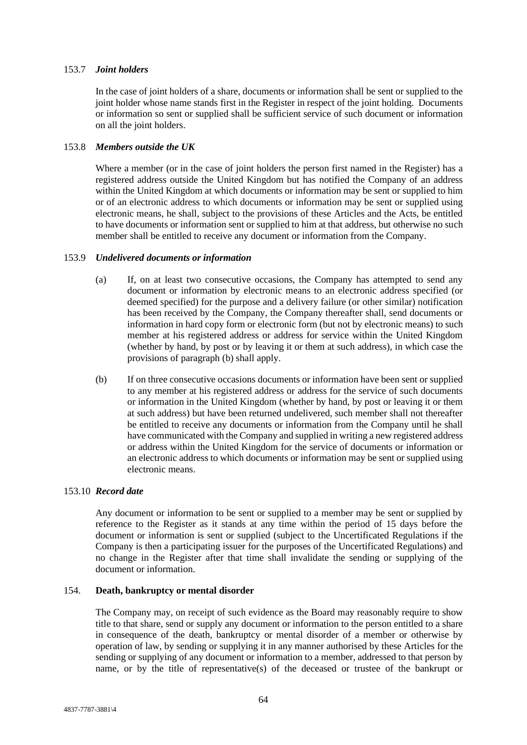## <span id="page-68-0"></span>153.7 *Joint holders*

In the case of joint holders of a share, documents or information shall be sent or supplied to the joint holder whose name stands first in the Register in respect of the joint holding. Documents or information so sent or supplied shall be sufficient service of such document or information on all the joint holders.

### 153.8 *Members outside the UK*

Where a member (or in the case of joint holders the person first named in the Register) has a registered address outside the United Kingdom but has notified the Company of an address within the United Kingdom at which documents or information may be sent or supplied to him or of an electronic address to which documents or information may be sent or supplied using electronic means, he shall, subject to the provisions of these Articles and the Acts, be entitled to have documents or information sent or supplied to him at that address, but otherwise no such member shall be entitled to receive any document or information from the Company.

#### 153.9 *Undelivered documents or information*

- (a) If, on at least two consecutive occasions, the Company has attempted to send any document or information by electronic means to an electronic address specified (or deemed specified) for the purpose and a delivery failure (or other similar) notification has been received by the Company, the Company thereafter shall, send documents or information in hard copy form or electronic form (but not by electronic means) to such member at his registered address or address for service within the United Kingdom (whether by hand, by post or by leaving it or them at such address), in which case the provisions of paragraph [\(b\)](#page-68-1) shall apply.
- <span id="page-68-1"></span>(b) If on three consecutive occasions documents or information have been sent or supplied to any member at his registered address or address for the service of such documents or information in the United Kingdom (whether by hand, by post or leaving it or them at such address) but have been returned undelivered, such member shall not thereafter be entitled to receive any documents or information from the Company until he shall have communicated with the Company and supplied in writing a new registered address or address within the United Kingdom for the service of documents or information or an electronic address to which documents or information may be sent or supplied using electronic means.

## 153.10 *Record date*

Any document or information to be sent or supplied to a member may be sent or supplied by reference to the Register as it stands at any time within the period of 15 days before the document or information is sent or supplied (subject to the Uncertificated Regulations if the Company is then a participating issuer for the purposes of the Uncertificated Regulations) and no change in the Register after that time shall invalidate the sending or supplying of the document or information.

#### 154. **Death, bankruptcy or mental disorder**

The Company may, on receipt of such evidence as the Board may reasonably require to show title to that share, send or supply any document or information to the person entitled to a share in consequence of the death, bankruptcy or mental disorder of a member or otherwise by operation of law, by sending or supplying it in any manner authorised by these Articles for the sending or supplying of any document or information to a member, addressed to that person by name, or by the title of representative(s) of the deceased or trustee of the bankrupt or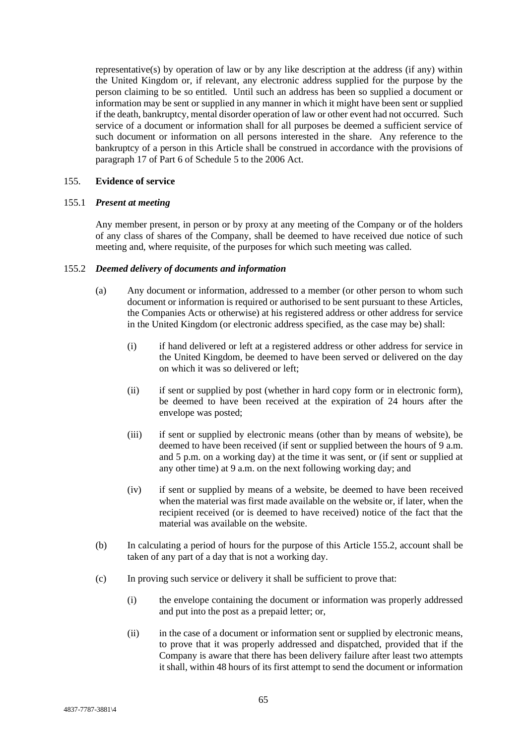representative(s) by operation of law or by any like description at the address (if any) within the United Kingdom or, if relevant, any electronic address supplied for the purpose by the person claiming to be so entitled. Until such an address has been so supplied a document or information may be sent or supplied in any manner in which it might have been sent or supplied if the death, bankruptcy, mental disorder operation of law or other event had not occurred. Such service of a document or information shall for all purposes be deemed a sufficient service of such document or information on all persons interested in the share. Any reference to the bankruptcy of a person in this Article shall be construed in accordance with the provisions of paragraph 17 of Part 6 of Schedule 5 to the 2006 Act.

### 155. **Evidence of service**

### 155.1 *Present at meeting*

Any member present, in person or by proxy at any meeting of the Company or of the holders of any class of shares of the Company, shall be deemed to have received due notice of such meeting and, where requisite, of the purposes for which such meeting was called.

#### <span id="page-69-0"></span>155.2 *Deemed delivery of documents and information*

- (a) Any document or information, addressed to a member (or other person to whom such document or information is required or authorised to be sent pursuant to these Articles, the Companies Acts or otherwise) at his registered address or other address for service in the United Kingdom (or electronic address specified, as the case may be) shall:
	- (i) if hand delivered or left at a registered address or other address for service in the United Kingdom, be deemed to have been served or delivered on the day on which it was so delivered or left;
	- (ii) if sent or supplied by post (whether in hard copy form or in electronic form), be deemed to have been received at the expiration of 24 hours after the envelope was posted;
	- (iii) if sent or supplied by electronic means (other than by means of website), be deemed to have been received (if sent or supplied between the hours of 9 a.m. and 5 p.m. on a working day) at the time it was sent, or (if sent or supplied at any other time) at 9 a.m. on the next following working day; and
	- (iv) if sent or supplied by means of a website, be deemed to have been received when the material was first made available on the website or, if later, when the recipient received (or is deemed to have received) notice of the fact that the material was available on the website.
- <span id="page-69-1"></span>(b) In calculating a period of hours for the purpose of this Article [155.2,](#page-69-0) account shall be taken of any part of a day that is not a working day.
- (c) In proving such service or delivery it shall be sufficient to prove that:
	- (i) the envelope containing the document or information was properly addressed and put into the post as a prepaid letter; or,
	- (ii) in the case of a document or information sent or supplied by electronic means, to prove that it was properly addressed and dispatched, provided that if the Company is aware that there has been delivery failure after least two attempts it shall, within 48 hours of its first attempt to send the document or information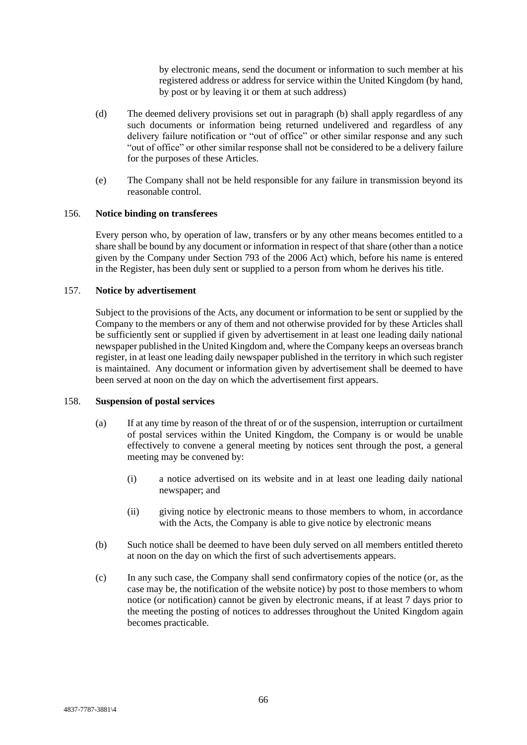by electronic means, send the document or information to such member at his registered address or address for service within the United Kingdom (by hand, by post or by leaving it or them at such address)

- (d) The deemed delivery provisions set out in paragraph [\(b\)](#page-69-1) shall apply regardless of any such documents or information being returned undelivered and regardless of any delivery failure notification or "out of office" or other similar response and any such "out of office" or other similar response shall not be considered to be a delivery failure for the purposes of these Articles.
- (e) The Company shall not be held responsible for any failure in transmission beyond its reasonable control.

## 156. **Notice binding on transferees**

Every person who, by operation of law, transfers or by any other means becomes entitled to a share shall be bound by any document or information in respect of that share (other than a notice given by the Company under Section 793 of the 2006 Act) which, before his name is entered in the Register, has been duly sent or supplied to a person from whom he derives his title.

# 157. **Notice by advertisement**

Subject to the provisions of the Acts, any document or information to be sent or supplied by the Company to the members or any of them and not otherwise provided for by these Articles shall be sufficiently sent or supplied if given by advertisement in at least one leading daily national newspaper published in the United Kingdom and, where the Company keeps an overseas branch register, in at least one leading daily newspaper published in the territory in which such register is maintained. Any document or information given by advertisement shall be deemed to have been served at noon on the day on which the advertisement first appears.

## <span id="page-70-0"></span>158. **Suspension of postal services**

- (a) If at any time by reason of the threat of or of the suspension, interruption or curtailment of postal services within the United Kingdom, the Company is or would be unable effectively to convene a general meeting by notices sent through the post, a general meeting may be convened by:
	- (i) a notice advertised on its website and in at least one leading daily national newspaper; and
	- (ii) giving notice by electronic means to those members to whom, in accordance with the Acts, the Company is able to give notice by electronic means
- (b) Such notice shall be deemed to have been duly served on all members entitled thereto at noon on the day on which the first of such advertisements appears.
- (c) In any such case, the Company shall send confirmatory copies of the notice (or, as the case may be, the notification of the website notice) by post to those members to whom notice (or notification) cannot be given by electronic means, if at least 7 days prior to the meeting the posting of notices to addresses throughout the United Kingdom again becomes practicable.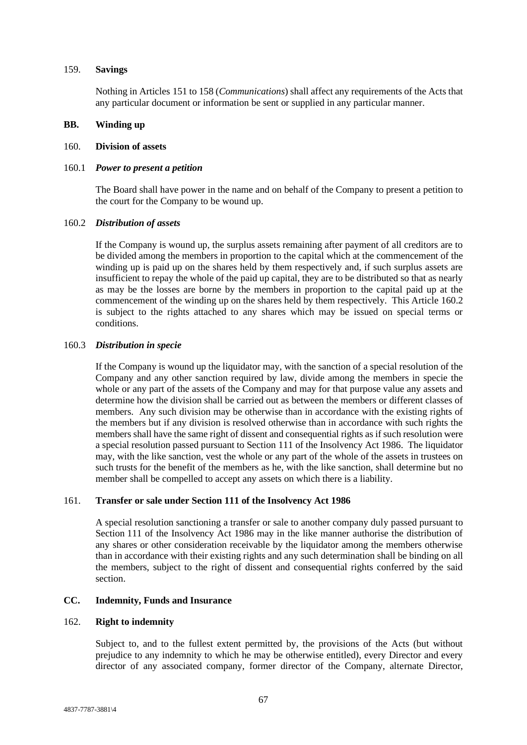#### 159. **Savings**

Nothing in Articles [151](#page-65-0) to [158](#page-70-0) (*Communications*) shall affect any requirements of the Acts that any particular document or information be sent or supplied in any particular manner.

### **BB. Winding up**

### 160. **Division of assets**

### 160.1 *Power to present a petition*

The Board shall have power in the name and on behalf of the Company to present a petition to the court for the Company to be wound up.

#### <span id="page-71-0"></span>160.2 *Distribution of assets*

If the Company is wound up, the surplus assets remaining after payment of all creditors are to be divided among the members in proportion to the capital which at the commencement of the winding up is paid up on the shares held by them respectively and, if such surplus assets are insufficient to repay the whole of the paid up capital, they are to be distributed so that as nearly as may be the losses are borne by the members in proportion to the capital paid up at the commencement of the winding up on the shares held by them respectively. This Article [160.2](#page-71-0) is subject to the rights attached to any shares which may be issued on special terms or conditions.

#### 160.3 *Distribution in specie*

If the Company is wound up the liquidator may, with the sanction of a special resolution of the Company and any other sanction required by law, divide among the members in specie the whole or any part of the assets of the Company and may for that purpose value any assets and determine how the division shall be carried out as between the members or different classes of members. Any such division may be otherwise than in accordance with the existing rights of the members but if any division is resolved otherwise than in accordance with such rights the members shall have the same right of dissent and consequential rights as if such resolution were a special resolution passed pursuant to Section 111 of the Insolvency Act 1986. The liquidator may, with the like sanction, vest the whole or any part of the whole of the assets in trustees on such trusts for the benefit of the members as he, with the like sanction, shall determine but no member shall be compelled to accept any assets on which there is a liability.

## 161. **Transfer or sale under Section 111 of the Insolvency Act 1986**

A special resolution sanctioning a transfer or sale to another company duly passed pursuant to Section 111 of the Insolvency Act 1986 may in the like manner authorise the distribution of any shares or other consideration receivable by the liquidator among the members otherwise than in accordance with their existing rights and any such determination shall be binding on all the members, subject to the right of dissent and consequential rights conferred by the said section.

## **CC. Indemnity, Funds and Insurance**

#### 162. **Right to indemnity**

Subject to, and to the fullest extent permitted by, the provisions of the Acts (but without prejudice to any indemnity to which he may be otherwise entitled), every Director and every director of any associated company, former director of the Company, alternate Director,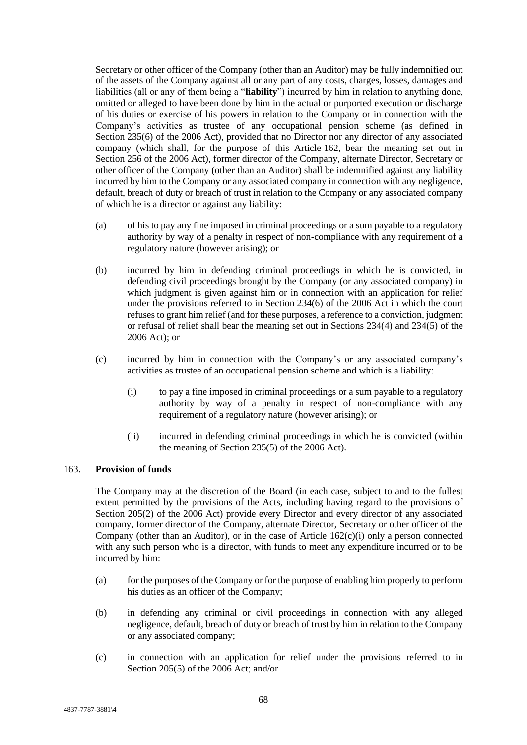Secretary or other officer of the Company (other than an Auditor) may be fully indemnified out of the assets of the Company against all or any part of any costs, charges, losses, damages and liabilities (all or any of them being a "**liability**") incurred by him in relation to anything done, omitted or alleged to have been done by him in the actual or purported execution or discharge of his duties or exercise of his powers in relation to the Company or in connection with the Company's activities as trustee of any occupational pension scheme (as defined in Section 235(6) of the 2006 Act), provided that no Director nor any director of any associated company (which shall, for the purpose of this Article [162,](#page-71-0) bear the meaning set out in Section 256 of the 2006 Act), former director of the Company, alternate Director, Secretary or other officer of the Company (other than an Auditor) shall be indemnified against any liability incurred by him to the Company or any associated company in connection with any negligence, default, breach of duty or breach of trust in relation to the Company or any associated company of which he is a director or against any liability:

- (a) of his to pay any fine imposed in criminal proceedings or a sum payable to a regulatory authority by way of a penalty in respect of non-compliance with any requirement of a regulatory nature (however arising); or
- (b) incurred by him in defending criminal proceedings in which he is convicted, in defending civil proceedings brought by the Company (or any associated company) in which judgment is given against him or in connection with an application for relief under the provisions referred to in Section 234(6) of the 2006 Act in which the court refuses to grant him relief (and for these purposes, a reference to a conviction, judgment or refusal of relief shall bear the meaning set out in Sections 234(4) and 234(5) of the 2006 Act); or
- <span id="page-72-0"></span>(c) incurred by him in connection with the Company's or any associated company's activities as trustee of an occupational pension scheme and which is a liability:
	- (i) to pay a fine imposed in criminal proceedings or a sum payable to a regulatory authority by way of a penalty in respect of non-compliance with any requirement of a regulatory nature (however arising); or
	- (ii) incurred in defending criminal proceedings in which he is convicted (within the meaning of Section 235(5) of the 2006 Act).

## 163. **Provision of funds**

The Company may at the discretion of the Board (in each case, subject to and to the fullest extent permitted by the provisions of the Acts, including having regard to the provisions of Section 205(2) of the 2006 Act) provide every Director and every director of any associated company, former director of the Company, alternate Director, Secretary or other officer of the Company (other than an Auditor), or in the case of Article  $162(c)(i)$  only a person connected with any such person who is a director, with funds to meet any expenditure incurred or to be incurred by him:

- (a) for the purposes of the Company or for the purpose of enabling him properly to perform his duties as an officer of the Company;
- (b) in defending any criminal or civil proceedings in connection with any alleged negligence, default, breach of duty or breach of trust by him in relation to the Company or any associated company;
- (c) in connection with an application for relief under the provisions referred to in Section 205(5) of the 2006 Act; and/or